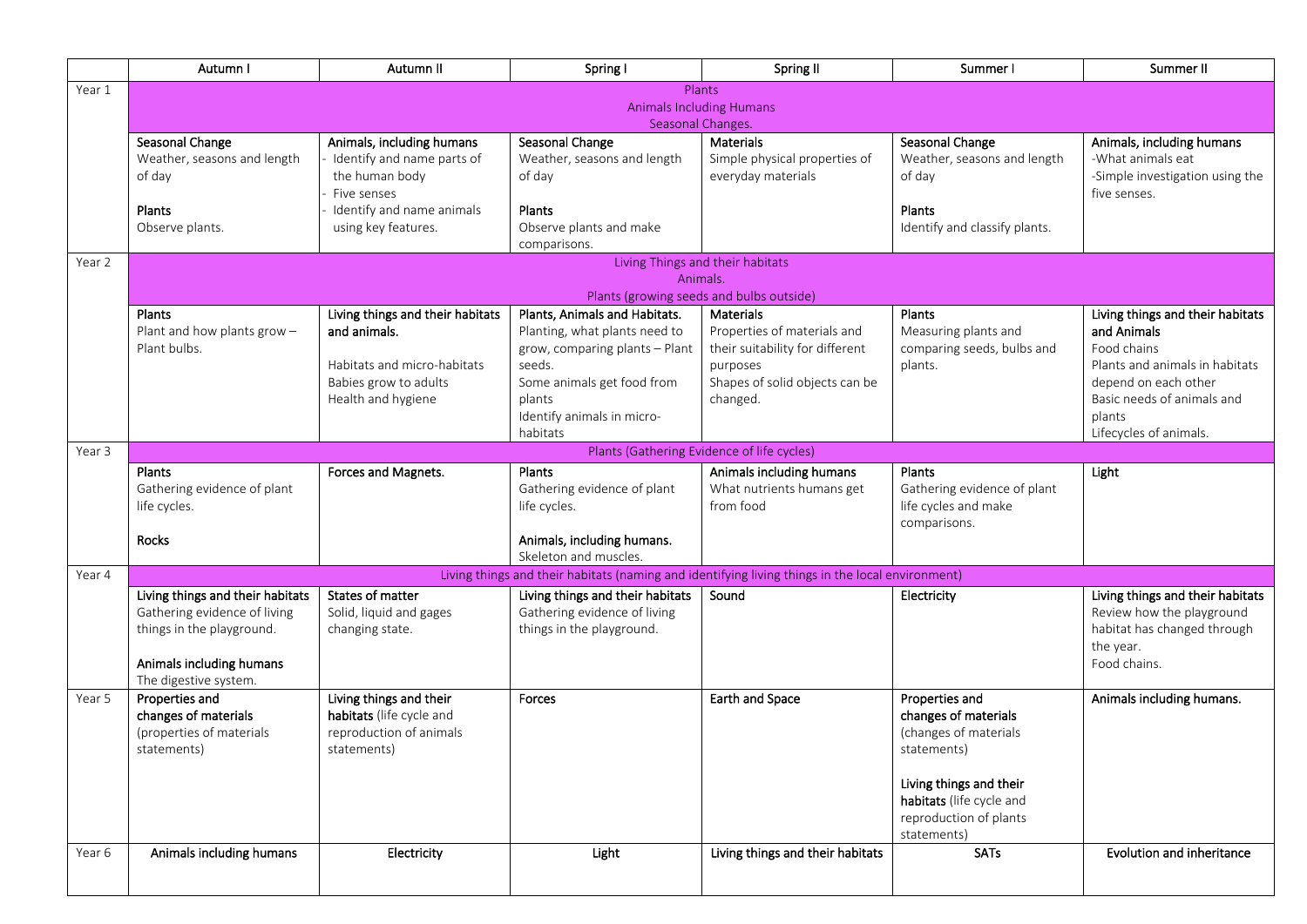|        | Autumn I                         | Autumn II                        | Spring I                                                                                         | Spring II                                  | Summer I                      | Summer II                                          |  |
|--------|----------------------------------|----------------------------------|--------------------------------------------------------------------------------------------------|--------------------------------------------|-------------------------------|----------------------------------------------------|--|
| Year 1 |                                  |                                  |                                                                                                  | Plants                                     |                               |                                                    |  |
|        | <b>Animals Including Humans</b>  |                                  |                                                                                                  |                                            |                               |                                                    |  |
|        |                                  |                                  | Seasonal Changes.                                                                                |                                            |                               |                                                    |  |
|        | Seasonal Change                  | Animals, including humans        | Seasonal Change                                                                                  | Materials                                  | Seasonal Change               | Animals, including humans                          |  |
|        | Weather, seasons and length      | Identify and name parts of       | Weather, seasons and length                                                                      | Simple physical properties of              | Weather, seasons and length   | -What animals eat                                  |  |
|        | of day                           | the human body<br>Five senses    | of day                                                                                           | everyday materials                         | of day                        | -Simple investigation using the<br>five senses.    |  |
|        | Plants                           | Identify and name animals        | Plants                                                                                           |                                            | Plants                        |                                                    |  |
|        | Observe plants.                  | using key features.              | Observe plants and make                                                                          |                                            | Identify and classify plants. |                                                    |  |
|        |                                  |                                  | comparisons.                                                                                     |                                            |                               |                                                    |  |
| Year 2 |                                  |                                  |                                                                                                  | Living Things and their habitats           |                               |                                                    |  |
|        |                                  |                                  | Animals.                                                                                         |                                            |                               |                                                    |  |
|        |                                  |                                  |                                                                                                  | Plants (growing seeds and bulbs outside)   |                               |                                                    |  |
|        | Plants                           | Living things and their habitats | Plants, Animals and Habitats.                                                                    | <b>Materials</b>                           | Plants                        | Living things and their habitats                   |  |
|        | Plant and how plants grow -      | and animals.                     | Planting, what plants need to                                                                    | Properties of materials and                | Measuring plants and          | and Animals                                        |  |
|        | Plant bulbs.                     |                                  | grow, comparing plants - Plant                                                                   | their suitability for different            | comparing seeds, bulbs and    | Food chains                                        |  |
|        |                                  | Habitats and micro-habitats      | seeds.                                                                                           | purposes                                   | plants.                       | Plants and animals in habitats                     |  |
|        |                                  | Babies grow to adults            | Some animals get food from                                                                       | Shapes of solid objects can be             |                               | depend on each other<br>Basic needs of animals and |  |
|        |                                  | Health and hygiene               | plants<br>Identify animals in micro-                                                             | changed.                                   |                               | plants                                             |  |
|        |                                  |                                  | habitats                                                                                         |                                            |                               | Lifecycles of animals.                             |  |
| Year 3 |                                  |                                  |                                                                                                  | Plants (Gathering Evidence of life cycles) |                               |                                                    |  |
|        | Plants                           | Forces and Magnets.              | Plants                                                                                           | Animals including humans                   | Plants                        | Light                                              |  |
|        | Gathering evidence of plant      |                                  | Gathering evidence of plant                                                                      | What nutrients humans get                  | Gathering evidence of plant   |                                                    |  |
|        | life cycles.                     |                                  | life cycles.                                                                                     | from food                                  | life cycles and make          |                                                    |  |
|        |                                  |                                  |                                                                                                  |                                            | comparisons.                  |                                                    |  |
|        | Rocks                            |                                  | Animals, including humans.                                                                       |                                            |                               |                                                    |  |
|        |                                  |                                  | Skeleton and muscles.                                                                            |                                            |                               |                                                    |  |
| Year 4 |                                  |                                  | Living things and their habitats (naming and identifying living things in the local environment) |                                            |                               |                                                    |  |
|        | Living things and their habitats | States of matter                 | Living things and their habitats                                                                 | Sound                                      | Electricity                   | Living things and their habitats                   |  |
|        | Gathering evidence of living     | Solid, liquid and gages          | Gathering evidence of living                                                                     |                                            |                               | Review how the playground                          |  |
|        | things in the playground.        | changing state.                  | things in the playground.                                                                        |                                            |                               | habitat has changed through                        |  |
|        | Animals including humans         |                                  |                                                                                                  |                                            |                               | the year.<br>Food chains.                          |  |
|        | The digestive system.            |                                  |                                                                                                  |                                            |                               |                                                    |  |
| Year 5 | Properties and                   | Living things and their          | Forces                                                                                           | Earth and Space                            | Properties and                | Animals including humans.                          |  |
|        | changes of materials             | habitats (life cycle and         |                                                                                                  |                                            | changes of materials          |                                                    |  |
|        | (properties of materials         | reproduction of animals          |                                                                                                  |                                            | (changes of materials         |                                                    |  |
|        | statements)                      | statements)                      |                                                                                                  |                                            | statements)                   |                                                    |  |
|        |                                  |                                  |                                                                                                  |                                            |                               |                                                    |  |
|        |                                  |                                  |                                                                                                  |                                            | Living things and their       |                                                    |  |
|        |                                  |                                  |                                                                                                  |                                            | habitats (life cycle and      |                                                    |  |
|        |                                  |                                  |                                                                                                  |                                            | reproduction of plants        |                                                    |  |
|        |                                  |                                  |                                                                                                  |                                            | statements)                   |                                                    |  |
| Year 6 | Animals including humans         | Electricity                      | Light                                                                                            | Living things and their habitats           | <b>SATs</b>                   | <b>Evolution and inheritance</b>                   |  |
|        |                                  |                                  |                                                                                                  |                                            |                               |                                                    |  |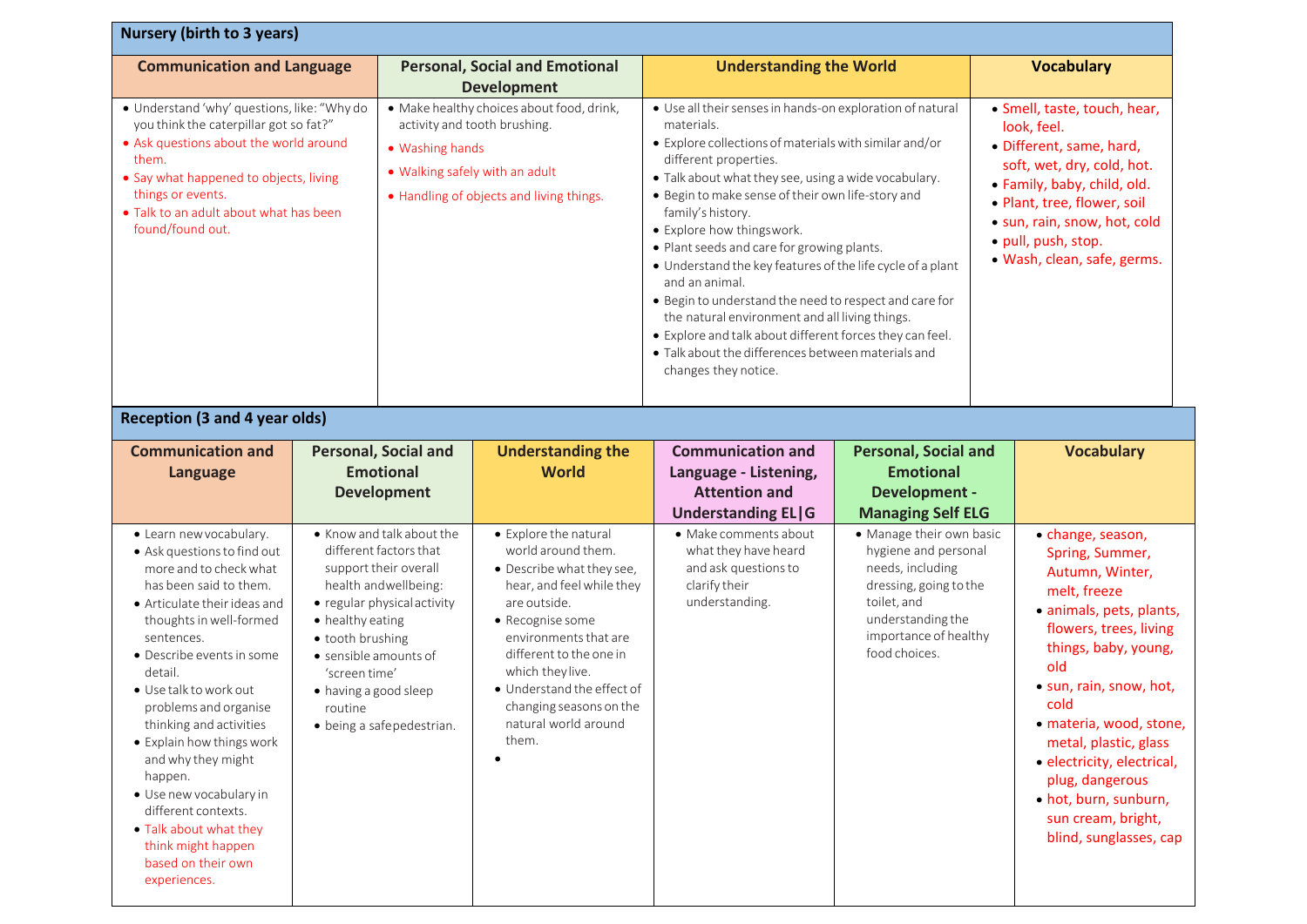| Nursery (birth to 3 years)                                                                                                                                                                                                                                                                                                                                                                                                                                                                                      |                                                                                                                    |                                                                                                                                                                  |                                                                                                                                                                                                                                                                                                             |                                                                                                                                                                                                                                                                                                                                                                                                                                                                                                                                                                                                                                                                                                               |                                                                                                                                                                              |  |                                                                                                                                                                                                                                                                                                                                                                               |  |
|-----------------------------------------------------------------------------------------------------------------------------------------------------------------------------------------------------------------------------------------------------------------------------------------------------------------------------------------------------------------------------------------------------------------------------------------------------------------------------------------------------------------|--------------------------------------------------------------------------------------------------------------------|------------------------------------------------------------------------------------------------------------------------------------------------------------------|-------------------------------------------------------------------------------------------------------------------------------------------------------------------------------------------------------------------------------------------------------------------------------------------------------------|---------------------------------------------------------------------------------------------------------------------------------------------------------------------------------------------------------------------------------------------------------------------------------------------------------------------------------------------------------------------------------------------------------------------------------------------------------------------------------------------------------------------------------------------------------------------------------------------------------------------------------------------------------------------------------------------------------------|------------------------------------------------------------------------------------------------------------------------------------------------------------------------------|--|-------------------------------------------------------------------------------------------------------------------------------------------------------------------------------------------------------------------------------------------------------------------------------------------------------------------------------------------------------------------------------|--|
| <b>Communication and Language</b>                                                                                                                                                                                                                                                                                                                                                                                                                                                                               |                                                                                                                    |                                                                                                                                                                  | <b>Personal, Social and Emotional</b><br><b>Development</b>                                                                                                                                                                                                                                                 | <b>Understanding the World</b>                                                                                                                                                                                                                                                                                                                                                                                                                                                                                                                                                                                                                                                                                |                                                                                                                                                                              |  | <b>Vocabulary</b>                                                                                                                                                                                                                                                                                                                                                             |  |
| · Understand 'why' questions, like: "Why do<br>you think the caterpillar got so fat?"<br>• Ask questions about the world around<br>them.<br>• Say what happened to objects, living<br>things or events.<br>. Talk to an adult about what has been<br>found/found out.                                                                                                                                                                                                                                           |                                                                                                                    | • Washing hands<br>• Walking safely with an adult                                                                                                                | · Make healthy choices about food, drink,<br>activity and tooth brushing.<br>• Handling of objects and living things.                                                                                                                                                                                       | • Use all their senses in hands-on exploration of natural<br>materials.<br>• Explore collections of materials with similar and/or<br>different properties.<br>. Talk about what they see, using a wide vocabulary.<br>· Begin to make sense of their own life-story and<br>family's history.<br>• Explore how thingswork.<br>· Plant seeds and care for growing plants.<br>• Understand the key features of the life cycle of a plant<br>and an animal.<br>· Begin to understand the need to respect and care for<br>the natural environment and all living things.<br>• Explore and talk about different forces they can feel.<br>· Talk about the differences between materials and<br>changes they notice. |                                                                                                                                                                              |  | · Smell, taste, touch, hear,<br>look, feel.<br>· Different, same, hard,<br>soft, wet, dry, cold, hot.<br>• Family, baby, child, old.<br>· Plant, tree, flower, soil<br>· sun, rain, snow, hot, cold<br>· pull, push, stop.<br>· Wash, clean, safe, germs.                                                                                                                     |  |
| <b>Reception (3 and 4 year olds)</b>                                                                                                                                                                                                                                                                                                                                                                                                                                                                            |                                                                                                                    |                                                                                                                                                                  |                                                                                                                                                                                                                                                                                                             |                                                                                                                                                                                                                                                                                                                                                                                                                                                                                                                                                                                                                                                                                                               |                                                                                                                                                                              |  |                                                                                                                                                                                                                                                                                                                                                                               |  |
| <b>Communication and</b><br>Language                                                                                                                                                                                                                                                                                                                                                                                                                                                                            |                                                                                                                    | <b>Personal, Social and</b><br><b>Emotional</b><br><b>Development</b>                                                                                            | <b>Understanding the</b><br><b>World</b>                                                                                                                                                                                                                                                                    | <b>Communication and</b><br>Language - Listening,<br><b>Attention and</b><br><b>Understanding EL G</b>                                                                                                                                                                                                                                                                                                                                                                                                                                                                                                                                                                                                        | <b>Personal, Social and</b><br><b>Emotional</b><br><b>Development -</b><br><b>Managing Self ELG</b>                                                                          |  | <b>Vocabulary</b>                                                                                                                                                                                                                                                                                                                                                             |  |
| • Learn new vocabulary.<br>• Ask questions to find out<br>more and to check what<br>has been said to them.<br>• Articulate their ideas and<br>thoughts in well-formed<br>sentences.<br>• Describe events in some<br>detail.<br>• Use talk to work out<br>problems and organise<br>thinking and activities<br>• Explain how things work<br>and why they might<br>happen.<br>· Use new vocabulary in<br>different contexts.<br>• Talk about what they<br>think might happen<br>based on their own<br>experiences. | • healthy eating<br>· tooth brushing<br>• sensible amounts of<br>'screen time'<br>• having a good sleep<br>routine | • Know and talk about the<br>different factors that<br>support their overall<br>health andwellbeing:<br>• regular physical activity<br>• being a safepedestrian. | • Explore the natural<br>world around them.<br>• Describe what they see,<br>hear, and feel while they<br>are outside.<br>• Recognise some<br>environments that are<br>different to the one in<br>which they live.<br>· Understand the effect of<br>changing seasons on the<br>natural world around<br>them. | • Make comments about<br>what they have heard<br>and ask questions to<br>clarify their<br>understanding.                                                                                                                                                                                                                                                                                                                                                                                                                                                                                                                                                                                                      | • Manage their own basic<br>hygiene and personal<br>needs, including<br>dressing, going to the<br>toilet, and<br>understanding the<br>importance of healthy<br>food choices. |  | • change, season,<br>Spring, Summer,<br>Autumn, Winter,<br>melt, freeze<br>· animals, pets, plants,<br>flowers, trees, living<br>things, baby, young,<br>old<br>• sun, rain, snow, hot,<br>cold<br>· materia, wood, stone,<br>metal, plastic, glass<br>· electricity, electrical,<br>plug, dangerous<br>· hot, burn, sunburn,<br>sun cream, bright,<br>blind, sunglasses, cap |  |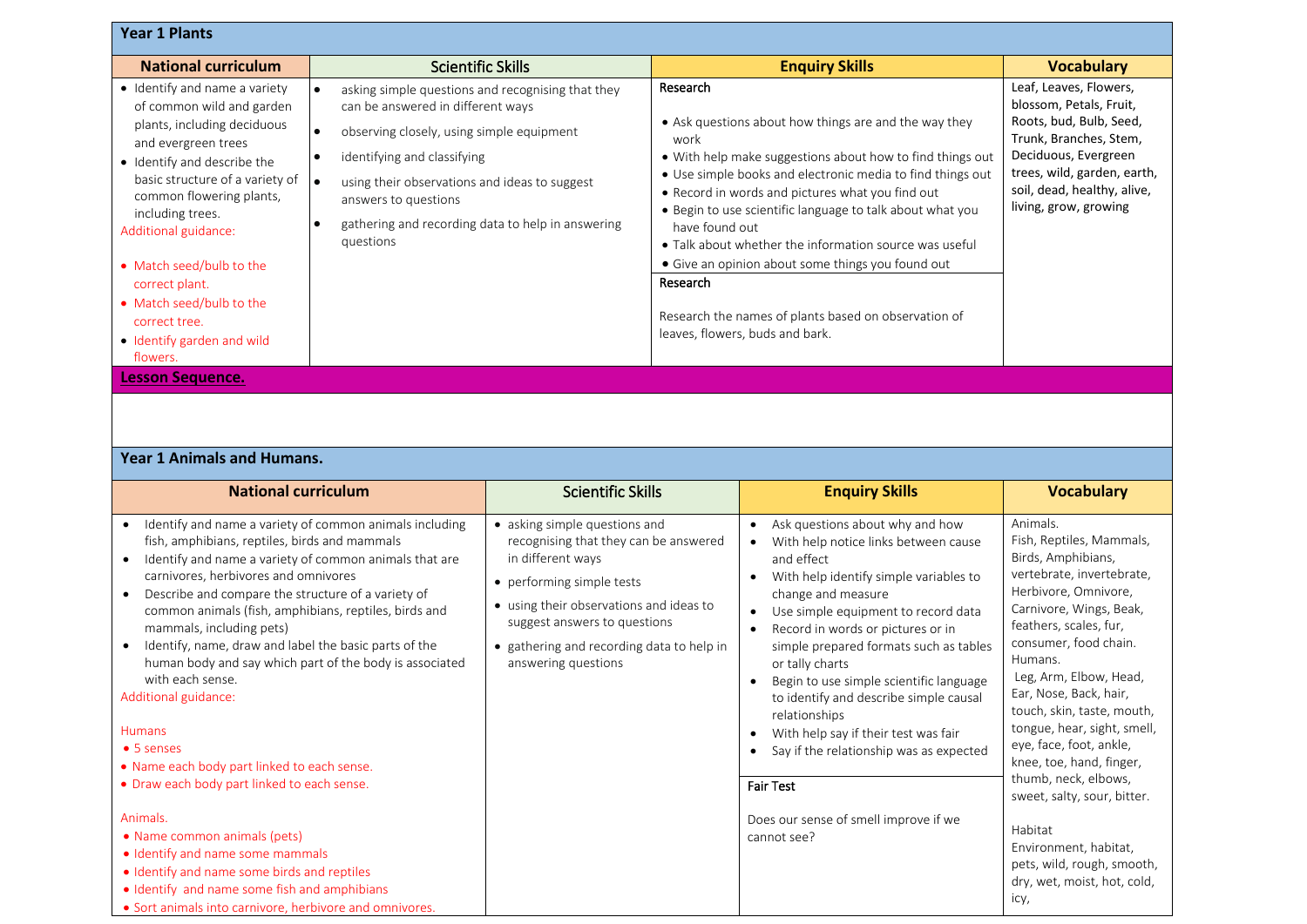| <b>Year 1 Plants</b>                                                                                                                                                                                                                                                                                                                                                                            |                                                                                                                                                                                                                                                                                                                                  |                                                                                                                                                                                                                                                                                                                                                                                                                                                                                                                                                               |                                                                                                                                                                                                                       |
|-------------------------------------------------------------------------------------------------------------------------------------------------------------------------------------------------------------------------------------------------------------------------------------------------------------------------------------------------------------------------------------------------|----------------------------------------------------------------------------------------------------------------------------------------------------------------------------------------------------------------------------------------------------------------------------------------------------------------------------------|---------------------------------------------------------------------------------------------------------------------------------------------------------------------------------------------------------------------------------------------------------------------------------------------------------------------------------------------------------------------------------------------------------------------------------------------------------------------------------------------------------------------------------------------------------------|-----------------------------------------------------------------------------------------------------------------------------------------------------------------------------------------------------------------------|
| <b>National curriculum</b>                                                                                                                                                                                                                                                                                                                                                                      | <b>Scientific Skills</b>                                                                                                                                                                                                                                                                                                         | <b>Enquiry Skills</b>                                                                                                                                                                                                                                                                                                                                                                                                                                                                                                                                         | <b>Vocabulary</b>                                                                                                                                                                                                     |
| • Identify and name a variety<br>of common wild and garden<br>plants, including deciduous<br>and evergreen trees<br>• Identify and describe the<br>basic structure of a variety of<br>common flowering plants,<br>including trees.<br>Additional guidance:<br>• Match seed/bulb to the<br>correct plant.<br>• Match seed/bulb to the<br>correct tree.<br>• Identify garden and wild<br>flowers. | asking simple questions and recognising that they<br>can be answered in different ways<br>observing closely, using simple equipment<br>$\bullet$<br>identifying and classifying<br>۱e<br>using their observations and ideas to suggest<br>answers to questions<br>gathering and recording data to help in answering<br>questions | Research<br>• Ask questions about how things are and the way they<br>work<br>• With help make suggestions about how to find things out<br>• Use simple books and electronic media to find things out<br>• Record in words and pictures what you find out<br>• Begin to use scientific language to talk about what you<br>have found out<br>• Talk about whether the information source was useful<br>• Give an opinion about some things you found out<br>Research<br>Research the names of plants based on observation of<br>leaves, flowers, buds and bark. | Leaf, Leaves, Flowers,<br>blossom, Petals, Fruit,<br>Roots, bud, Bulb, Seed,<br>Trunk, Branches, Stem,<br>Deciduous, Evergreen<br>trees, wild, garden, earth,<br>soil, dead, healthy, alive,<br>living, grow, growing |
| <b>Lesson Sequence.</b>                                                                                                                                                                                                                                                                                                                                                                         |                                                                                                                                                                                                                                                                                                                                  |                                                                                                                                                                                                                                                                                                                                                                                                                                                                                                                                                               |                                                                                                                                                                                                                       |

## **Year 1 Animals and Humans.**

| <b>National curriculum</b>                                                                                                                                                                                                                                                                                                                                                                                                                                                                                                                                                                                                                                                                                                                                                                                                                                                                           | <b>Scientific Skills</b>                                                                                                                                                                                                                                                | <b>Enquiry Skills</b>                                                                                                                                                                                                                                                                                                                                                                                                                                                                                                                                                                         | <b>Vocabulary</b>                                                                                                                                                                                                                                                                                                                                                                                                                                                                                                                                |
|------------------------------------------------------------------------------------------------------------------------------------------------------------------------------------------------------------------------------------------------------------------------------------------------------------------------------------------------------------------------------------------------------------------------------------------------------------------------------------------------------------------------------------------------------------------------------------------------------------------------------------------------------------------------------------------------------------------------------------------------------------------------------------------------------------------------------------------------------------------------------------------------------|-------------------------------------------------------------------------------------------------------------------------------------------------------------------------------------------------------------------------------------------------------------------------|-----------------------------------------------------------------------------------------------------------------------------------------------------------------------------------------------------------------------------------------------------------------------------------------------------------------------------------------------------------------------------------------------------------------------------------------------------------------------------------------------------------------------------------------------------------------------------------------------|--------------------------------------------------------------------------------------------------------------------------------------------------------------------------------------------------------------------------------------------------------------------------------------------------------------------------------------------------------------------------------------------------------------------------------------------------------------------------------------------------------------------------------------------------|
| Identify and name a variety of common animals including<br>fish, amphibians, reptiles, birds and mammals<br>Identify and name a variety of common animals that are<br>carnivores, herbivores and omnivores<br>Describe and compare the structure of a variety of<br>common animals (fish, amphibians, reptiles, birds and<br>mammals, including pets)<br>Identify, name, draw and label the basic parts of the<br>human body and say which part of the body is associated<br>with each sense.<br>Additional guidance:<br><b>Humans</b><br>$\bullet$ 5 senses<br>. Name each body part linked to each sense.<br>• Draw each body part linked to each sense.<br>Animals.<br>• Name common animals (pets)<br>• Identify and name some mammals<br>• Identify and name some birds and reptiles<br>• Identify and name some fish and amphibians<br>• Sort animals into carnivore, herbivore and omnivores. | • asking simple questions and<br>recognising that they can be answered<br>in different ways<br>• performing simple tests<br>• using their observations and ideas to<br>suggest answers to questions<br>• gathering and recording data to help in<br>answering questions | Ask questions about why and how<br>With help notice links between cause<br>and effect<br>With help identify simple variables to<br>change and measure<br>Use simple equipment to record data<br>$\bullet$<br>Record in words or pictures or in<br>$\bullet$<br>simple prepared formats such as tables<br>or tally charts<br>Begin to use simple scientific language<br>to identify and describe simple causal<br>relationships<br>With help say if their test was fair<br>Say if the relationship was as expected<br><b>Fair Test</b><br>Does our sense of smell improve if we<br>cannot see? | Animals.<br>Fish, Reptiles, Mammals,<br>Birds, Amphibians,<br>vertebrate, invertebrate,<br>Herbivore, Omnivore,<br>Carnivore, Wings, Beak,<br>feathers, scales, fur,<br>consumer, food chain.<br>Humans.<br>Leg, Arm, Elbow, Head,<br>Ear, Nose, Back, hair,<br>touch, skin, taste, mouth,<br>tongue, hear, sight, smell,<br>eye, face, foot, ankle,<br>knee, toe, hand, finger,<br>thumb, neck, elbows,<br>sweet, salty, sour, bitter.<br>Habitat<br>Environment, habitat,<br>pets, wild, rough, smooth,<br>dry, wet, moist, hot, cold,<br>icy, |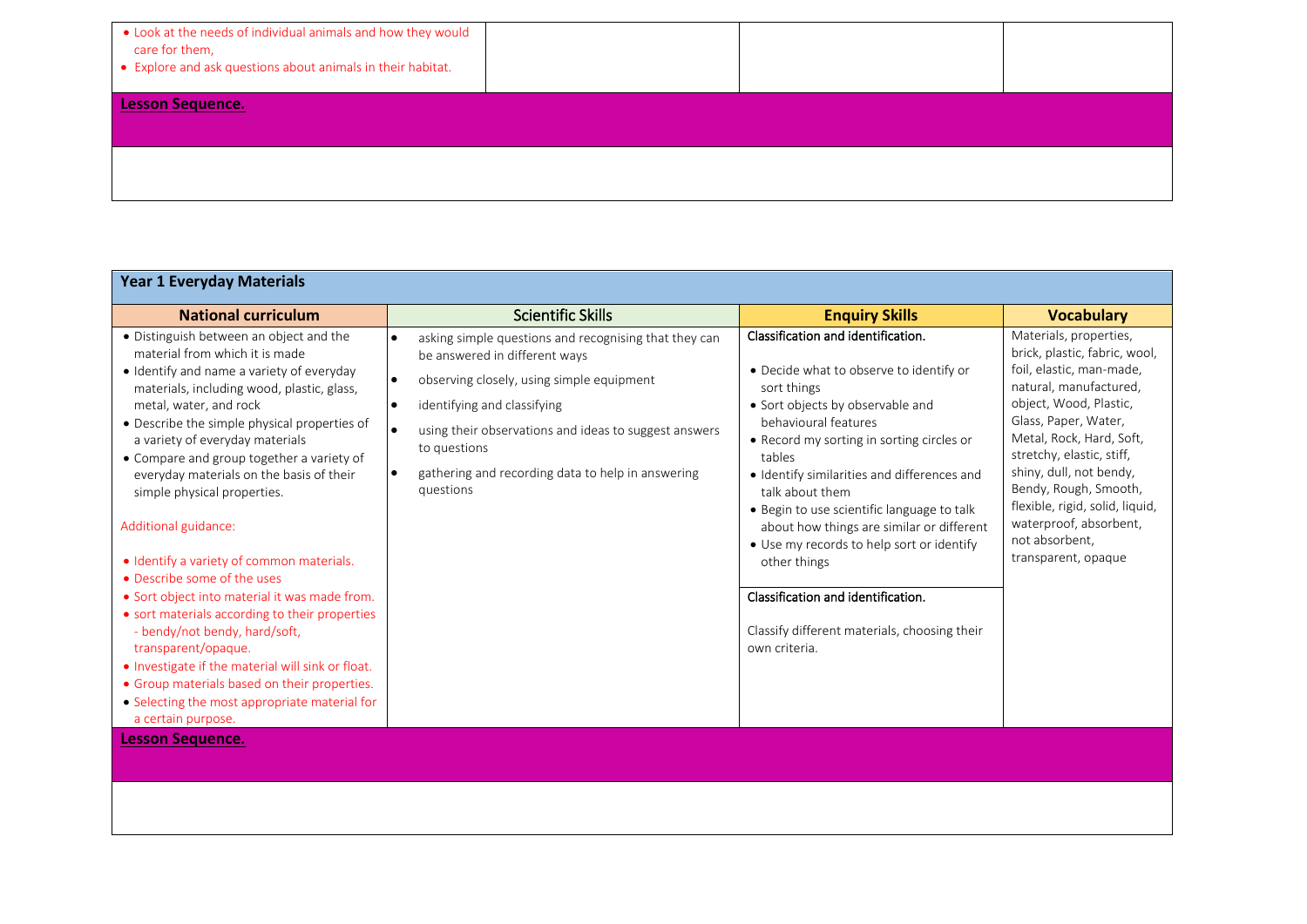| . Look at the needs of individual animals and how they would<br>care for them,<br>• Explore and ask questions about animals in their habitat. |  |  |
|-----------------------------------------------------------------------------------------------------------------------------------------------|--|--|
| <b>Lesson Sequence.</b>                                                                                                                       |  |  |
|                                                                                                                                               |  |  |

| <b>Year 1 Everyday Materials</b>                                                                                                                                                                                                                                                                                                                                                                                                                                                                                                                                                                                                                                                                                                                                                                                                                                                |                                                                                                                                                                                                                                                                                                                            |                                                                                                                                                                                                                                                                                                                                                                                                                                                                                                                                                  |                                                                                                                                                                                                                                                                                                                                                                                    |
|---------------------------------------------------------------------------------------------------------------------------------------------------------------------------------------------------------------------------------------------------------------------------------------------------------------------------------------------------------------------------------------------------------------------------------------------------------------------------------------------------------------------------------------------------------------------------------------------------------------------------------------------------------------------------------------------------------------------------------------------------------------------------------------------------------------------------------------------------------------------------------|----------------------------------------------------------------------------------------------------------------------------------------------------------------------------------------------------------------------------------------------------------------------------------------------------------------------------|--------------------------------------------------------------------------------------------------------------------------------------------------------------------------------------------------------------------------------------------------------------------------------------------------------------------------------------------------------------------------------------------------------------------------------------------------------------------------------------------------------------------------------------------------|------------------------------------------------------------------------------------------------------------------------------------------------------------------------------------------------------------------------------------------------------------------------------------------------------------------------------------------------------------------------------------|
| <b>National curriculum</b>                                                                                                                                                                                                                                                                                                                                                                                                                                                                                                                                                                                                                                                                                                                                                                                                                                                      | <b>Scientific Skills</b>                                                                                                                                                                                                                                                                                                   | <b>Enquiry Skills</b>                                                                                                                                                                                                                                                                                                                                                                                                                                                                                                                            | <b>Vocabulary</b>                                                                                                                                                                                                                                                                                                                                                                  |
| · Distinguish between an object and the<br>material from which it is made<br>· Identify and name a variety of everyday<br>materials, including wood, plastic, glass,<br>metal, water, and rock<br>• Describe the simple physical properties of<br>a variety of everyday materials<br>• Compare and group together a variety of<br>everyday materials on the basis of their<br>simple physical properties.<br>Additional guidance:<br>• Identify a variety of common materials.<br>• Describe some of the uses<br>• Sort object into material it was made from.<br>• sort materials according to their properties<br>- bendy/not bendy, hard/soft,<br>transparent/opaque.<br>. Investigate if the material will sink or float.<br>• Group materials based on their properties.<br>• Selecting the most appropriate material for<br>a certain purpose.<br><b>Lesson Sequence.</b> | asking simple questions and recognising that they can<br>be answered in different ways<br>observing closely, using simple equipment<br>$\bullet$<br>identifying and classifying<br>using their observations and ideas to suggest answers<br>to questions<br>gathering and recording data to help in answering<br>questions | Classification and identification.<br>• Decide what to observe to identify or<br>sort things<br>• Sort objects by observable and<br>behavioural features<br>• Record my sorting in sorting circles or<br>tables<br>· Identify similarities and differences and<br>talk about them<br>• Begin to use scientific language to talk<br>about how things are similar or different<br>• Use my records to help sort or identify<br>other things<br>Classification and identification.<br>Classify different materials, choosing their<br>own criteria. | Materials, properties,<br>brick, plastic, fabric, wool,<br>foil, elastic, man-made,<br>natural, manufactured,<br>object, Wood, Plastic,<br>Glass, Paper, Water,<br>Metal, Rock, Hard, Soft,<br>stretchy, elastic, stiff,<br>shiny, dull, not bendy,<br>Bendy, Rough, Smooth,<br>flexible, rigid, solid, liquid,<br>waterproof, absorbent,<br>not absorbent,<br>transparent, opaque |
|                                                                                                                                                                                                                                                                                                                                                                                                                                                                                                                                                                                                                                                                                                                                                                                                                                                                                 |                                                                                                                                                                                                                                                                                                                            |                                                                                                                                                                                                                                                                                                                                                                                                                                                                                                                                                  |                                                                                                                                                                                                                                                                                                                                                                                    |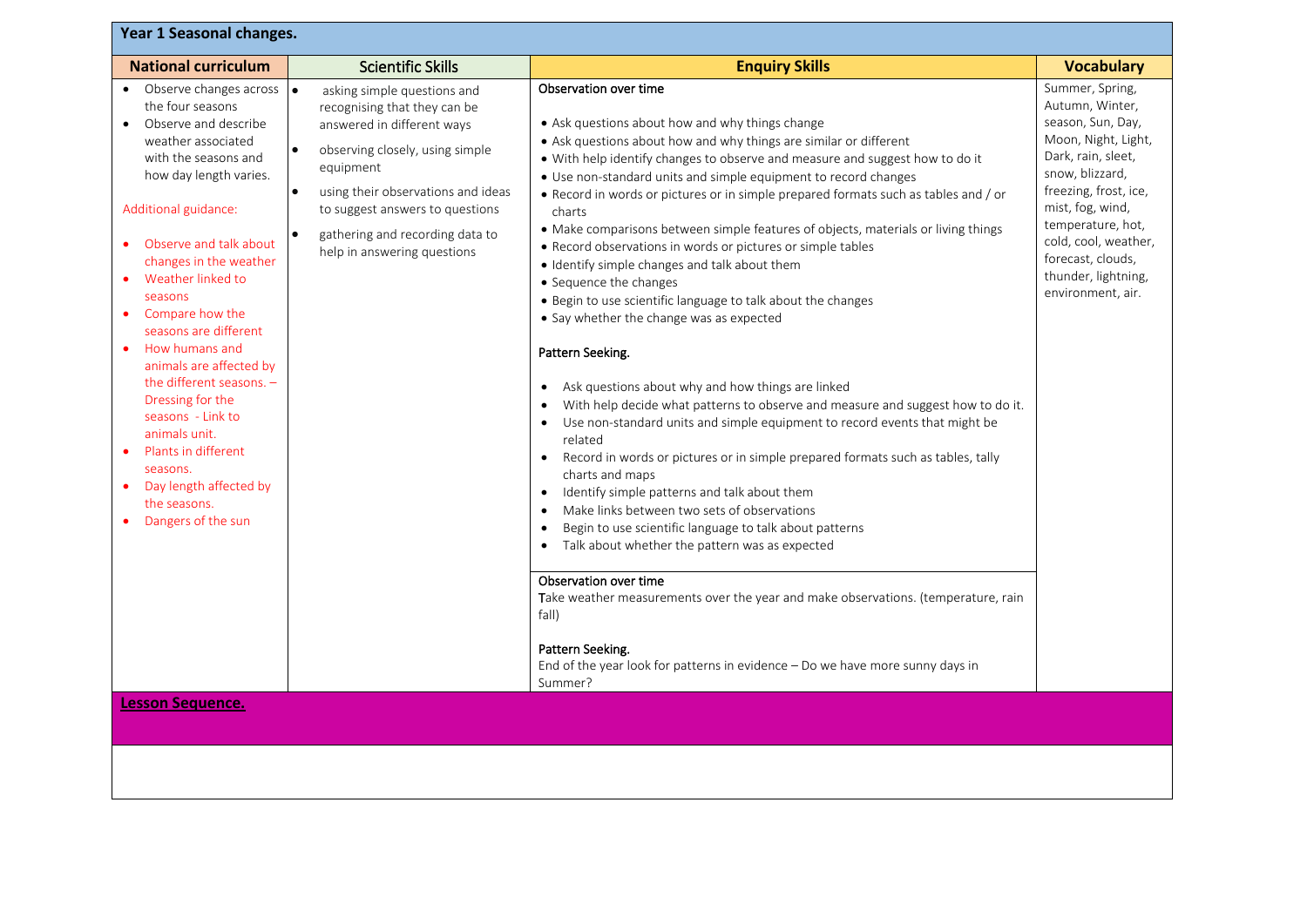| Year 1 Seasonal changes.                                                                                                                                                                                                                                                                                                                                                                                                                                                                                                                                             |                                                                                                                                                                                                                                                                                                                             |                                                                                                                                                                                                                                                                                                                                                                                                                                                                                                                                                                                                                                                                                                                                                                                                                                                                                                                                                                                                                                                                                                                                                                                                                                                                                                                                                                                                                                                                                                                                                                                                                                                                    |                                                                                                                                                                                                                                                                                    |
|----------------------------------------------------------------------------------------------------------------------------------------------------------------------------------------------------------------------------------------------------------------------------------------------------------------------------------------------------------------------------------------------------------------------------------------------------------------------------------------------------------------------------------------------------------------------|-----------------------------------------------------------------------------------------------------------------------------------------------------------------------------------------------------------------------------------------------------------------------------------------------------------------------------|--------------------------------------------------------------------------------------------------------------------------------------------------------------------------------------------------------------------------------------------------------------------------------------------------------------------------------------------------------------------------------------------------------------------------------------------------------------------------------------------------------------------------------------------------------------------------------------------------------------------------------------------------------------------------------------------------------------------------------------------------------------------------------------------------------------------------------------------------------------------------------------------------------------------------------------------------------------------------------------------------------------------------------------------------------------------------------------------------------------------------------------------------------------------------------------------------------------------------------------------------------------------------------------------------------------------------------------------------------------------------------------------------------------------------------------------------------------------------------------------------------------------------------------------------------------------------------------------------------------------------------------------------------------------|------------------------------------------------------------------------------------------------------------------------------------------------------------------------------------------------------------------------------------------------------------------------------------|
| <b>National curriculum</b>                                                                                                                                                                                                                                                                                                                                                                                                                                                                                                                                           | <b>Scientific Skills</b>                                                                                                                                                                                                                                                                                                    | <b>Enquiry Skills</b>                                                                                                                                                                                                                                                                                                                                                                                                                                                                                                                                                                                                                                                                                                                                                                                                                                                                                                                                                                                                                                                                                                                                                                                                                                                                                                                                                                                                                                                                                                                                                                                                                                              | <b>Vocabulary</b>                                                                                                                                                                                                                                                                  |
| • Observe changes across<br>the four seasons<br>Observe and describe<br>$\bullet$<br>weather associated<br>with the seasons and<br>how day length varies.<br>Additional guidance:<br>Observe and talk about<br>changes in the weather<br>Weather linked to<br>seasons<br>Compare how the<br>$\bullet$<br>seasons are different<br>How humans and<br>animals are affected by<br>the different seasons. -<br>Dressing for the<br>seasons - Link to<br>animals unit.<br>Plants in different<br>seasons.<br>Day length affected by<br>the seasons.<br>Dangers of the sun | $\bullet$<br>asking simple questions and<br>recognising that they can be<br>answered in different ways<br>observing closely, using simple<br>equipment<br>using their observations and ideas<br>$\bullet$<br>to suggest answers to questions<br>gathering and recording data to<br>$\bullet$<br>help in answering questions | Observation over time<br>• Ask questions about how and why things change<br>• Ask questions about how and why things are similar or different<br>• With help identify changes to observe and measure and suggest how to do it<br>• Use non-standard units and simple equipment to record changes<br>. Record in words or pictures or in simple prepared formats such as tables and / or<br>charts<br>• Make comparisons between simple features of objects, materials or living things<br>• Record observations in words or pictures or simple tables<br>· Identify simple changes and talk about them<br>• Sequence the changes<br>• Begin to use scientific language to talk about the changes<br>• Say whether the change was as expected<br>Pattern Seeking.<br>Ask questions about why and how things are linked<br>$\bullet$<br>With help decide what patterns to observe and measure and suggest how to do it.<br>$\bullet$<br>Use non-standard units and simple equipment to record events that might be<br>$\bullet$<br>related<br>Record in words or pictures or in simple prepared formats such as tables, tally<br>$\bullet$<br>charts and maps<br>Identify simple patterns and talk about them<br>$\bullet$<br>Make links between two sets of observations<br>$\bullet$<br>Begin to use scientific language to talk about patterns<br>$\bullet$<br>Talk about whether the pattern was as expected<br>$\bullet$<br>Observation over time<br>Take weather measurements over the year and make observations. (temperature, rain<br>fall)<br>Pattern Seeking.<br>End of the year look for patterns in evidence - Do we have more sunny days in<br>Summer? | Summer, Spring,<br>Autumn, Winter,<br>season, Sun, Day,<br>Moon, Night, Light,<br>Dark, rain, sleet,<br>snow, blizzard,<br>freezing, frost, ice,<br>mist, fog, wind,<br>temperature, hot,<br>cold, cool, weather,<br>forecast, clouds,<br>thunder, lightning,<br>environment, air. |
| Lesson Sequence.                                                                                                                                                                                                                                                                                                                                                                                                                                                                                                                                                     |                                                                                                                                                                                                                                                                                                                             |                                                                                                                                                                                                                                                                                                                                                                                                                                                                                                                                                                                                                                                                                                                                                                                                                                                                                                                                                                                                                                                                                                                                                                                                                                                                                                                                                                                                                                                                                                                                                                                                                                                                    |                                                                                                                                                                                                                                                                                    |
|                                                                                                                                                                                                                                                                                                                                                                                                                                                                                                                                                                      |                                                                                                                                                                                                                                                                                                                             |                                                                                                                                                                                                                                                                                                                                                                                                                                                                                                                                                                                                                                                                                                                                                                                                                                                                                                                                                                                                                                                                                                                                                                                                                                                                                                                                                                                                                                                                                                                                                                                                                                                                    |                                                                                                                                                                                                                                                                                    |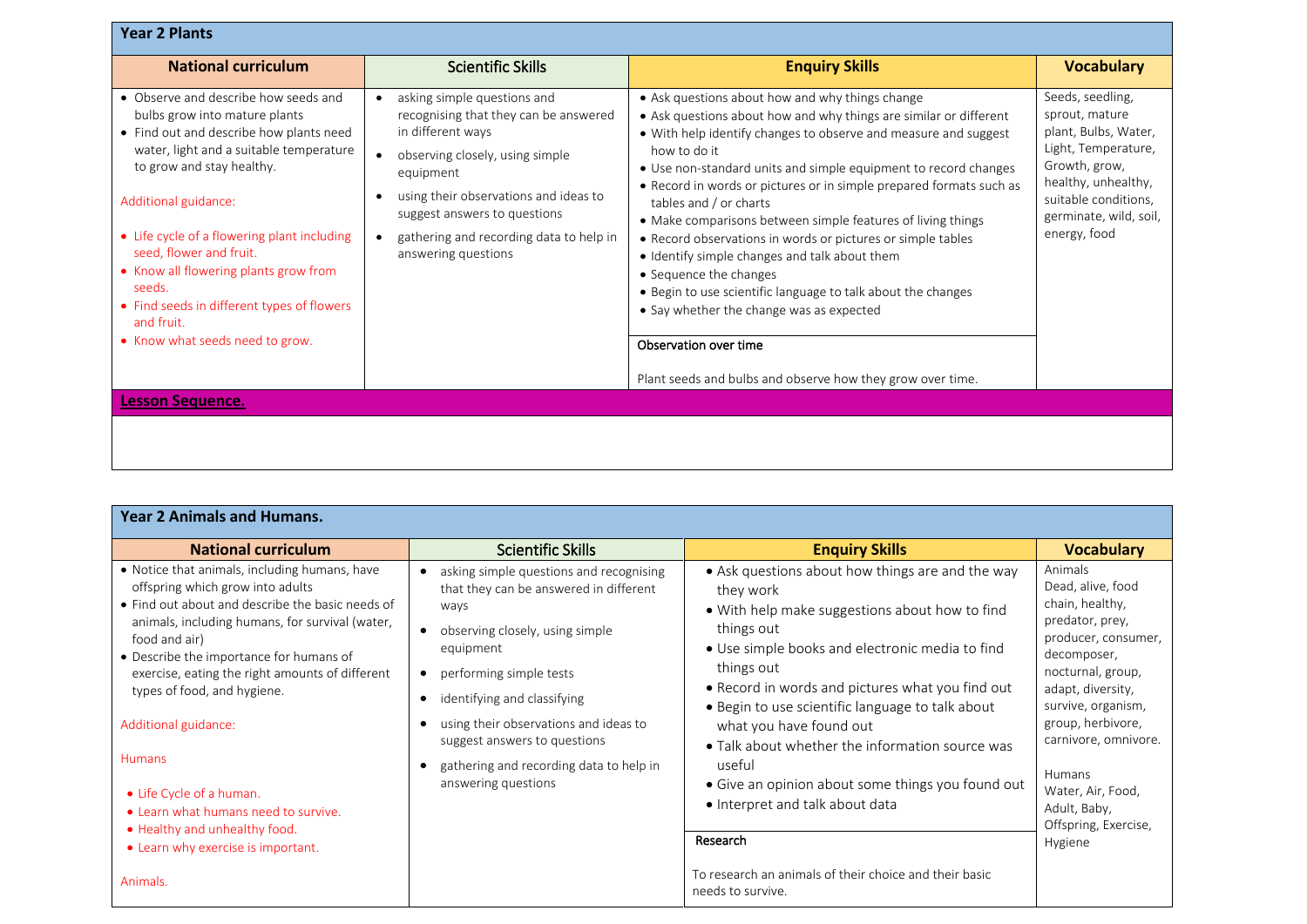| <b>Year 2 Plants</b>                                                                                                                                                                                                                                                                                                                                                                                                                         |                                                                                                                                                                                                                                                                                      |                                                                                                                                                                                                                                                                                                                                                                                                                                                                                                                                                                                                                                                                                                                                                                                         |                                                                                                                                                                                             |
|----------------------------------------------------------------------------------------------------------------------------------------------------------------------------------------------------------------------------------------------------------------------------------------------------------------------------------------------------------------------------------------------------------------------------------------------|--------------------------------------------------------------------------------------------------------------------------------------------------------------------------------------------------------------------------------------------------------------------------------------|-----------------------------------------------------------------------------------------------------------------------------------------------------------------------------------------------------------------------------------------------------------------------------------------------------------------------------------------------------------------------------------------------------------------------------------------------------------------------------------------------------------------------------------------------------------------------------------------------------------------------------------------------------------------------------------------------------------------------------------------------------------------------------------------|---------------------------------------------------------------------------------------------------------------------------------------------------------------------------------------------|
| <b>National curriculum</b>                                                                                                                                                                                                                                                                                                                                                                                                                   | <b>Scientific Skills</b>                                                                                                                                                                                                                                                             | <b>Enquiry Skills</b>                                                                                                                                                                                                                                                                                                                                                                                                                                                                                                                                                                                                                                                                                                                                                                   | <b>Vocabulary</b>                                                                                                                                                                           |
| • Observe and describe how seeds and<br>bulbs grow into mature plants<br>• Find out and describe how plants need<br>water, light and a suitable temperature<br>to grow and stay healthy.<br>Additional guidance:<br>• Life cycle of a flowering plant including<br>seed, flower and fruit.<br>• Know all flowering plants grow from<br>seeds.<br>• Find seeds in different types of flowers<br>and fruit.<br>• Know what seeds need to grow. | asking simple questions and<br>recognising that they can be answered<br>in different ways<br>observing closely, using simple<br>equipment<br>using their observations and ideas to<br>suggest answers to questions<br>gathering and recording data to help in<br>answering questions | • Ask questions about how and why things change<br>• Ask questions about how and why things are similar or different<br>• With help identify changes to observe and measure and suggest<br>how to do it<br>• Use non-standard units and simple equipment to record changes<br>• Record in words or pictures or in simple prepared formats such as<br>tables and / or charts<br>• Make comparisons between simple features of living things<br>• Record observations in words or pictures or simple tables<br>• Identify simple changes and talk about them<br>• Sequence the changes<br>• Begin to use scientific language to talk about the changes<br>• Say whether the change was as expected<br>Observation over time<br>Plant seeds and bulbs and observe how they grow over time. | Seeds, seedling,<br>sprout, mature<br>plant, Bulbs, Water,<br>Light, Temperature,<br>Growth, grow,<br>healthy, unhealthy,<br>suitable conditions,<br>germinate, wild, soil,<br>energy, food |
| <b>Lesson Sequence.</b>                                                                                                                                                                                                                                                                                                                                                                                                                      |                                                                                                                                                                                                                                                                                      |                                                                                                                                                                                                                                                                                                                                                                                                                                                                                                                                                                                                                                                                                                                                                                                         |                                                                                                                                                                                             |
|                                                                                                                                                                                                                                                                                                                                                                                                                                              |                                                                                                                                                                                                                                                                                      |                                                                                                                                                                                                                                                                                                                                                                                                                                                                                                                                                                                                                                                                                                                                                                                         |                                                                                                                                                                                             |

| <b>Year 2 Animals and Humans.</b>                                                                                                                                                                                                                                                                                                                                                                                                                                                                                               |                                                                                                                                                                                                                                                                                                                                                  |                                                                                                                                                                                                                                                                                                                                                                                                                                                                                                                                                                                   |                                                                                                                                                                                                                                                                                                         |  |  |
|---------------------------------------------------------------------------------------------------------------------------------------------------------------------------------------------------------------------------------------------------------------------------------------------------------------------------------------------------------------------------------------------------------------------------------------------------------------------------------------------------------------------------------|--------------------------------------------------------------------------------------------------------------------------------------------------------------------------------------------------------------------------------------------------------------------------------------------------------------------------------------------------|-----------------------------------------------------------------------------------------------------------------------------------------------------------------------------------------------------------------------------------------------------------------------------------------------------------------------------------------------------------------------------------------------------------------------------------------------------------------------------------------------------------------------------------------------------------------------------------|---------------------------------------------------------------------------------------------------------------------------------------------------------------------------------------------------------------------------------------------------------------------------------------------------------|--|--|
| <b>National curriculum</b>                                                                                                                                                                                                                                                                                                                                                                                                                                                                                                      | <b>Scientific Skills</b>                                                                                                                                                                                                                                                                                                                         | <b>Enquiry Skills</b>                                                                                                                                                                                                                                                                                                                                                                                                                                                                                                                                                             | <b>Vocabulary</b>                                                                                                                                                                                                                                                                                       |  |  |
| • Notice that animals, including humans, have<br>offspring which grow into adults<br>• Find out about and describe the basic needs of<br>animals, including humans, for survival (water,<br>food and air)<br>• Describe the importance for humans of<br>exercise, eating the right amounts of different<br>types of food, and hygiene.<br>Additional guidance:<br>Humans<br>• Life Cycle of a human.<br>• Learn what humans need to survive.<br>• Healthy and unhealthy food.<br>• Learn why exercise is important.<br>Animals. | asking simple questions and recognising<br>that they can be answered in different<br>ways<br>observing closely, using simple<br>equipment<br>• performing simple tests<br>identifying and classifying<br>using their observations and ideas to<br>suggest answers to questions<br>gathering and recording data to help in<br>answering questions | • Ask questions about how things are and the way<br>they work<br>• With help make suggestions about how to find<br>things out<br>• Use simple books and electronic media to find<br>things out<br>• Record in words and pictures what you find out<br>• Begin to use scientific language to talk about<br>what you have found out<br>• Talk about whether the information source was<br>useful<br>• Give an opinion about some things you found out<br>• Interpret and talk about data<br>Research<br>To research an animals of their choice and their basic<br>needs to survive. | Animals<br>Dead, alive, food<br>chain, healthy,<br>predator, prey,<br>producer, consumer,<br>decomposer,<br>nocturnal, group,<br>adapt, diversity,<br>survive, organism,<br>group, herbivore,<br>carnivore, omnivore.<br>Humans<br>Water, Air, Food,<br>Adult, Baby,<br>Offspring, Exercise,<br>Hygiene |  |  |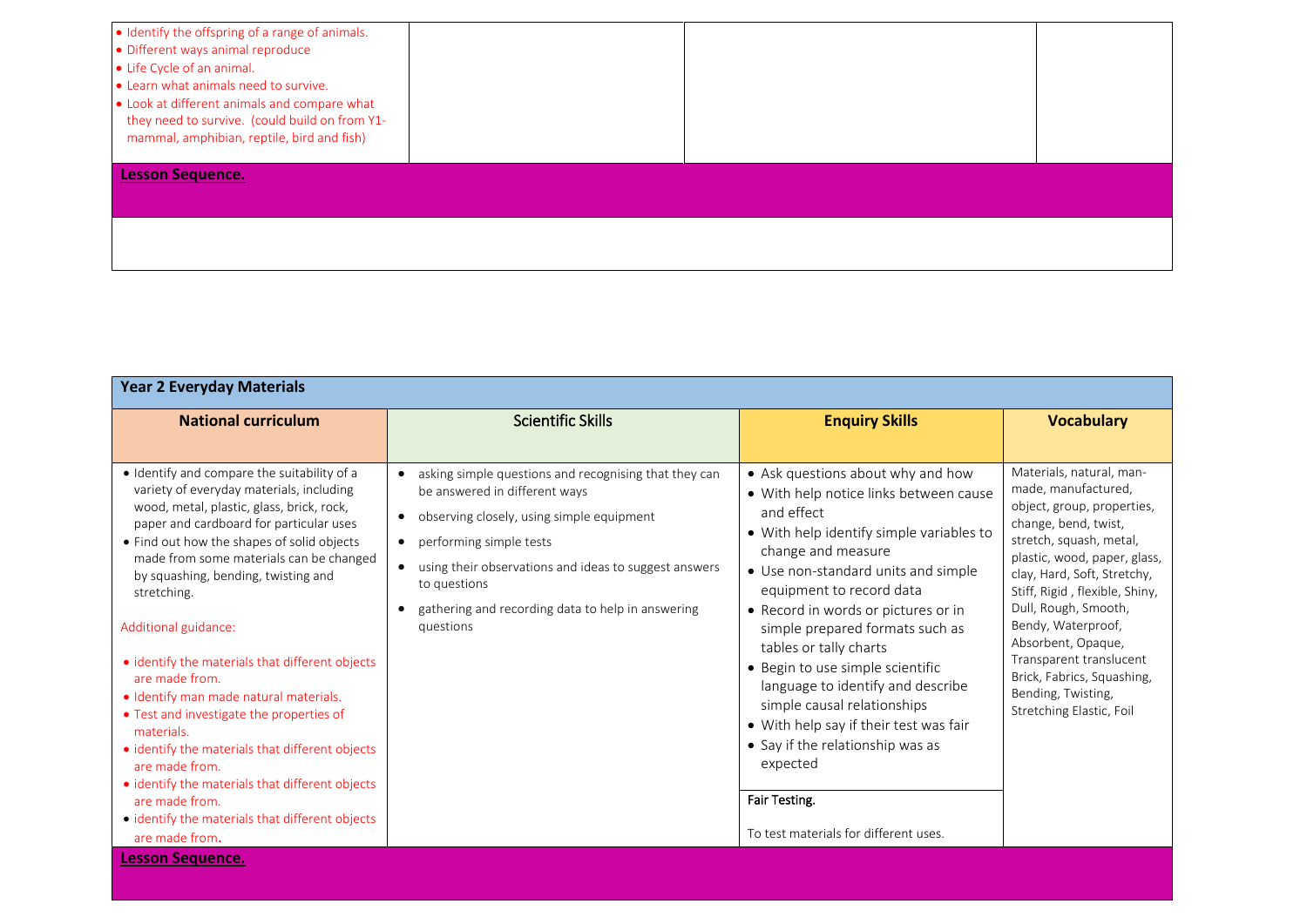| • Identify the offspring of a range of animals.<br>• Different ways animal reproduce<br>• Life Cycle of an animal.<br>• Learn what animals need to survive.<br>• Look at different animals and compare what<br>they need to survive. (could build on from Y1-<br>mammal, amphibian, reptile, bird and fish) |  |  |
|-------------------------------------------------------------------------------------------------------------------------------------------------------------------------------------------------------------------------------------------------------------------------------------------------------------|--|--|
| <b>Lesson Sequence.</b>                                                                                                                                                                                                                                                                                     |  |  |
|                                                                                                                                                                                                                                                                                                             |  |  |

| <b>Year 2 Everyday Materials</b>                                                                                                                                                                                                                                                                                                                                                                                                                                                                                                                                                                                                                                                                                                               |                                                                                                                                                                                                                                                                                                                                                  |                                                                                                                                                                                                                                                                                                                                                                                                                                                                                                                                                                                                |                                                                                                                                                                                                                                                                                                                                                                                                                  |
|------------------------------------------------------------------------------------------------------------------------------------------------------------------------------------------------------------------------------------------------------------------------------------------------------------------------------------------------------------------------------------------------------------------------------------------------------------------------------------------------------------------------------------------------------------------------------------------------------------------------------------------------------------------------------------------------------------------------------------------------|--------------------------------------------------------------------------------------------------------------------------------------------------------------------------------------------------------------------------------------------------------------------------------------------------------------------------------------------------|------------------------------------------------------------------------------------------------------------------------------------------------------------------------------------------------------------------------------------------------------------------------------------------------------------------------------------------------------------------------------------------------------------------------------------------------------------------------------------------------------------------------------------------------------------------------------------------------|------------------------------------------------------------------------------------------------------------------------------------------------------------------------------------------------------------------------------------------------------------------------------------------------------------------------------------------------------------------------------------------------------------------|
| <b>National curriculum</b>                                                                                                                                                                                                                                                                                                                                                                                                                                                                                                                                                                                                                                                                                                                     | <b>Scientific Skills</b>                                                                                                                                                                                                                                                                                                                         | <b>Enquiry Skills</b>                                                                                                                                                                                                                                                                                                                                                                                                                                                                                                                                                                          | <b>Vocabulary</b>                                                                                                                                                                                                                                                                                                                                                                                                |
| • Identify and compare the suitability of a<br>variety of everyday materials, including<br>wood, metal, plastic, glass, brick, rock,<br>paper and cardboard for particular uses<br>• Find out how the shapes of solid objects<br>made from some materials can be changed<br>by squashing, bending, twisting and<br>stretching.<br>Additional guidance:<br>• identify the materials that different objects<br>are made from.<br>· Identify man made natural materials.<br>• Test and investigate the properties of<br>materials.<br>• identify the materials that different objects<br>are made from.<br>· identify the materials that different objects<br>are made from.<br>• identify the materials that different objects<br>are made from. | asking simple questions and recognising that they can<br>be answered in different ways<br>observing closely, using simple equipment<br>$\bullet$<br>performing simple tests<br>$\bullet$<br>using their observations and ideas to suggest answers<br>$\bullet$<br>to questions<br>gathering and recording data to help in answering<br>questions | • Ask questions about why and how<br>· With help notice links between cause<br>and effect<br>• With help identify simple variables to<br>change and measure<br>• Use non-standard units and simple<br>equipment to record data<br>• Record in words or pictures or in<br>simple prepared formats such as<br>tables or tally charts<br>• Begin to use simple scientific<br>language to identify and describe<br>simple causal relationships<br>• With help say if their test was fair<br>• Say if the relationship was as<br>expected<br>Fair Testing.<br>To test materials for different uses. | Materials, natural, man-<br>made, manufactured,<br>object, group, properties,<br>change, bend, twist,<br>stretch, squash, metal,<br>plastic, wood, paper, glass,<br>clay, Hard, Soft, Stretchy,<br>Stiff, Rigid, flexible, Shiny,<br>Dull, Rough, Smooth,<br>Bendy, Waterproof,<br>Absorbent, Opaque,<br>Transparent translucent<br>Brick, Fabrics, Squashing,<br>Bending, Twisting,<br>Stretching Elastic, Foil |
| <b>Lesson Sequence.</b>                                                                                                                                                                                                                                                                                                                                                                                                                                                                                                                                                                                                                                                                                                                        |                                                                                                                                                                                                                                                                                                                                                  |                                                                                                                                                                                                                                                                                                                                                                                                                                                                                                                                                                                                |                                                                                                                                                                                                                                                                                                                                                                                                                  |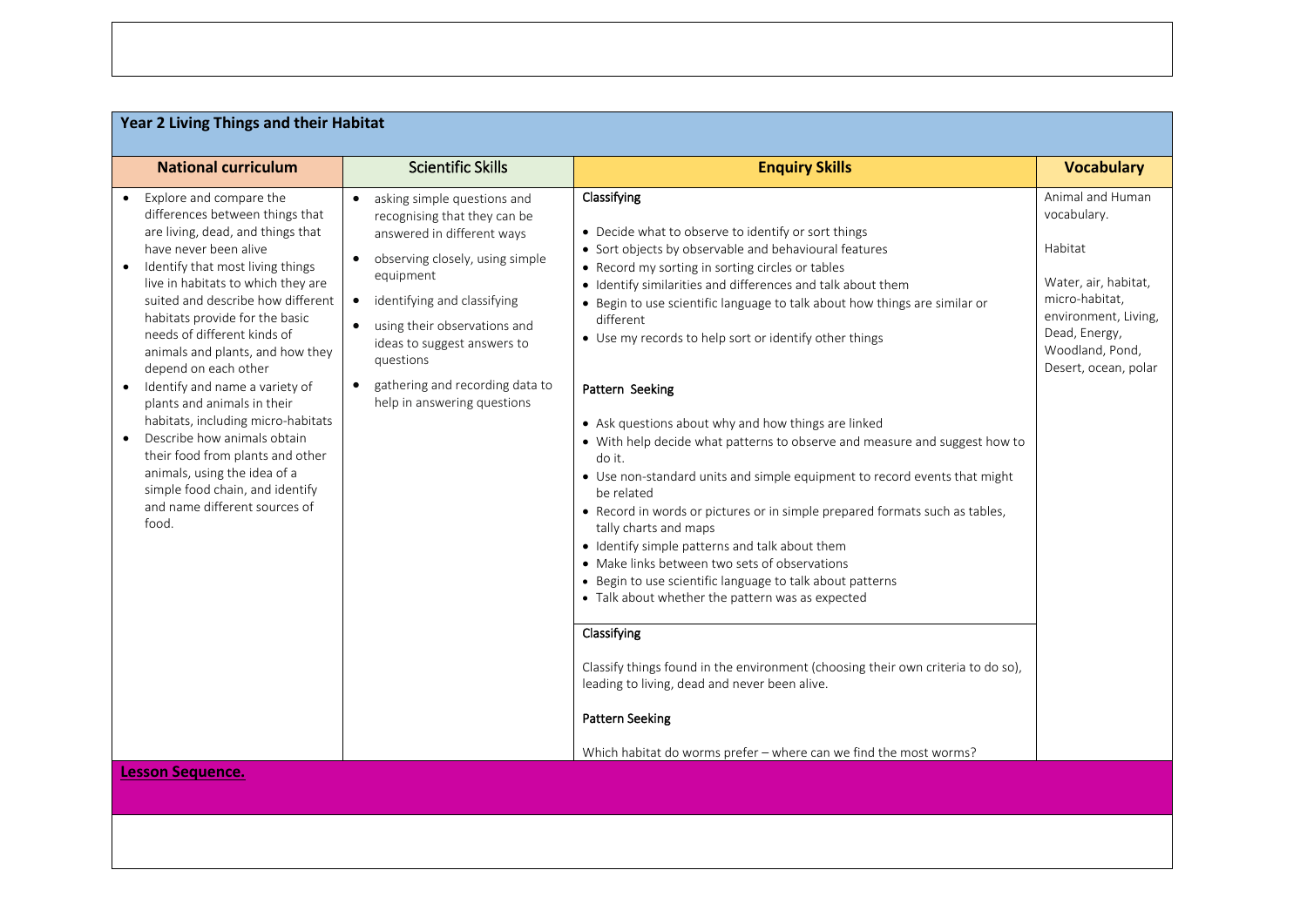| Year 2 Living Things and their Habitat                                                                                                                                                                                                                                                                                                                                                                                                                                                                                                                                                                                                                                   |                                                                                                                                                                                                                                                                                                                                                                 |                                                                                                                                                                                                                                                                                                                                                                                                                                                                                                                                                                                                                                                                                                                                                                                                                                                                                                                                                                                                                                                                                                                                                                                                                                                 |                                                                                                                                                                          |
|--------------------------------------------------------------------------------------------------------------------------------------------------------------------------------------------------------------------------------------------------------------------------------------------------------------------------------------------------------------------------------------------------------------------------------------------------------------------------------------------------------------------------------------------------------------------------------------------------------------------------------------------------------------------------|-----------------------------------------------------------------------------------------------------------------------------------------------------------------------------------------------------------------------------------------------------------------------------------------------------------------------------------------------------------------|-------------------------------------------------------------------------------------------------------------------------------------------------------------------------------------------------------------------------------------------------------------------------------------------------------------------------------------------------------------------------------------------------------------------------------------------------------------------------------------------------------------------------------------------------------------------------------------------------------------------------------------------------------------------------------------------------------------------------------------------------------------------------------------------------------------------------------------------------------------------------------------------------------------------------------------------------------------------------------------------------------------------------------------------------------------------------------------------------------------------------------------------------------------------------------------------------------------------------------------------------|--------------------------------------------------------------------------------------------------------------------------------------------------------------------------|
| <b>National curriculum</b>                                                                                                                                                                                                                                                                                                                                                                                                                                                                                                                                                                                                                                               | <b>Scientific Skills</b>                                                                                                                                                                                                                                                                                                                                        | <b>Enquiry Skills</b>                                                                                                                                                                                                                                                                                                                                                                                                                                                                                                                                                                                                                                                                                                                                                                                                                                                                                                                                                                                                                                                                                                                                                                                                                           | <b>Vocabulary</b>                                                                                                                                                        |
| Explore and compare the<br>differences between things that<br>are living, dead, and things that<br>have never been alive<br>Identify that most living things<br>live in habitats to which they are<br>suited and describe how different<br>habitats provide for the basic<br>needs of different kinds of<br>animals and plants, and how they<br>depend on each other<br>Identify and name a variety of<br>$\bullet$<br>plants and animals in their<br>habitats, including micro-habitats<br>Describe how animals obtain<br>their food from plants and other<br>animals, using the idea of a<br>simple food chain, and identify<br>and name different sources of<br>food. | • asking simple questions and<br>recognising that they can be<br>answered in different ways<br>observing closely, using simple<br>$\bullet$<br>equipment<br>identifying and classifying<br>$\bullet$<br>using their observations and<br>ideas to suggest answers to<br>questions<br>gathering and recording data to<br>$\bullet$<br>help in answering questions | Classifying<br>• Decide what to observe to identify or sort things<br>• Sort objects by observable and behavioural features<br>• Record my sorting in sorting circles or tables<br>· Identify similarities and differences and talk about them<br>• Begin to use scientific language to talk about how things are similar or<br>different<br>• Use my records to help sort or identify other things<br>Pattern Seeking<br>• Ask questions about why and how things are linked<br>• With help decide what patterns to observe and measure and suggest how to<br>do it.<br>• Use non-standard units and simple equipment to record events that might<br>be related<br>• Record in words or pictures or in simple prepared formats such as tables,<br>tally charts and maps<br>• Identify simple patterns and talk about them<br>• Make links between two sets of observations<br>• Begin to use scientific language to talk about patterns<br>• Talk about whether the pattern was as expected<br>Classifying<br>Classify things found in the environment (choosing their own criteria to do so),<br>leading to living, dead and never been alive.<br><b>Pattern Seeking</b><br>Which habitat do worms prefer - where can we find the most worms? | Animal and Human<br>vocabulary.<br>Habitat<br>Water, air, habitat,<br>micro-habitat,<br>environment, Living,<br>Dead, Energy,<br>Woodland, Pond,<br>Desert, ocean, polar |
| <b>Lesson Sequence.</b>                                                                                                                                                                                                                                                                                                                                                                                                                                                                                                                                                                                                                                                  |                                                                                                                                                                                                                                                                                                                                                                 |                                                                                                                                                                                                                                                                                                                                                                                                                                                                                                                                                                                                                                                                                                                                                                                                                                                                                                                                                                                                                                                                                                                                                                                                                                                 |                                                                                                                                                                          |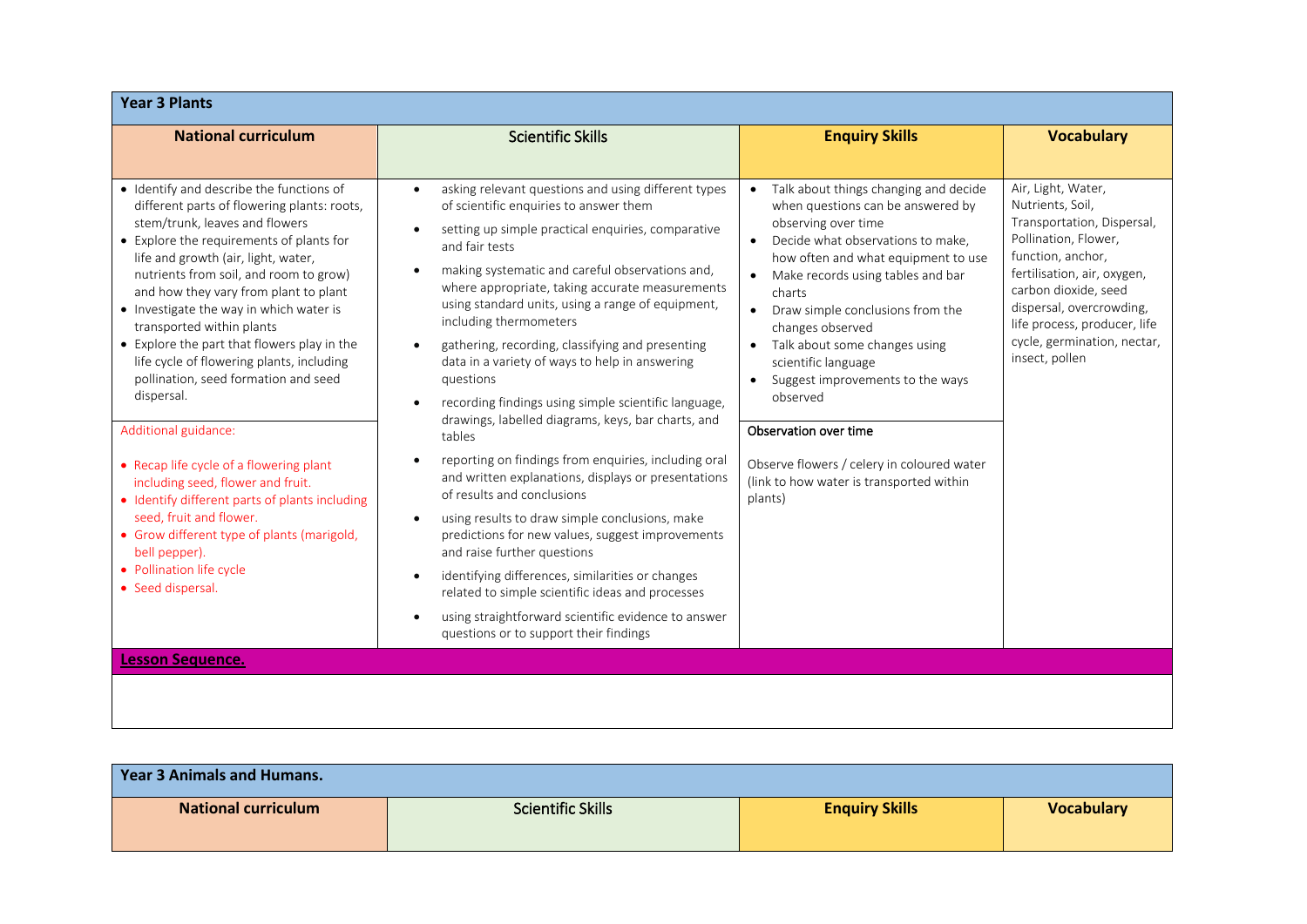| <b>Year 3 Plants</b>                                                                                                                                                                                                                                                                                                                                                                                                                                                                                                                                                                                                                                                                                                                                                                                                           |                                                                                                                                                                                                                                                                                                                                                                                                                                                                                                                                                                                                                                                                                                                                                                                                                                                                                                                                                                                                                                                                                                                                                                                                                       |                                                                                                                                                                                                                                                                                                                                                                                                                                                                                                                                                                   |                                                                                                                                                                                                                                                                                       |
|--------------------------------------------------------------------------------------------------------------------------------------------------------------------------------------------------------------------------------------------------------------------------------------------------------------------------------------------------------------------------------------------------------------------------------------------------------------------------------------------------------------------------------------------------------------------------------------------------------------------------------------------------------------------------------------------------------------------------------------------------------------------------------------------------------------------------------|-----------------------------------------------------------------------------------------------------------------------------------------------------------------------------------------------------------------------------------------------------------------------------------------------------------------------------------------------------------------------------------------------------------------------------------------------------------------------------------------------------------------------------------------------------------------------------------------------------------------------------------------------------------------------------------------------------------------------------------------------------------------------------------------------------------------------------------------------------------------------------------------------------------------------------------------------------------------------------------------------------------------------------------------------------------------------------------------------------------------------------------------------------------------------------------------------------------------------|-------------------------------------------------------------------------------------------------------------------------------------------------------------------------------------------------------------------------------------------------------------------------------------------------------------------------------------------------------------------------------------------------------------------------------------------------------------------------------------------------------------------------------------------------------------------|---------------------------------------------------------------------------------------------------------------------------------------------------------------------------------------------------------------------------------------------------------------------------------------|
| <b>National curriculum</b>                                                                                                                                                                                                                                                                                                                                                                                                                                                                                                                                                                                                                                                                                                                                                                                                     | <b>Scientific Skills</b>                                                                                                                                                                                                                                                                                                                                                                                                                                                                                                                                                                                                                                                                                                                                                                                                                                                                                                                                                                                                                                                                                                                                                                                              | <b>Enquiry Skills</b>                                                                                                                                                                                                                                                                                                                                                                                                                                                                                                                                             | <b>Vocabulary</b>                                                                                                                                                                                                                                                                     |
| • Identify and describe the functions of<br>different parts of flowering plants: roots,<br>stem/trunk, leaves and flowers<br>• Explore the requirements of plants for<br>life and growth (air, light, water,<br>nutrients from soil, and room to grow)<br>and how they vary from plant to plant<br>• Investigate the way in which water is<br>transported within plants<br>• Explore the part that flowers play in the<br>life cycle of flowering plants, including<br>pollination, seed formation and seed<br>dispersal.<br>Additional guidance:<br>• Recap life cycle of a flowering plant<br>including seed, flower and fruit.<br>· Identify different parts of plants including<br>seed, fruit and flower.<br>• Grow different type of plants (marigold,<br>bell pepper).<br>• Pollination life cycle<br>• Seed dispersal. | asking relevant questions and using different types<br>$\bullet$<br>of scientific enquiries to answer them<br>setting up simple practical enquiries, comparative<br>$\bullet$<br>and fair tests<br>making systematic and careful observations and,<br>$\bullet$<br>where appropriate, taking accurate measurements<br>using standard units, using a range of equipment,<br>including thermometers<br>gathering, recording, classifying and presenting<br>$\bullet$<br>data in a variety of ways to help in answering<br>questions<br>recording findings using simple scientific language,<br>$\bullet$<br>drawings, labelled diagrams, keys, bar charts, and<br>tables<br>reporting on findings from enquiries, including oral<br>$\bullet$<br>and written explanations, displays or presentations<br>of results and conclusions<br>using results to draw simple conclusions, make<br>$\bullet$<br>predictions for new values, suggest improvements<br>and raise further questions<br>identifying differences, similarities or changes<br>$\bullet$<br>related to simple scientific ideas and processes<br>using straightforward scientific evidence to answer<br>$\bullet$<br>questions or to support their findings | Talk about things changing and decide<br>$\bullet$<br>when questions can be answered by<br>observing over time<br>Decide what observations to make,<br>$\bullet$<br>how often and what equipment to use<br>Make records using tables and bar<br>charts<br>Draw simple conclusions from the<br>$\bullet$<br>changes observed<br>Talk about some changes using<br>scientific language<br>Suggest improvements to the ways<br>observed<br>Observation over time<br>Observe flowers / celery in coloured water<br>(link to how water is transported within<br>plants) | Air, Light, Water,<br>Nutrients, Soil,<br>Transportation, Dispersal,<br>Pollination, Flower,<br>function, anchor,<br>fertilisation, air, oxygen,<br>carbon dioxide, seed<br>dispersal, overcrowding,<br>life process, producer, life<br>cycle, germination, nectar,<br>insect, pollen |
| <b>Lesson Sequence.</b>                                                                                                                                                                                                                                                                                                                                                                                                                                                                                                                                                                                                                                                                                                                                                                                                        |                                                                                                                                                                                                                                                                                                                                                                                                                                                                                                                                                                                                                                                                                                                                                                                                                                                                                                                                                                                                                                                                                                                                                                                                                       |                                                                                                                                                                                                                                                                                                                                                                                                                                                                                                                                                                   |                                                                                                                                                                                                                                                                                       |
|                                                                                                                                                                                                                                                                                                                                                                                                                                                                                                                                                                                                                                                                                                                                                                                                                                |                                                                                                                                                                                                                                                                                                                                                                                                                                                                                                                                                                                                                                                                                                                                                                                                                                                                                                                                                                                                                                                                                                                                                                                                                       |                                                                                                                                                                                                                                                                                                                                                                                                                                                                                                                                                                   |                                                                                                                                                                                                                                                                                       |

| <b>Year 3 Animals and Humans.</b> |                          |                       |                   |
|-----------------------------------|--------------------------|-----------------------|-------------------|
| <b>National curriculum</b>        | <b>Scientific Skills</b> | <b>Enquiry Skills</b> | <b>Vocabulary</b> |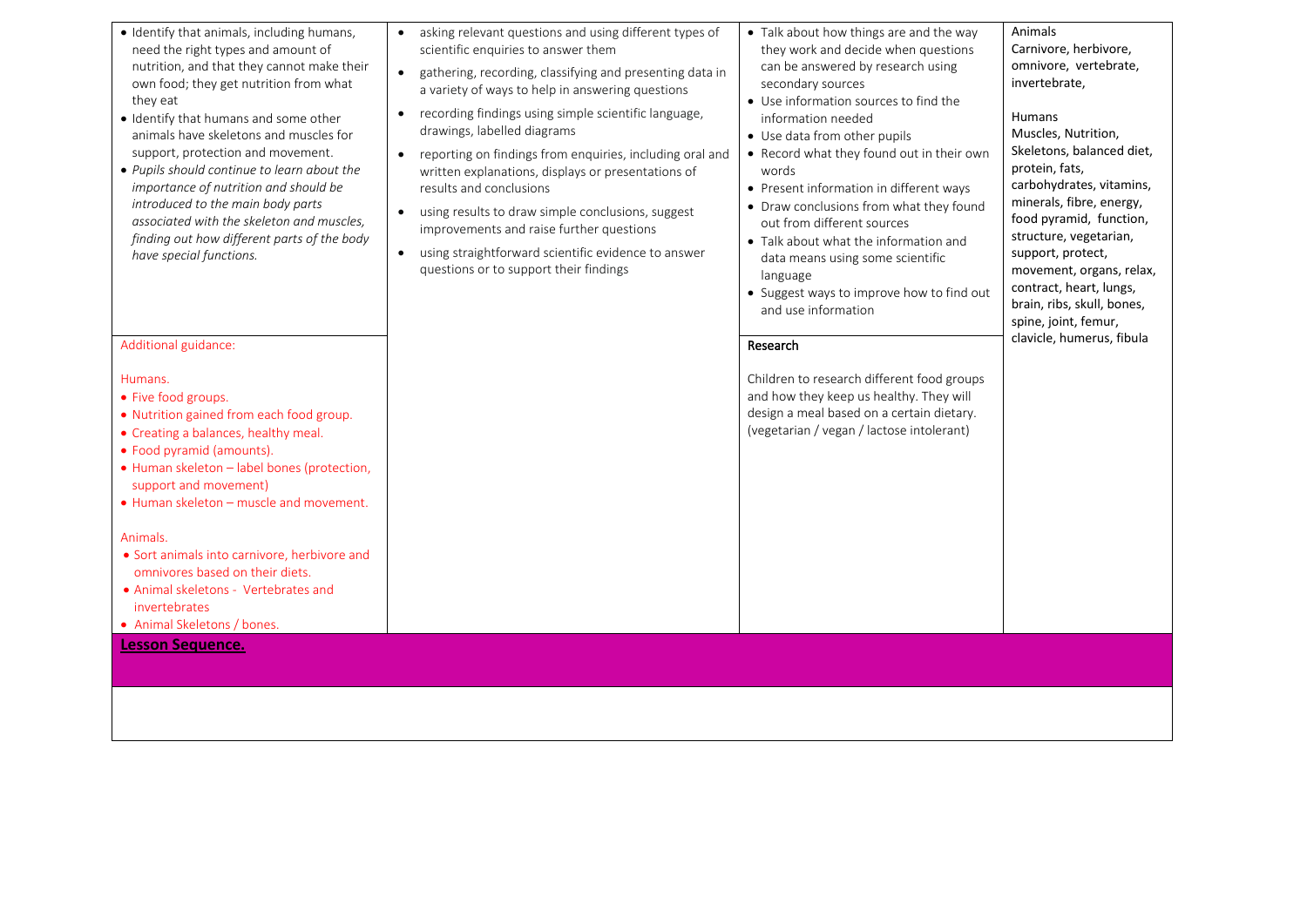| · Identify that animals, including humans,<br>need the right types and amount of<br>nutrition, and that they cannot make their<br>own food; they get nutrition from what<br>they eat<br>· Identify that humans and some other<br>animals have skeletons and muscles for<br>support, protection and movement.<br>• Pupils should continue to learn about the<br>importance of nutrition and should be<br>introduced to the main body parts<br>associated with the skeleton and muscles,<br>finding out how different parts of the body<br>have special functions.<br>Additional guidance:<br>Humans.<br>• Five food groups.<br>• Nutrition gained from each food group.<br>• Creating a balances, healthy meal.<br>• Food pyramid (amounts).<br>• Human skeleton - label bones (protection,<br>support and movement)<br>• Human skeleton – muscle and movement.<br>Animals.<br>• Sort animals into carnivore, herbivore and<br>omnivores based on their diets.<br>• Animal skeletons - Vertebrates and<br>invertebrates<br>• Animal Skeletons / bones. | asking relevant questions and using different types of<br>$\bullet$<br>scientific enquiries to answer them<br>gathering, recording, classifying and presenting data in<br>$\bullet$<br>a variety of ways to help in answering questions<br>recording findings using simple scientific language,<br>$\bullet$<br>drawings, labelled diagrams<br>reporting on findings from enquiries, including oral and<br>$\bullet$<br>written explanations, displays or presentations of<br>results and conclusions<br>using results to draw simple conclusions, suggest<br>$\bullet$<br>improvements and raise further questions<br>using straightforward scientific evidence to answer<br>$\bullet$<br>questions or to support their findings | • Talk about how things are and the way<br>they work and decide when questions<br>can be answered by research using<br>secondary sources<br>• Use information sources to find the<br>information needed<br>• Use data from other pupils<br>• Record what they found out in their own<br>words<br>• Present information in different ways<br>• Draw conclusions from what they found<br>out from different sources<br>• Talk about what the information and<br>data means using some scientific<br>language<br>• Suggest ways to improve how to find out<br>and use information<br>Research<br>Children to research different food groups<br>and how they keep us healthy. They will<br>design a meal based on a certain dietary.<br>(vegetarian / vegan / lactose intolerant) | Animals<br>Carnivore, herbivore,<br>omnivore, vertebrate,<br>invertebrate,<br><b>Humans</b><br>Muscles, Nutrition,<br>Skeletons, balanced diet,<br>protein, fats,<br>carbohydrates, vitamins,<br>minerals, fibre, energy,<br>food pyramid, function,<br>structure, vegetarian,<br>support, protect,<br>movement, organs, relax,<br>contract, heart, lungs,<br>brain, ribs, skull, bones,<br>spine, joint, femur,<br>clavicle, humerus, fibula |
|-------------------------------------------------------------------------------------------------------------------------------------------------------------------------------------------------------------------------------------------------------------------------------------------------------------------------------------------------------------------------------------------------------------------------------------------------------------------------------------------------------------------------------------------------------------------------------------------------------------------------------------------------------------------------------------------------------------------------------------------------------------------------------------------------------------------------------------------------------------------------------------------------------------------------------------------------------------------------------------------------------------------------------------------------------|-----------------------------------------------------------------------------------------------------------------------------------------------------------------------------------------------------------------------------------------------------------------------------------------------------------------------------------------------------------------------------------------------------------------------------------------------------------------------------------------------------------------------------------------------------------------------------------------------------------------------------------------------------------------------------------------------------------------------------------|-------------------------------------------------------------------------------------------------------------------------------------------------------------------------------------------------------------------------------------------------------------------------------------------------------------------------------------------------------------------------------------------------------------------------------------------------------------------------------------------------------------------------------------------------------------------------------------------------------------------------------------------------------------------------------------------------------------------------------------------------------------------------------|-----------------------------------------------------------------------------------------------------------------------------------------------------------------------------------------------------------------------------------------------------------------------------------------------------------------------------------------------------------------------------------------------------------------------------------------------|
| <b>Lesson Sequence.</b>                                                                                                                                                                                                                                                                                                                                                                                                                                                                                                                                                                                                                                                                                                                                                                                                                                                                                                                                                                                                                               |                                                                                                                                                                                                                                                                                                                                                                                                                                                                                                                                                                                                                                                                                                                                   |                                                                                                                                                                                                                                                                                                                                                                                                                                                                                                                                                                                                                                                                                                                                                                               |                                                                                                                                                                                                                                                                                                                                                                                                                                               |
|                                                                                                                                                                                                                                                                                                                                                                                                                                                                                                                                                                                                                                                                                                                                                                                                                                                                                                                                                                                                                                                       |                                                                                                                                                                                                                                                                                                                                                                                                                                                                                                                                                                                                                                                                                                                                   |                                                                                                                                                                                                                                                                                                                                                                                                                                                                                                                                                                                                                                                                                                                                                                               |                                                                                                                                                                                                                                                                                                                                                                                                                                               |
|                                                                                                                                                                                                                                                                                                                                                                                                                                                                                                                                                                                                                                                                                                                                                                                                                                                                                                                                                                                                                                                       |                                                                                                                                                                                                                                                                                                                                                                                                                                                                                                                                                                                                                                                                                                                                   |                                                                                                                                                                                                                                                                                                                                                                                                                                                                                                                                                                                                                                                                                                                                                                               |                                                                                                                                                                                                                                                                                                                                                                                                                                               |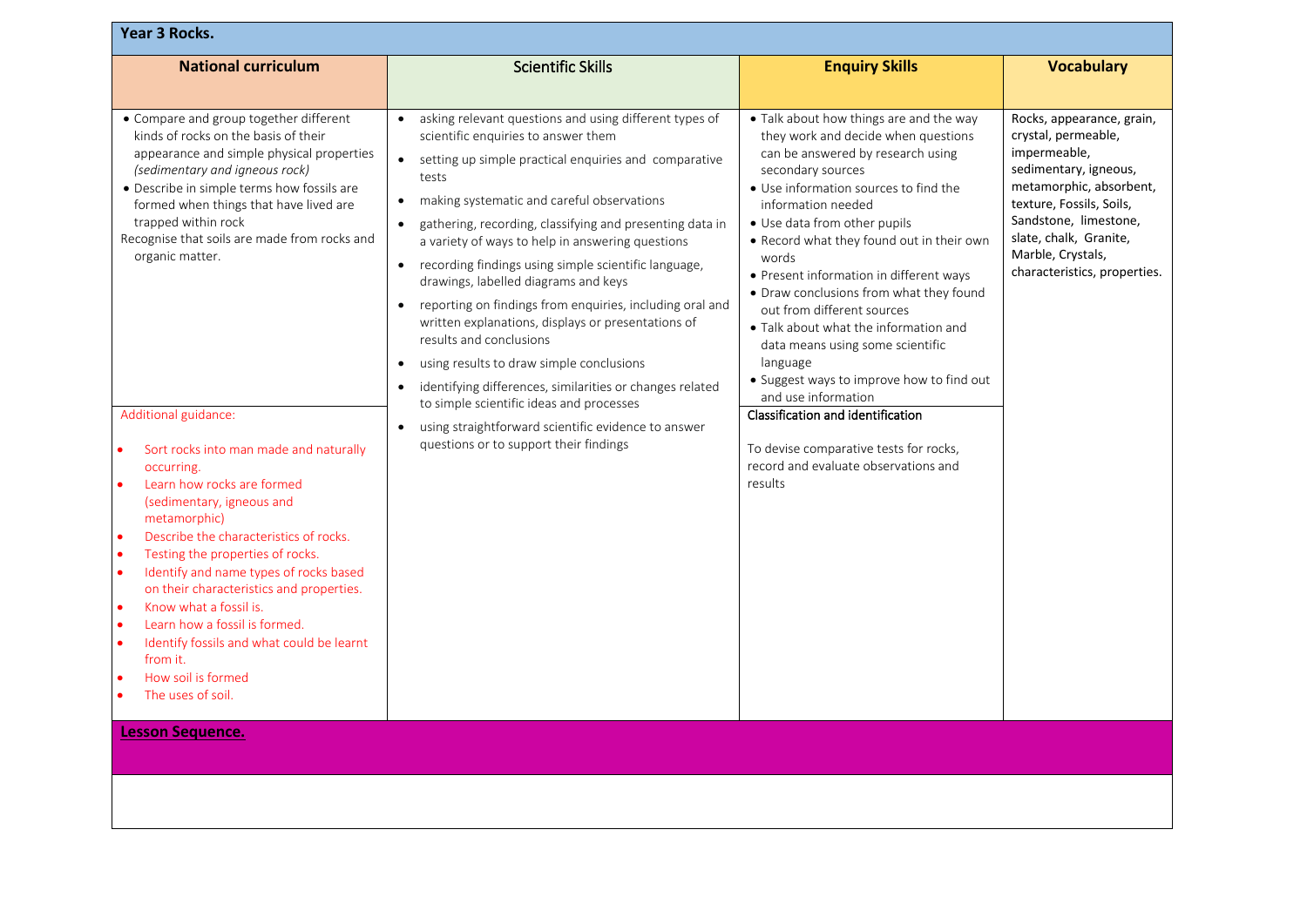| <b>Year 3 Rocks.</b>                                                                                                                                                                                                                                                                                                                                                                                                                                                                                                                                                                                                                                                                                                                                                                                                         |                                                                                                                                                                                                                                                                                                                                                                                                                                                                                                                                                                                                                                                                                                                                                                                                                                                                                                                                           |                                                                                                                                                                                                                                                                                                                                                                                                                                                                                                                                                                                                                                                                                                                  |                                                                                                                                                                                                                                                          |  |
|------------------------------------------------------------------------------------------------------------------------------------------------------------------------------------------------------------------------------------------------------------------------------------------------------------------------------------------------------------------------------------------------------------------------------------------------------------------------------------------------------------------------------------------------------------------------------------------------------------------------------------------------------------------------------------------------------------------------------------------------------------------------------------------------------------------------------|-------------------------------------------------------------------------------------------------------------------------------------------------------------------------------------------------------------------------------------------------------------------------------------------------------------------------------------------------------------------------------------------------------------------------------------------------------------------------------------------------------------------------------------------------------------------------------------------------------------------------------------------------------------------------------------------------------------------------------------------------------------------------------------------------------------------------------------------------------------------------------------------------------------------------------------------|------------------------------------------------------------------------------------------------------------------------------------------------------------------------------------------------------------------------------------------------------------------------------------------------------------------------------------------------------------------------------------------------------------------------------------------------------------------------------------------------------------------------------------------------------------------------------------------------------------------------------------------------------------------------------------------------------------------|----------------------------------------------------------------------------------------------------------------------------------------------------------------------------------------------------------------------------------------------------------|--|
| <b>National curriculum</b>                                                                                                                                                                                                                                                                                                                                                                                                                                                                                                                                                                                                                                                                                                                                                                                                   | <b>Scientific Skills</b>                                                                                                                                                                                                                                                                                                                                                                                                                                                                                                                                                                                                                                                                                                                                                                                                                                                                                                                  | <b>Enquiry Skills</b>                                                                                                                                                                                                                                                                                                                                                                                                                                                                                                                                                                                                                                                                                            | <b>Vocabulary</b>                                                                                                                                                                                                                                        |  |
| • Compare and group together different<br>kinds of rocks on the basis of their<br>appearance and simple physical properties<br>(sedimentary and igneous rock)<br>• Describe in simple terms how fossils are<br>formed when things that have lived are<br>trapped within rock<br>Recognise that soils are made from rocks and<br>organic matter.<br>Additional guidance:<br>Sort rocks into man made and naturally<br>occurring.<br>Learn how rocks are formed<br>(sedimentary, igneous and<br>metamorphic)<br>Describe the characteristics of rocks.<br>$\bullet$<br>Testing the properties of rocks.<br>Identify and name types of rocks based<br>on their characteristics and properties.<br>Know what a fossil is.<br>Learn how a fossil is formed.<br>$\bullet$<br>Identify fossils and what could be learnt<br>from it. | asking relevant questions and using different types of<br>$\bullet$<br>scientific enquiries to answer them<br>setting up simple practical enquiries and comparative<br>$\bullet$<br>tests<br>making systematic and careful observations<br>$\bullet$<br>gathering, recording, classifying and presenting data in<br>$\bullet$<br>a variety of ways to help in answering questions<br>• recording findings using simple scientific language,<br>drawings, labelled diagrams and keys<br>reporting on findings from enquiries, including oral and<br>$\bullet$<br>written explanations, displays or presentations of<br>results and conclusions<br>using results to draw simple conclusions<br>$\bullet$<br>identifying differences, similarities or changes related<br>$\bullet$<br>to simple scientific ideas and processes<br>using straightforward scientific evidence to answer<br>$\bullet$<br>questions or to support their findings | • Talk about how things are and the way<br>they work and decide when questions<br>can be answered by research using<br>secondary sources<br>• Use information sources to find the<br>information needed<br>• Use data from other pupils<br>• Record what they found out in their own<br>words<br>• Present information in different ways<br>• Draw conclusions from what they found<br>out from different sources<br>• Talk about what the information and<br>data means using some scientific<br>language<br>• Suggest ways to improve how to find out<br>and use information<br>Classification and identification<br>To devise comparative tests for rocks,<br>record and evaluate observations and<br>results | Rocks, appearance, grain,<br>crystal, permeable,<br>impermeable,<br>sedimentary, igneous,<br>metamorphic, absorbent,<br>texture, Fossils, Soils,<br>Sandstone, limestone,<br>slate, chalk, Granite,<br>Marble, Crystals,<br>characteristics, properties. |  |
| How soil is formed<br>The uses of soil.                                                                                                                                                                                                                                                                                                                                                                                                                                                                                                                                                                                                                                                                                                                                                                                      |                                                                                                                                                                                                                                                                                                                                                                                                                                                                                                                                                                                                                                                                                                                                                                                                                                                                                                                                           |                                                                                                                                                                                                                                                                                                                                                                                                                                                                                                                                                                                                                                                                                                                  |                                                                                                                                                                                                                                                          |  |
| <b>Lesson Sequence.</b>                                                                                                                                                                                                                                                                                                                                                                                                                                                                                                                                                                                                                                                                                                                                                                                                      |                                                                                                                                                                                                                                                                                                                                                                                                                                                                                                                                                                                                                                                                                                                                                                                                                                                                                                                                           |                                                                                                                                                                                                                                                                                                                                                                                                                                                                                                                                                                                                                                                                                                                  |                                                                                                                                                                                                                                                          |  |
|                                                                                                                                                                                                                                                                                                                                                                                                                                                                                                                                                                                                                                                                                                                                                                                                                              |                                                                                                                                                                                                                                                                                                                                                                                                                                                                                                                                                                                                                                                                                                                                                                                                                                                                                                                                           |                                                                                                                                                                                                                                                                                                                                                                                                                                                                                                                                                                                                                                                                                                                  |                                                                                                                                                                                                                                                          |  |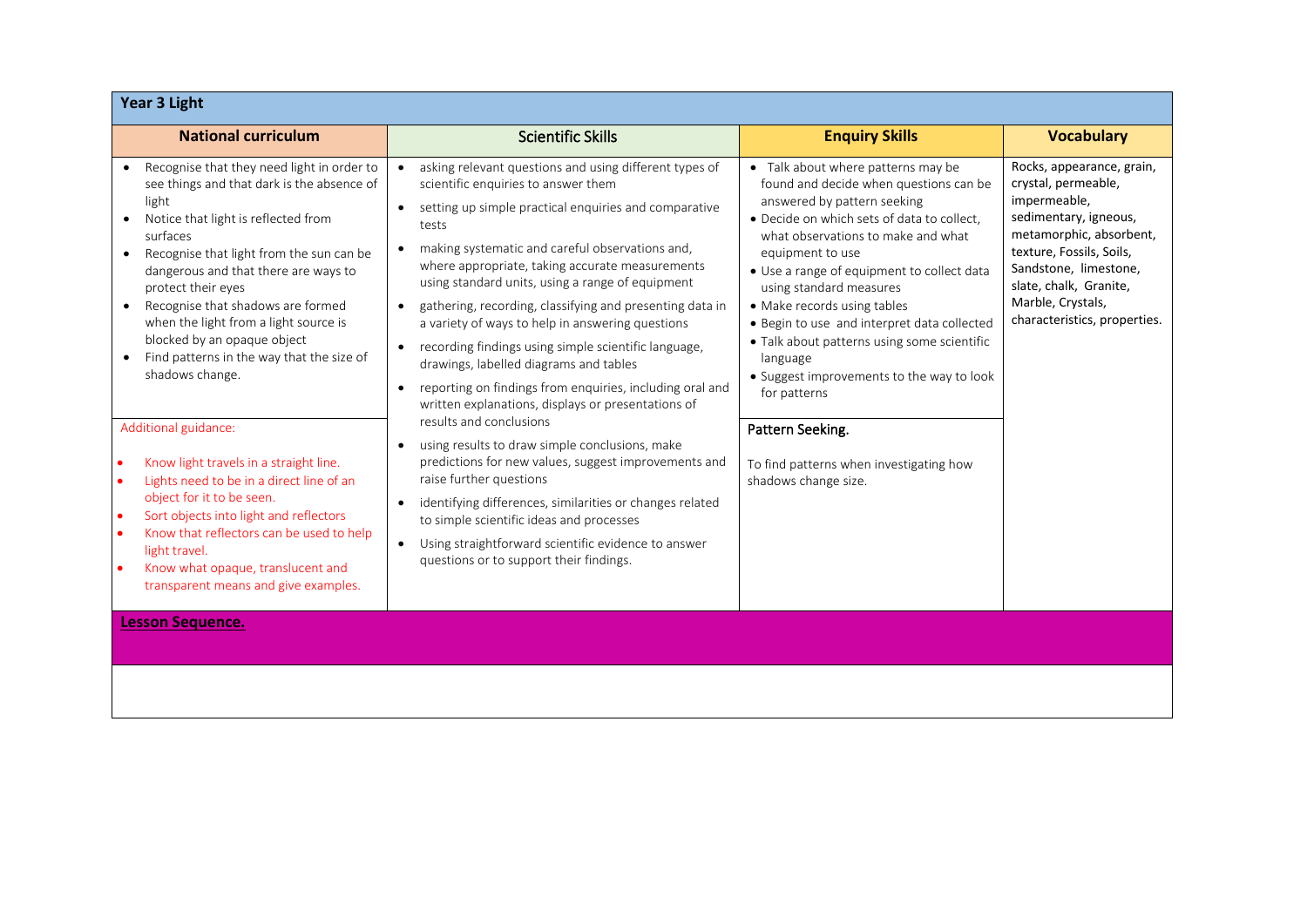| <b>Year 3 Light</b>                                                                                                                                                                                                                                                                                                                                                                                                                                                                                                                                                                                                                                                                                                                                                                                  |                                                                                                                                                                                                                                                                                                                                                                                                                                                                                                                                                                                                                                                                                                                                                                                                                                                                                                                                                                                                                                                                                                                                    |                                                                                                                                                                                                                                                                                                                                                                                                                                                                                                                                                                                           |                                                                                                                                                                                                                                                          |
|------------------------------------------------------------------------------------------------------------------------------------------------------------------------------------------------------------------------------------------------------------------------------------------------------------------------------------------------------------------------------------------------------------------------------------------------------------------------------------------------------------------------------------------------------------------------------------------------------------------------------------------------------------------------------------------------------------------------------------------------------------------------------------------------------|------------------------------------------------------------------------------------------------------------------------------------------------------------------------------------------------------------------------------------------------------------------------------------------------------------------------------------------------------------------------------------------------------------------------------------------------------------------------------------------------------------------------------------------------------------------------------------------------------------------------------------------------------------------------------------------------------------------------------------------------------------------------------------------------------------------------------------------------------------------------------------------------------------------------------------------------------------------------------------------------------------------------------------------------------------------------------------------------------------------------------------|-------------------------------------------------------------------------------------------------------------------------------------------------------------------------------------------------------------------------------------------------------------------------------------------------------------------------------------------------------------------------------------------------------------------------------------------------------------------------------------------------------------------------------------------------------------------------------------------|----------------------------------------------------------------------------------------------------------------------------------------------------------------------------------------------------------------------------------------------------------|
| <b>National curriculum</b>                                                                                                                                                                                                                                                                                                                                                                                                                                                                                                                                                                                                                                                                                                                                                                           | <b>Scientific Skills</b>                                                                                                                                                                                                                                                                                                                                                                                                                                                                                                                                                                                                                                                                                                                                                                                                                                                                                                                                                                                                                                                                                                           | <b>Enquiry Skills</b>                                                                                                                                                                                                                                                                                                                                                                                                                                                                                                                                                                     | <b>Vocabulary</b>                                                                                                                                                                                                                                        |
| Recognise that they need light in order to<br>see things and that dark is the absence of<br>light<br>Notice that light is reflected from<br>surfaces<br>Recognise that light from the sun can be<br>$\bullet$<br>dangerous and that there are ways to<br>protect their eyes<br>Recognise that shadows are formed<br>$\bullet$<br>when the light from a light source is<br>blocked by an opaque object<br>Find patterns in the way that the size of<br>shadows change.<br>Additional guidance:<br>Know light travels in a straight line.<br>Lights need to be in a direct line of an<br>object for it to be seen.<br>Sort objects into light and reflectors<br>Know that reflectors can be used to help<br>light travel.<br>Know what opaque, translucent and<br>transparent means and give examples. | asking relevant questions and using different types of<br>scientific enquiries to answer them<br>setting up simple practical enquiries and comparative<br>tests<br>making systematic and careful observations and,<br>$\bullet$<br>where appropriate, taking accurate measurements<br>using standard units, using a range of equipment<br>gathering, recording, classifying and presenting data in<br>$\bullet$<br>a variety of ways to help in answering questions<br>recording findings using simple scientific language,<br>$\bullet$<br>drawings, labelled diagrams and tables<br>reporting on findings from enquiries, including oral and<br>$\bullet$<br>written explanations, displays or presentations of<br>results and conclusions<br>using results to draw simple conclusions, make<br>$\bullet$<br>predictions for new values, suggest improvements and<br>raise further questions<br>identifying differences, similarities or changes related<br>$\bullet$<br>to simple scientific ideas and processes<br>Using straightforward scientific evidence to answer<br>$\bullet$<br>questions or to support their findings. | • Talk about where patterns may be<br>found and decide when questions can be<br>answered by pattern seeking<br>· Decide on which sets of data to collect,<br>what observations to make and what<br>equipment to use<br>• Use a range of equipment to collect data<br>using standard measures<br>• Make records using tables<br>• Begin to use and interpret data collected<br>• Talk about patterns using some scientific<br>language<br>• Suggest improvements to the way to look<br>for patterns<br>Pattern Seeking.<br>To find patterns when investigating how<br>shadows change size. | Rocks, appearance, grain,<br>crystal, permeable,<br>impermeable,<br>sedimentary, igneous,<br>metamorphic, absorbent,<br>texture, Fossils, Soils,<br>Sandstone, limestone,<br>slate, chalk, Granite,<br>Marble, Crystals,<br>characteristics, properties. |
| <b>Lesson Sequence.</b>                                                                                                                                                                                                                                                                                                                                                                                                                                                                                                                                                                                                                                                                                                                                                                              |                                                                                                                                                                                                                                                                                                                                                                                                                                                                                                                                                                                                                                                                                                                                                                                                                                                                                                                                                                                                                                                                                                                                    |                                                                                                                                                                                                                                                                                                                                                                                                                                                                                                                                                                                           |                                                                                                                                                                                                                                                          |
|                                                                                                                                                                                                                                                                                                                                                                                                                                                                                                                                                                                                                                                                                                                                                                                                      |                                                                                                                                                                                                                                                                                                                                                                                                                                                                                                                                                                                                                                                                                                                                                                                                                                                                                                                                                                                                                                                                                                                                    |                                                                                                                                                                                                                                                                                                                                                                                                                                                                                                                                                                                           |                                                                                                                                                                                                                                                          |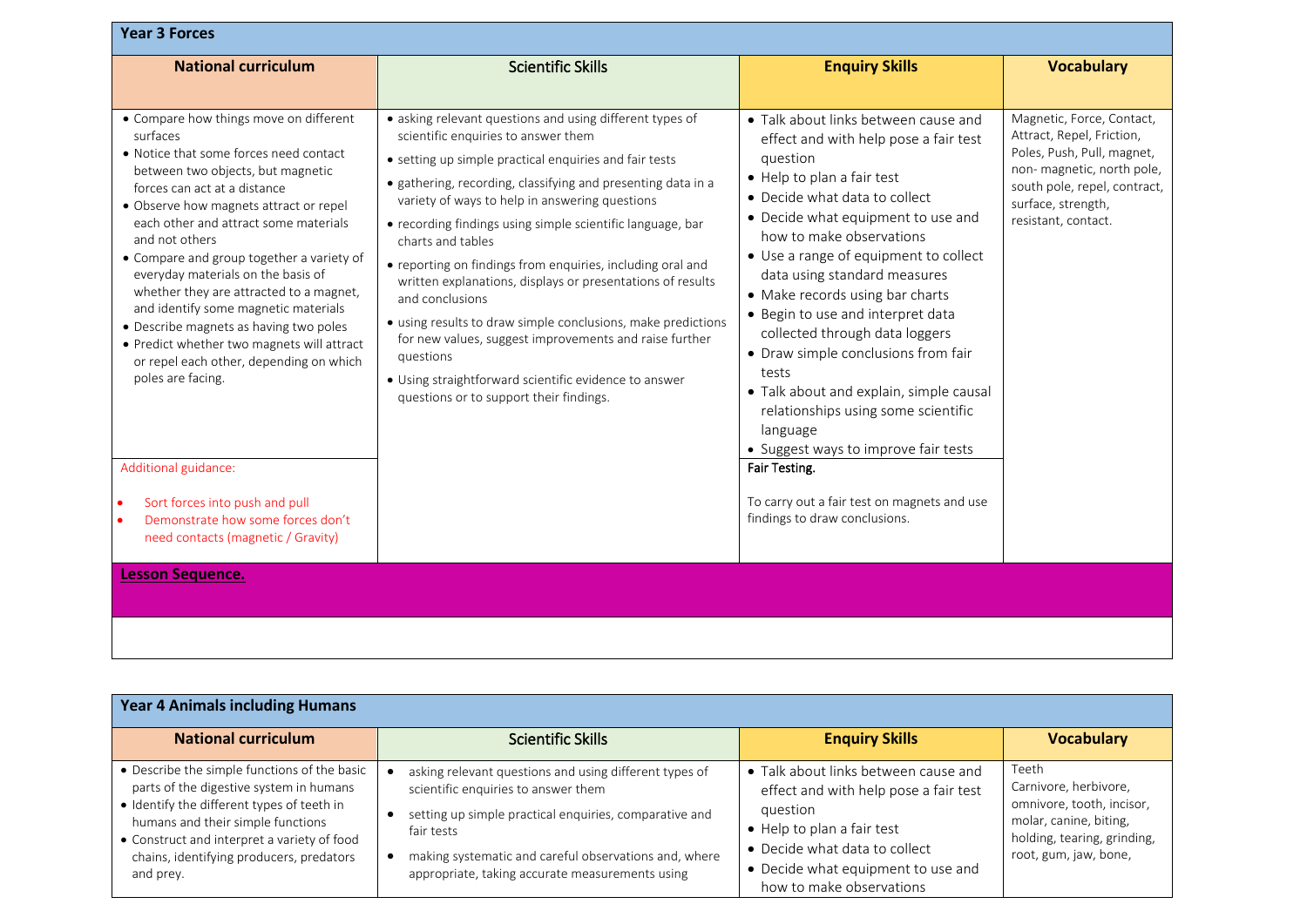| <b>Year 3 Forces</b>                                                                                                                                                                                                                                                                                                                                                                                                                                                                                                                                                                                                         |                                                                                                                                                                                                                                                                                                                                                                                                                                                                                                                                                                                                                                                                                                                                                          |                                                                                                                                                                                                                                                                                                                                                                                                                                                                                                                                                                                                                      |                                                                                                                                                                                                |
|------------------------------------------------------------------------------------------------------------------------------------------------------------------------------------------------------------------------------------------------------------------------------------------------------------------------------------------------------------------------------------------------------------------------------------------------------------------------------------------------------------------------------------------------------------------------------------------------------------------------------|----------------------------------------------------------------------------------------------------------------------------------------------------------------------------------------------------------------------------------------------------------------------------------------------------------------------------------------------------------------------------------------------------------------------------------------------------------------------------------------------------------------------------------------------------------------------------------------------------------------------------------------------------------------------------------------------------------------------------------------------------------|----------------------------------------------------------------------------------------------------------------------------------------------------------------------------------------------------------------------------------------------------------------------------------------------------------------------------------------------------------------------------------------------------------------------------------------------------------------------------------------------------------------------------------------------------------------------------------------------------------------------|------------------------------------------------------------------------------------------------------------------------------------------------------------------------------------------------|
| <b>National curriculum</b>                                                                                                                                                                                                                                                                                                                                                                                                                                                                                                                                                                                                   | <b>Scientific Skills</b>                                                                                                                                                                                                                                                                                                                                                                                                                                                                                                                                                                                                                                                                                                                                 | <b>Enquiry Skills</b>                                                                                                                                                                                                                                                                                                                                                                                                                                                                                                                                                                                                | <b>Vocabulary</b>                                                                                                                                                                              |
| • Compare how things move on different<br>surfaces<br>• Notice that some forces need contact<br>between two objects, but magnetic<br>forces can act at a distance<br>• Observe how magnets attract or repel<br>each other and attract some materials<br>and not others<br>• Compare and group together a variety of<br>everyday materials on the basis of<br>whether they are attracted to a magnet,<br>and identify some magnetic materials<br>• Describe magnets as having two poles<br>• Predict whether two magnets will attract<br>or repel each other, depending on which<br>poles are facing.<br>Additional guidance: | • asking relevant questions and using different types of<br>scientific enquiries to answer them<br>• setting up simple practical enquiries and fair tests<br>• gathering, recording, classifying and presenting data in a<br>variety of ways to help in answering questions<br>• recording findings using simple scientific language, bar<br>charts and tables<br>• reporting on findings from enquiries, including oral and<br>written explanations, displays or presentations of results<br>and conclusions<br>• using results to draw simple conclusions, make predictions<br>for new values, suggest improvements and raise further<br>questions<br>• Using straightforward scientific evidence to answer<br>questions or to support their findings. | • Talk about links between cause and<br>effect and with help pose a fair test<br>question<br>• Help to plan a fair test<br>• Decide what data to collect<br>• Decide what equipment to use and<br>how to make observations<br>• Use a range of equipment to collect<br>data using standard measures<br>• Make records using bar charts<br>• Begin to use and interpret data<br>collected through data loggers<br>• Draw simple conclusions from fair<br>tests<br>· Talk about and explain, simple causal<br>relationships using some scientific<br>language<br>• Suggest ways to improve fair tests<br>Fair Testing. | Magnetic, Force, Contact,<br>Attract, Repel, Friction,<br>Poles, Push, Pull, magnet,<br>non-magnetic, north pole,<br>south pole, repel, contract,<br>surface, strength,<br>resistant, contact. |
| Sort forces into push and pull<br>Demonstrate how some forces don't<br>need contacts (magnetic / Gravity)                                                                                                                                                                                                                                                                                                                                                                                                                                                                                                                    |                                                                                                                                                                                                                                                                                                                                                                                                                                                                                                                                                                                                                                                                                                                                                          | To carry out a fair test on magnets and use<br>findings to draw conclusions.                                                                                                                                                                                                                                                                                                                                                                                                                                                                                                                                         |                                                                                                                                                                                                |
| <b>Lesson Sequence.</b>                                                                                                                                                                                                                                                                                                                                                                                                                                                                                                                                                                                                      |                                                                                                                                                                                                                                                                                                                                                                                                                                                                                                                                                                                                                                                                                                                                                          |                                                                                                                                                                                                                                                                                                                                                                                                                                                                                                                                                                                                                      |                                                                                                                                                                                                |
|                                                                                                                                                                                                                                                                                                                                                                                                                                                                                                                                                                                                                              |                                                                                                                                                                                                                                                                                                                                                                                                                                                                                                                                                                                                                                                                                                                                                          |                                                                                                                                                                                                                                                                                                                                                                                                                                                                                                                                                                                                                      |                                                                                                                                                                                                |

| <b>Year 4 Animals including Humans</b>                                                                                                                                                                                                                                             |                                                                                                                                                                                                                                                                                   |                                                                                                                                                                                                                            |                                                                                                                                               |
|------------------------------------------------------------------------------------------------------------------------------------------------------------------------------------------------------------------------------------------------------------------------------------|-----------------------------------------------------------------------------------------------------------------------------------------------------------------------------------------------------------------------------------------------------------------------------------|----------------------------------------------------------------------------------------------------------------------------------------------------------------------------------------------------------------------------|-----------------------------------------------------------------------------------------------------------------------------------------------|
| <b>National curriculum</b>                                                                                                                                                                                                                                                         | <b>Scientific Skills</b>                                                                                                                                                                                                                                                          | <b>Enquiry Skills</b>                                                                                                                                                                                                      | <b>Vocabulary</b>                                                                                                                             |
| • Describe the simple functions of the basic<br>parts of the digestive system in humans<br>• Identify the different types of teeth in<br>humans and their simple functions<br>• Construct and interpret a variety of food<br>chains, identifying producers, predators<br>and prey. | asking relevant questions and using different types of<br>scientific enquiries to answer them<br>setting up simple practical enquiries, comparative and<br>fair tests<br>making systematic and careful observations and, where<br>appropriate, taking accurate measurements using | • Talk about links between cause and<br>effect and with help pose a fair test<br>question<br>• Help to plan a fair test<br>• Decide what data to collect<br>• Decide what equipment to use and<br>how to make observations | Teeth<br>Carnivore, herbivore,<br>omnivore, tooth, incisor,<br>molar, canine, biting,<br>holding, tearing, grinding,<br>root, gum, jaw, bone, |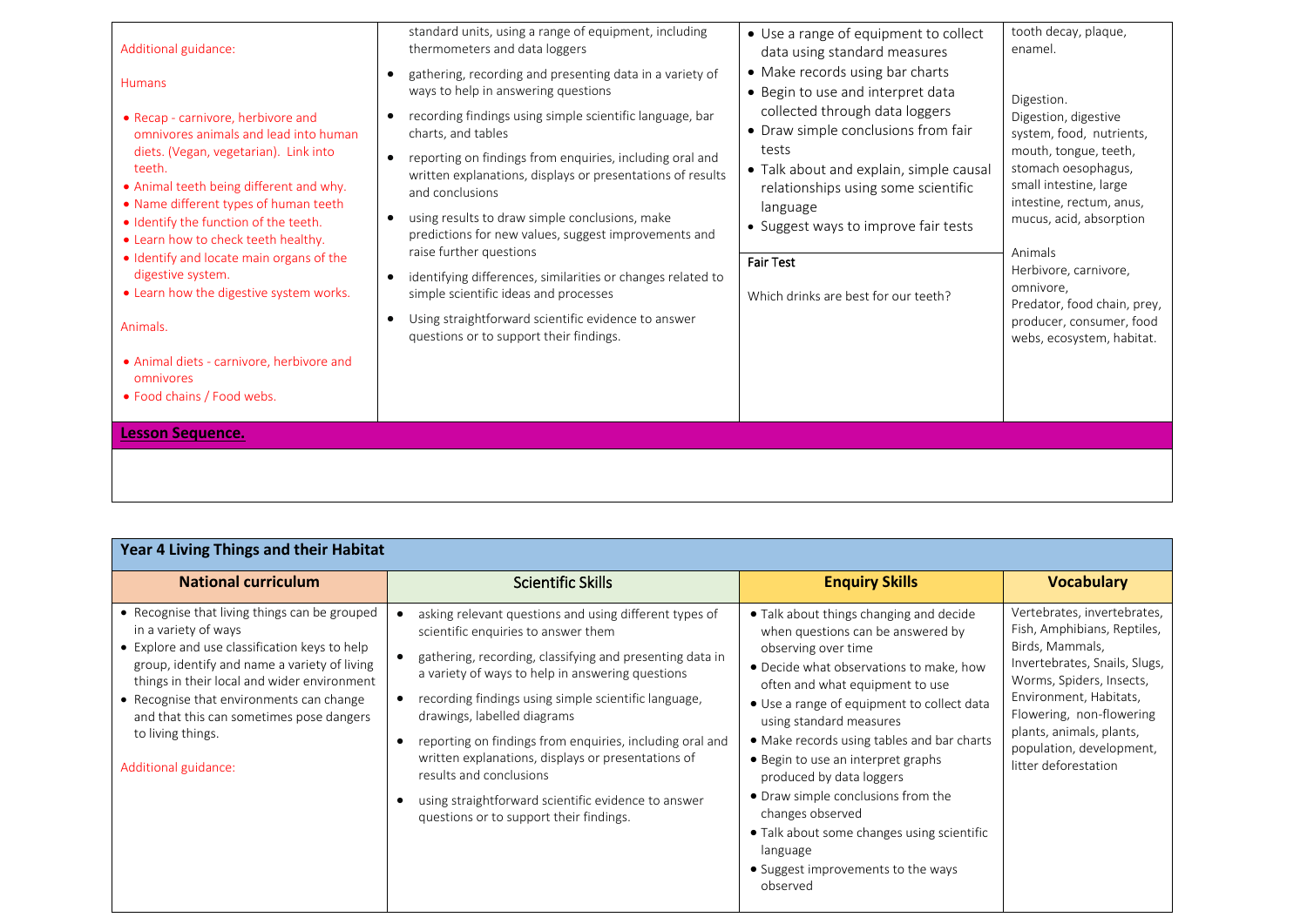| Additional guidance:<br><b>Humans</b><br>• Recap - carnivore, herbivore and<br>omnivores animals and lead into human<br>diets. (Vegan, vegetarian). Link into<br>teeth.<br>• Animal teeth being different and why.<br>• Name different types of human teeth<br>· Identify the function of the teeth.<br>• Learn how to check teeth healthy.<br>• Identify and locate main organs of the<br>digestive system.<br>• Learn how the digestive system works. | standard units, using a range of equipment, including<br>thermometers and data loggers<br>gathering, recording and presenting data in a variety of<br>$\bullet$<br>ways to help in answering questions<br>recording findings using simple scientific language, bar<br>$\bullet$<br>charts, and tables<br>reporting on findings from enquiries, including oral and<br>$\bullet$<br>written explanations, displays or presentations of results<br>and conclusions<br>using results to draw simple conclusions, make<br>$\bullet$<br>predictions for new values, suggest improvements and<br>raise further questions<br>identifying differences, similarities or changes related to<br>$\bullet$<br>simple scientific ideas and processes | • Use a range of equipment to collect<br>data using standard measures<br>• Make records using bar charts<br>• Begin to use and interpret data<br>collected through data loggers<br>• Draw simple conclusions from fair<br>tests<br>• Talk about and explain, simple causal<br>relationships using some scientific<br>language<br>• Suggest ways to improve fair tests<br><b>Fair Test</b><br>Which drinks are best for our teeth? | tooth decay, plaque,<br>enamel.<br>Digestion.<br>Digestion, digestive<br>system, food, nutrients,<br>mouth, tongue, teeth,<br>stomach oesophagus,<br>small intestine, large<br>intestine, rectum, anus,<br>mucus, acid, absorption<br>Animals<br>Herbivore, carnivore,<br>omnivore, |
|---------------------------------------------------------------------------------------------------------------------------------------------------------------------------------------------------------------------------------------------------------------------------------------------------------------------------------------------------------------------------------------------------------------------------------------------------------|----------------------------------------------------------------------------------------------------------------------------------------------------------------------------------------------------------------------------------------------------------------------------------------------------------------------------------------------------------------------------------------------------------------------------------------------------------------------------------------------------------------------------------------------------------------------------------------------------------------------------------------------------------------------------------------------------------------------------------------|-----------------------------------------------------------------------------------------------------------------------------------------------------------------------------------------------------------------------------------------------------------------------------------------------------------------------------------------------------------------------------------------------------------------------------------|-------------------------------------------------------------------------------------------------------------------------------------------------------------------------------------------------------------------------------------------------------------------------------------|
| Animals.<br>• Animal diets - carnivore, herbivore and<br>omnivores<br>• Food chains / Food webs.<br><b>Lesson Sequence.</b>                                                                                                                                                                                                                                                                                                                             | Using straightforward scientific evidence to answer<br>$\bullet$<br>questions or to support their findings.                                                                                                                                                                                                                                                                                                                                                                                                                                                                                                                                                                                                                            |                                                                                                                                                                                                                                                                                                                                                                                                                                   | Predator, food chain, prey,<br>producer, consumer, food<br>webs, ecosystem, habitat.                                                                                                                                                                                                |

| Year 4 Living Things and their Habitat                                                                                                                                                                                                                                                                                                                     |                                                                                                                                                                                                                                                                                                                                                                                                                                                                                                                                                     |                                                                                                                                                                                                                                                                                                                                                                                                                                                                                                                                                  |                                                                                                                                                                                                                                                                                  |  |
|------------------------------------------------------------------------------------------------------------------------------------------------------------------------------------------------------------------------------------------------------------------------------------------------------------------------------------------------------------|-----------------------------------------------------------------------------------------------------------------------------------------------------------------------------------------------------------------------------------------------------------------------------------------------------------------------------------------------------------------------------------------------------------------------------------------------------------------------------------------------------------------------------------------------------|--------------------------------------------------------------------------------------------------------------------------------------------------------------------------------------------------------------------------------------------------------------------------------------------------------------------------------------------------------------------------------------------------------------------------------------------------------------------------------------------------------------------------------------------------|----------------------------------------------------------------------------------------------------------------------------------------------------------------------------------------------------------------------------------------------------------------------------------|--|
| <b>National curriculum</b>                                                                                                                                                                                                                                                                                                                                 | <b>Scientific Skills</b>                                                                                                                                                                                                                                                                                                                                                                                                                                                                                                                            | <b>Enquiry Skills</b>                                                                                                                                                                                                                                                                                                                                                                                                                                                                                                                            | <b>Vocabulary</b>                                                                                                                                                                                                                                                                |  |
| • Recognise that living things can be grouped<br>in a variety of ways<br>• Explore and use classification keys to help<br>group, identify and name a variety of living<br>things in their local and wider environment<br>• Recognise that environments can change<br>and that this can sometimes pose dangers<br>to living things.<br>Additional guidance: | asking relevant questions and using different types of<br>scientific enquiries to answer them<br>gathering, recording, classifying and presenting data in<br>a variety of ways to help in answering questions<br>recording findings using simple scientific language,<br>drawings, labelled diagrams<br>reporting on findings from enquiries, including oral and<br>written explanations, displays or presentations of<br>results and conclusions<br>using straightforward scientific evidence to answer<br>questions or to support their findings. | • Talk about things changing and decide<br>when questions can be answered by<br>observing over time<br>• Decide what observations to make, how<br>often and what equipment to use<br>• Use a range of equipment to collect data<br>using standard measures<br>• Make records using tables and bar charts<br>• Begin to use an interpret graphs<br>produced by data loggers<br>• Draw simple conclusions from the<br>changes observed<br>• Talk about some changes using scientific<br>language<br>• Suggest improvements to the ways<br>observed | Vertebrates, invertebrates,<br>Fish, Amphibians, Reptiles,<br>Birds, Mammals,<br>Invertebrates, Snails, Slugs,<br>Worms, Spiders, Insects,<br>Environment, Habitats,<br>Flowering, non-flowering<br>plants, animals, plants,<br>population, development,<br>litter deforestation |  |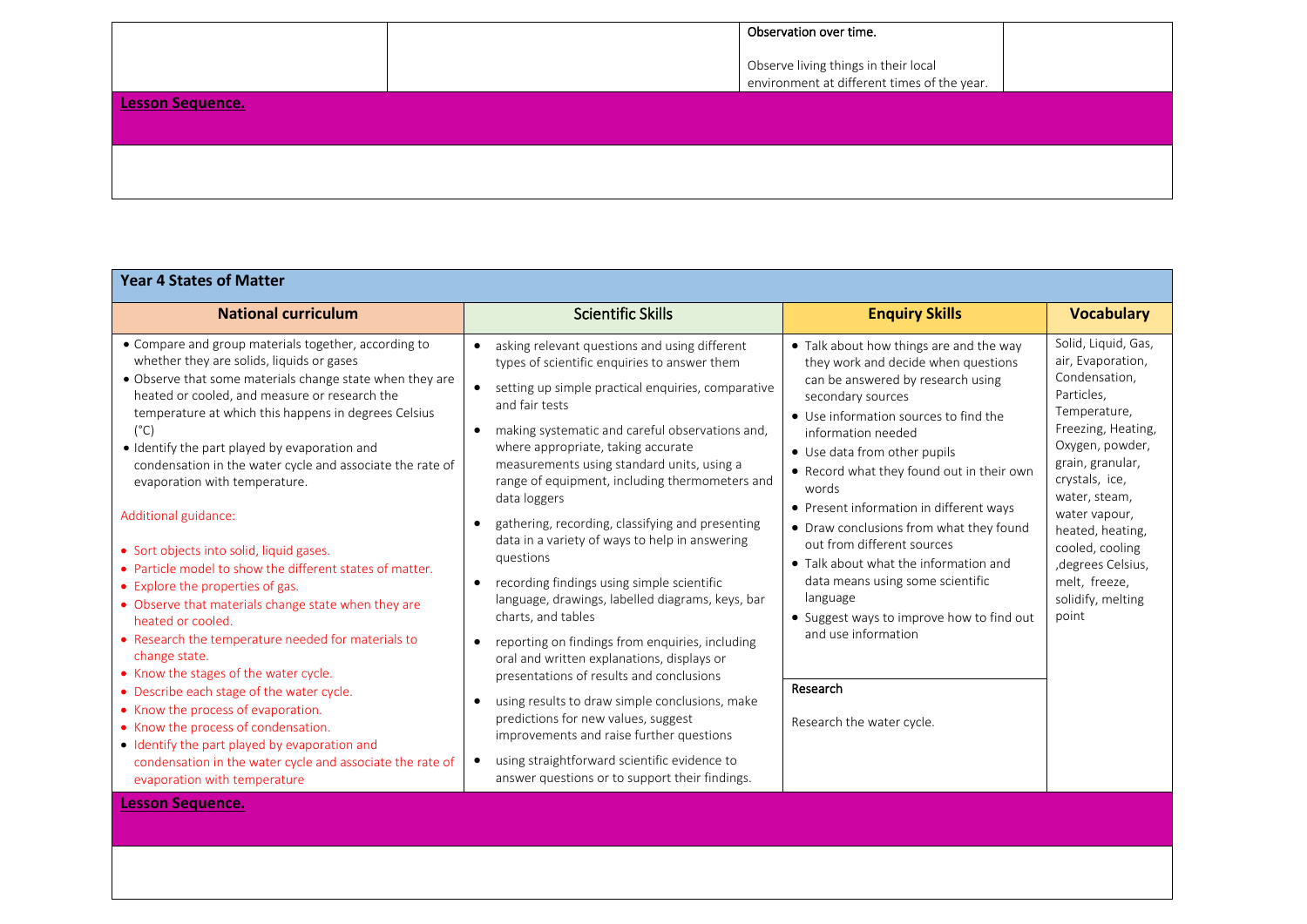|                         | Observation over time.                                                              |  |
|-------------------------|-------------------------------------------------------------------------------------|--|
|                         | Observe living things in their local<br>environment at different times of the year. |  |
| <b>Lesson Sequence.</b> |                                                                                     |  |
|                         |                                                                                     |  |

| <b>Year 4 States of Matter</b>                                                                                                                                                                                                                                                                                                                                                                                                                                                                                                                                                                                                                                                                                                                                                                                                                                                                                                                                                                                                                                                 |                                                                                                                                                                                                                                                                                                                                                                                                                                                                                                                                                                                                                                                                                                                                                                                                                                                                                                                                                                                                                            |                                                                                                                                                                                                                                                                                                                                                                                                                                                                                                                                                                                                                         |                                                                                                                                                                                                                                                                                                                      |
|--------------------------------------------------------------------------------------------------------------------------------------------------------------------------------------------------------------------------------------------------------------------------------------------------------------------------------------------------------------------------------------------------------------------------------------------------------------------------------------------------------------------------------------------------------------------------------------------------------------------------------------------------------------------------------------------------------------------------------------------------------------------------------------------------------------------------------------------------------------------------------------------------------------------------------------------------------------------------------------------------------------------------------------------------------------------------------|----------------------------------------------------------------------------------------------------------------------------------------------------------------------------------------------------------------------------------------------------------------------------------------------------------------------------------------------------------------------------------------------------------------------------------------------------------------------------------------------------------------------------------------------------------------------------------------------------------------------------------------------------------------------------------------------------------------------------------------------------------------------------------------------------------------------------------------------------------------------------------------------------------------------------------------------------------------------------------------------------------------------------|-------------------------------------------------------------------------------------------------------------------------------------------------------------------------------------------------------------------------------------------------------------------------------------------------------------------------------------------------------------------------------------------------------------------------------------------------------------------------------------------------------------------------------------------------------------------------------------------------------------------------|----------------------------------------------------------------------------------------------------------------------------------------------------------------------------------------------------------------------------------------------------------------------------------------------------------------------|
| <b>National curriculum</b>                                                                                                                                                                                                                                                                                                                                                                                                                                                                                                                                                                                                                                                                                                                                                                                                                                                                                                                                                                                                                                                     | <b>Scientific Skills</b>                                                                                                                                                                                                                                                                                                                                                                                                                                                                                                                                                                                                                                                                                                                                                                                                                                                                                                                                                                                                   | <b>Enquiry Skills</b>                                                                                                                                                                                                                                                                                                                                                                                                                                                                                                                                                                                                   | <b>Vocabulary</b>                                                                                                                                                                                                                                                                                                    |
| • Compare and group materials together, according to<br>whether they are solids, liquids or gases<br>• Observe that some materials change state when they are<br>heated or cooled, and measure or research the<br>temperature at which this happens in degrees Celsius<br>$(^{\circ}C)$<br>• Identify the part played by evaporation and<br>condensation in the water cycle and associate the rate of<br>evaporation with temperature.<br>Additional guidance:<br>• Sort objects into solid, liquid gases.<br>• Particle model to show the different states of matter.<br>• Explore the properties of gas.<br>• Observe that materials change state when they are<br>heated or cooled.<br>• Research the temperature needed for materials to<br>change state.<br>• Know the stages of the water cycle.<br>• Describe each stage of the water cycle.<br>• Know the process of evaporation.<br>• Know the process of condensation.<br>• Identify the part played by evaporation and<br>condensation in the water cycle and associate the rate of<br>evaporation with temperature | asking relevant questions and using different<br>types of scientific enquiries to answer them<br>setting up simple practical enquiries, comparative<br>and fair tests<br>making systematic and careful observations and,<br>$\bullet$<br>where appropriate, taking accurate<br>measurements using standard units, using a<br>range of equipment, including thermometers and<br>data loggers<br>gathering, recording, classifying and presenting<br>data in a variety of ways to help in answering<br>questions<br>recording findings using simple scientific<br>language, drawings, labelled diagrams, keys, bar<br>charts, and tables<br>reporting on findings from enquiries, including<br>oral and written explanations, displays or<br>presentations of results and conclusions<br>using results to draw simple conclusions, make<br>predictions for new values, suggest<br>improvements and raise further questions<br>using straightforward scientific evidence to<br>answer questions or to support their findings. | • Talk about how things are and the way<br>they work and decide when questions<br>can be answered by research using<br>secondary sources<br>• Use information sources to find the<br>information needed<br>• Use data from other pupils<br>• Record what they found out in their own<br>words<br>• Present information in different ways<br>• Draw conclusions from what they found<br>out from different sources<br>• Talk about what the information and<br>data means using some scientific<br>language<br>• Suggest ways to improve how to find out<br>and use information<br>Research<br>Research the water cycle. | Solid, Liquid, Gas,<br>air, Evaporation,<br>Condensation,<br>Particles,<br>Temperature,<br>Freezing, Heating,<br>Oxygen, powder,<br>grain, granular,<br>crystals, ice,<br>water, steam,<br>water vapour,<br>heated, heating,<br>cooled, cooling<br>, degrees Celsius,<br>melt, freeze,<br>solidify, melting<br>point |
| <b>Lesson Sequence.</b>                                                                                                                                                                                                                                                                                                                                                                                                                                                                                                                                                                                                                                                                                                                                                                                                                                                                                                                                                                                                                                                        |                                                                                                                                                                                                                                                                                                                                                                                                                                                                                                                                                                                                                                                                                                                                                                                                                                                                                                                                                                                                                            |                                                                                                                                                                                                                                                                                                                                                                                                                                                                                                                                                                                                                         |                                                                                                                                                                                                                                                                                                                      |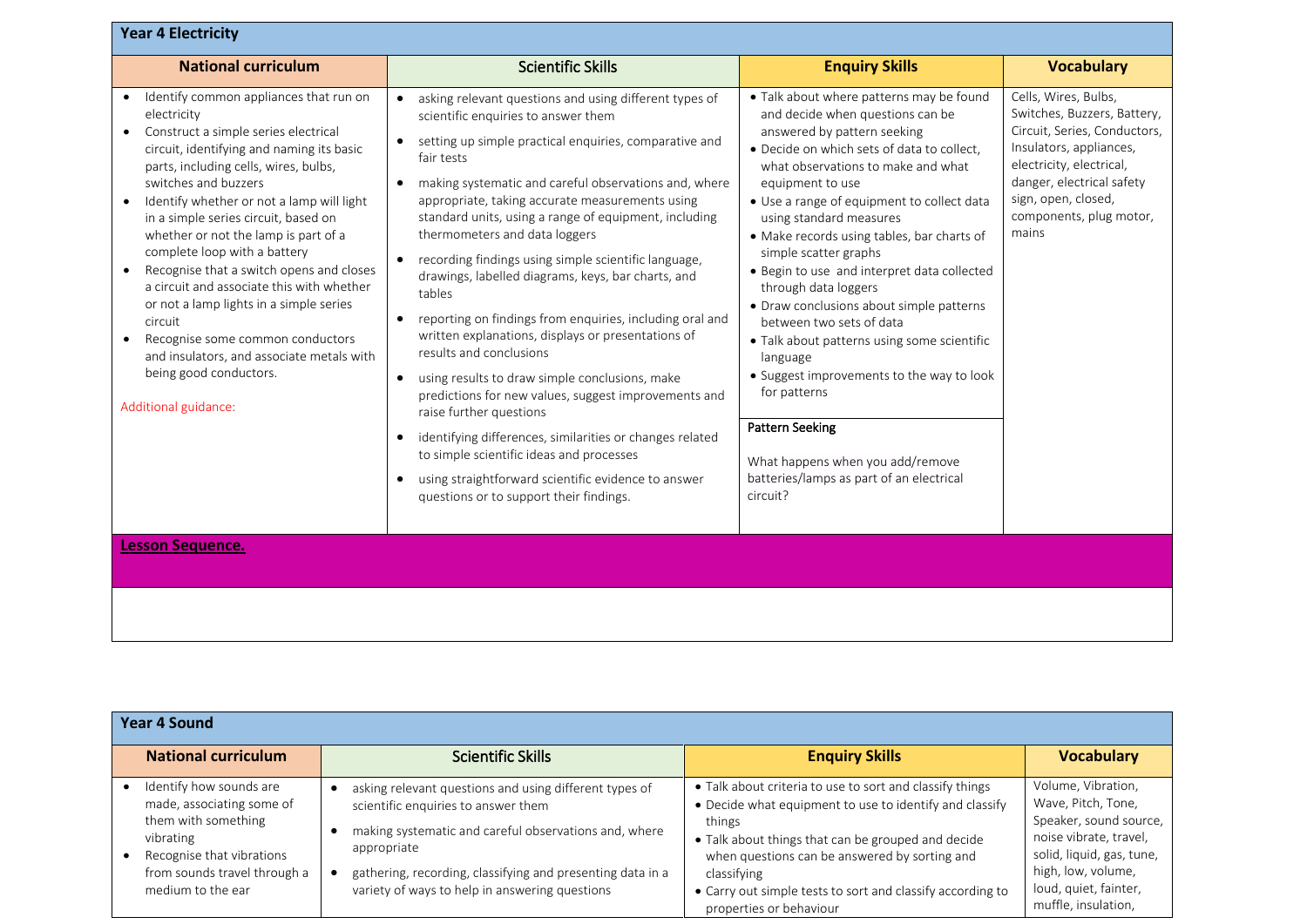| <b>Year 4 Electricity</b>                                                                                                                                                                                                                                                                                                                                                                                                                                                                                                                                                                                                                                               |                                                                                                                                                                                                                                                                                                                                                                                                                                                                                                                                                                                                                                                                                                                                                                                                                                                                                                                                                                                                                                                                               |                                                                                                                                                                                                                                                                                                                                                                                                                                                                                                                                                                                                                                                                                                                                                                  |                                                                                                                                                                                                                                    |
|-------------------------------------------------------------------------------------------------------------------------------------------------------------------------------------------------------------------------------------------------------------------------------------------------------------------------------------------------------------------------------------------------------------------------------------------------------------------------------------------------------------------------------------------------------------------------------------------------------------------------------------------------------------------------|-------------------------------------------------------------------------------------------------------------------------------------------------------------------------------------------------------------------------------------------------------------------------------------------------------------------------------------------------------------------------------------------------------------------------------------------------------------------------------------------------------------------------------------------------------------------------------------------------------------------------------------------------------------------------------------------------------------------------------------------------------------------------------------------------------------------------------------------------------------------------------------------------------------------------------------------------------------------------------------------------------------------------------------------------------------------------------|------------------------------------------------------------------------------------------------------------------------------------------------------------------------------------------------------------------------------------------------------------------------------------------------------------------------------------------------------------------------------------------------------------------------------------------------------------------------------------------------------------------------------------------------------------------------------------------------------------------------------------------------------------------------------------------------------------------------------------------------------------------|------------------------------------------------------------------------------------------------------------------------------------------------------------------------------------------------------------------------------------|
| <b>National curriculum</b>                                                                                                                                                                                                                                                                                                                                                                                                                                                                                                                                                                                                                                              | <b>Scientific Skills</b>                                                                                                                                                                                                                                                                                                                                                                                                                                                                                                                                                                                                                                                                                                                                                                                                                                                                                                                                                                                                                                                      | <b>Enquiry Skills</b>                                                                                                                                                                                                                                                                                                                                                                                                                                                                                                                                                                                                                                                                                                                                            | <b>Vocabulary</b>                                                                                                                                                                                                                  |
| Identify common appliances that run on<br>electricity<br>Construct a simple series electrical<br>circuit, identifying and naming its basic<br>parts, including cells, wires, bulbs,<br>switches and buzzers<br>Identify whether or not a lamp will light<br>in a simple series circuit, based on<br>whether or not the lamp is part of a<br>complete loop with a battery<br>Recognise that a switch opens and closes<br>a circuit and associate this with whether<br>or not a lamp lights in a simple series<br>circuit<br>Recognise some common conductors<br>$\bullet$<br>and insulators, and associate metals with<br>being good conductors.<br>Additional guidance: | asking relevant questions and using different types of<br>$\bullet$<br>scientific enquiries to answer them<br>setting up simple practical enquiries, comparative and<br>fair tests<br>making systematic and careful observations and, where<br>$\bullet$<br>appropriate, taking accurate measurements using<br>standard units, using a range of equipment, including<br>thermometers and data loggers<br>recording findings using simple scientific language,<br>drawings, labelled diagrams, keys, bar charts, and<br>tables<br>reporting on findings from enquiries, including oral and<br>$\bullet$<br>written explanations, displays or presentations of<br>results and conclusions<br>using results to draw simple conclusions, make<br>$\bullet$<br>predictions for new values, suggest improvements and<br>raise further questions<br>identifying differences, similarities or changes related<br>$\bullet$<br>to simple scientific ideas and processes<br>using straightforward scientific evidence to answer<br>$\bullet$<br>questions or to support their findings. | • Talk about where patterns may be found<br>and decide when questions can be<br>answered by pattern seeking<br>· Decide on which sets of data to collect,<br>what observations to make and what<br>equipment to use<br>• Use a range of equipment to collect data<br>using standard measures<br>• Make records using tables, bar charts of<br>simple scatter graphs<br>• Begin to use and interpret data collected<br>through data loggers<br>• Draw conclusions about simple patterns<br>between two sets of data<br>• Talk about patterns using some scientific<br>language<br>• Suggest improvements to the way to look<br>for patterns<br><b>Pattern Seeking</b><br>What happens when you add/remove<br>batteries/lamps as part of an electrical<br>circuit? | Cells, Wires, Bulbs,<br>Switches, Buzzers, Battery,<br>Circuit, Series, Conductors,<br>Insulators, appliances,<br>electricity, electrical,<br>danger, electrical safety<br>sign, open, closed,<br>components, plug motor,<br>mains |
| <b>Lesson Sequence.</b>                                                                                                                                                                                                                                                                                                                                                                                                                                                                                                                                                                                                                                                 |                                                                                                                                                                                                                                                                                                                                                                                                                                                                                                                                                                                                                                                                                                                                                                                                                                                                                                                                                                                                                                                                               |                                                                                                                                                                                                                                                                                                                                                                                                                                                                                                                                                                                                                                                                                                                                                                  |                                                                                                                                                                                                                                    |
|                                                                                                                                                                                                                                                                                                                                                                                                                                                                                                                                                                                                                                                                         |                                                                                                                                                                                                                                                                                                                                                                                                                                                                                                                                                                                                                                                                                                                                                                                                                                                                                                                                                                                                                                                                               |                                                                                                                                                                                                                                                                                                                                                                                                                                                                                                                                                                                                                                                                                                                                                                  |                                                                                                                                                                                                                                    |

| <b>Year 4 Sound</b>                                                                                                                                                        |                                                                                                                                                                                                                                                                                       |                                                                                                                                                                                                                                                                                                                                              |                                                                                                                                                                                                 |
|----------------------------------------------------------------------------------------------------------------------------------------------------------------------------|---------------------------------------------------------------------------------------------------------------------------------------------------------------------------------------------------------------------------------------------------------------------------------------|----------------------------------------------------------------------------------------------------------------------------------------------------------------------------------------------------------------------------------------------------------------------------------------------------------------------------------------------|-------------------------------------------------------------------------------------------------------------------------------------------------------------------------------------------------|
| <b>National curriculum</b>                                                                                                                                                 | <b>Scientific Skills</b>                                                                                                                                                                                                                                                              | <b>Enquiry Skills</b>                                                                                                                                                                                                                                                                                                                        | <b>Vocabulary</b>                                                                                                                                                                               |
| Identify how sounds are<br>made, associating some of<br>them with something<br>vibrating<br>Recognise that vibrations<br>from sounds travel through a<br>medium to the ear | asking relevant questions and using different types of<br>scientific enquiries to answer them<br>making systematic and careful observations and, where<br>appropriate<br>gathering, recording, classifying and presenting data in a<br>variety of ways to help in answering questions | • Talk about criteria to use to sort and classify things<br>• Decide what equipment to use to identify and classify<br>things<br>• Talk about things that can be grouped and decide<br>when questions can be answered by sorting and<br>classifying<br>• Carry out simple tests to sort and classify according to<br>properties or behaviour | Volume, Vibration,<br>Wave, Pitch, Tone,<br>Speaker, sound source,<br>noise vibrate, travel,<br>solid, liquid, gas, tune,<br>high, low, volume,<br>loud, quiet, fainter,<br>muffle, insulation, |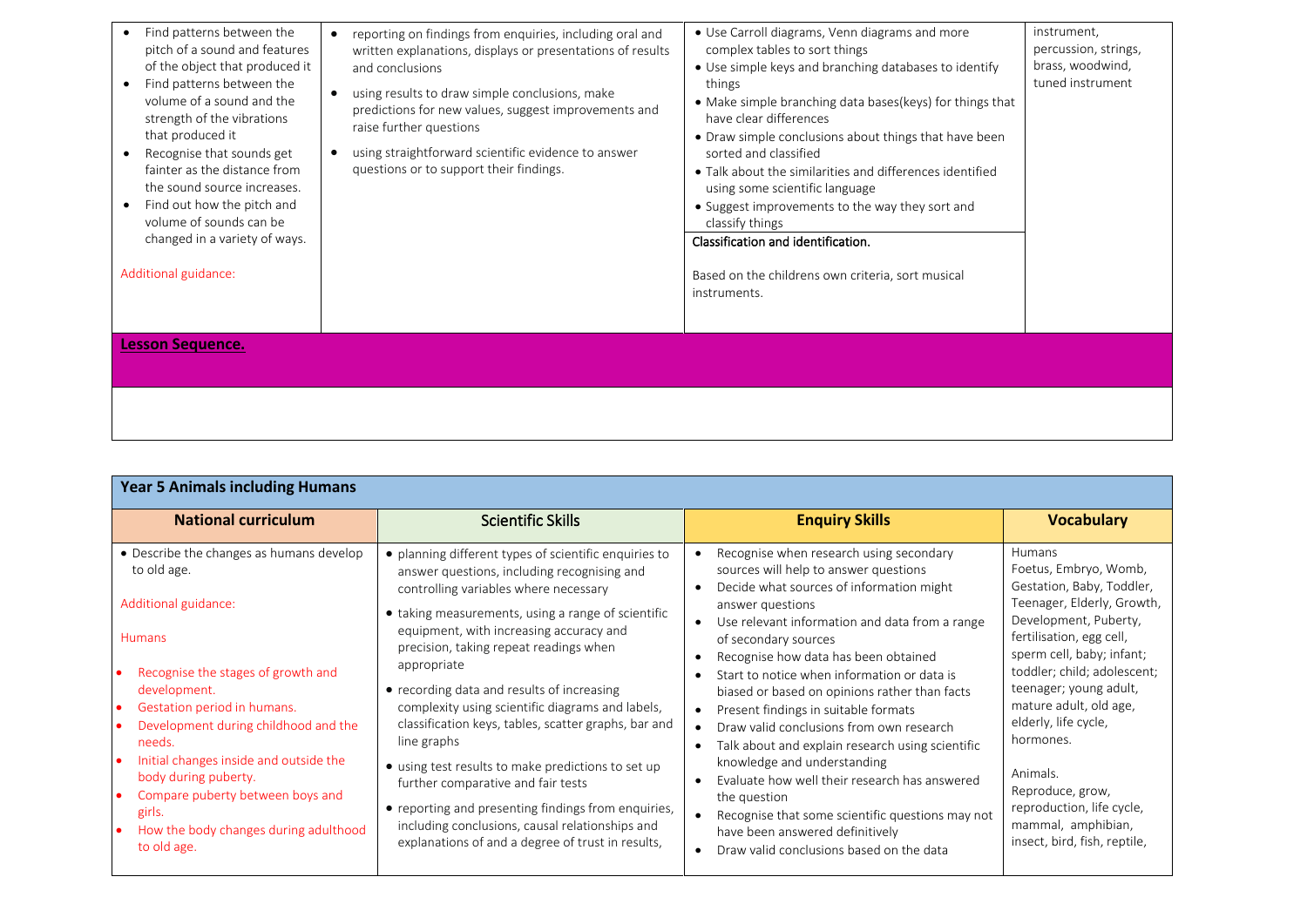| Find patterns between the<br>pitch of a sound and features<br>of the object that produced it<br>Find patterns between the<br>volume of a sound and the<br>strength of the vibrations<br>that produced it<br>Recognise that sounds get<br>fainter as the distance from<br>the sound source increases.<br>Find out how the pitch and<br>volume of sounds can be<br>changed in a variety of ways. | reporting on findings from enquiries, including oral and<br>written explanations, displays or presentations of results<br>and conclusions<br>using results to draw simple conclusions, make<br>predictions for new values, suggest improvements and<br>raise further questions<br>using straightforward scientific evidence to answer<br>questions or to support their findings. | • Use Carroll diagrams, Venn diagrams and more<br>complex tables to sort things<br>• Use simple keys and branching databases to identify<br>things<br>• Make simple branching data bases (keys) for things that<br>have clear differences<br>• Draw simple conclusions about things that have been<br>sorted and classified<br>• Talk about the similarities and differences identified<br>using some scientific language<br>• Suggest improvements to the way they sort and<br>classify things<br>Classification and identification. | instrument,<br>percussion, strings,<br>brass, woodwind,<br>tuned instrument |
|------------------------------------------------------------------------------------------------------------------------------------------------------------------------------------------------------------------------------------------------------------------------------------------------------------------------------------------------------------------------------------------------|----------------------------------------------------------------------------------------------------------------------------------------------------------------------------------------------------------------------------------------------------------------------------------------------------------------------------------------------------------------------------------|---------------------------------------------------------------------------------------------------------------------------------------------------------------------------------------------------------------------------------------------------------------------------------------------------------------------------------------------------------------------------------------------------------------------------------------------------------------------------------------------------------------------------------------|-----------------------------------------------------------------------------|
| Additional guidance:                                                                                                                                                                                                                                                                                                                                                                           |                                                                                                                                                                                                                                                                                                                                                                                  | Based on the childrens own criteria, sort musical<br>instruments.                                                                                                                                                                                                                                                                                                                                                                                                                                                                     |                                                                             |
| <b>Lesson Sequence.</b>                                                                                                                                                                                                                                                                                                                                                                        |                                                                                                                                                                                                                                                                                                                                                                                  |                                                                                                                                                                                                                                                                                                                                                                                                                                                                                                                                       |                                                                             |
|                                                                                                                                                                                                                                                                                                                                                                                                |                                                                                                                                                                                                                                                                                                                                                                                  |                                                                                                                                                                                                                                                                                                                                                                                                                                                                                                                                       |                                                                             |

| <b>Year 5 Animals including Humans</b>                                                                                                                                                                                                                                                                                                                                                                          |                                                                                                                                                                                                                                                                                                                                                                                                                                                                                                                                                                                                                                                                                                                                             |                                                                                                                                                                                                                                                                                                                                                                                                                                                                                                                                                                                                                                                                                                                                               |                                                                                                                                                                                                                                                                                                                                                                                                                         |
|-----------------------------------------------------------------------------------------------------------------------------------------------------------------------------------------------------------------------------------------------------------------------------------------------------------------------------------------------------------------------------------------------------------------|---------------------------------------------------------------------------------------------------------------------------------------------------------------------------------------------------------------------------------------------------------------------------------------------------------------------------------------------------------------------------------------------------------------------------------------------------------------------------------------------------------------------------------------------------------------------------------------------------------------------------------------------------------------------------------------------------------------------------------------------|-----------------------------------------------------------------------------------------------------------------------------------------------------------------------------------------------------------------------------------------------------------------------------------------------------------------------------------------------------------------------------------------------------------------------------------------------------------------------------------------------------------------------------------------------------------------------------------------------------------------------------------------------------------------------------------------------------------------------------------------------|-------------------------------------------------------------------------------------------------------------------------------------------------------------------------------------------------------------------------------------------------------------------------------------------------------------------------------------------------------------------------------------------------------------------------|
| <b>National curriculum</b>                                                                                                                                                                                                                                                                                                                                                                                      | <b>Scientific Skills</b>                                                                                                                                                                                                                                                                                                                                                                                                                                                                                                                                                                                                                                                                                                                    | <b>Enquiry Skills</b>                                                                                                                                                                                                                                                                                                                                                                                                                                                                                                                                                                                                                                                                                                                         | <b>Vocabulary</b>                                                                                                                                                                                                                                                                                                                                                                                                       |
| • Describe the changes as humans develop<br>to old age.<br>Additional guidance:<br><b>Humans</b><br>Recognise the stages of growth and<br>development.<br>Gestation period in humans.<br>Development during childhood and the<br>needs.<br>Initial changes inside and outside the<br>body during puberty.<br>Compare puberty between boys and<br>girls.<br>How the body changes during adulthood<br>to old age. | • planning different types of scientific enquiries to<br>answer questions, including recognising and<br>controlling variables where necessary<br>• taking measurements, using a range of scientific<br>equipment, with increasing accuracy and<br>precision, taking repeat readings when<br>appropriate<br>• recording data and results of increasing<br>complexity using scientific diagrams and labels,<br>classification keys, tables, scatter graphs, bar and<br>line graphs<br>• using test results to make predictions to set up<br>further comparative and fair tests<br>• reporting and presenting findings from enquiries,<br>including conclusions, causal relationships and<br>explanations of and a degree of trust in results, | Recognise when research using secondary<br>sources will help to answer questions<br>Decide what sources of information might<br>answer questions<br>Use relevant information and data from a range<br>of secondary sources<br>Recognise how data has been obtained<br>Start to notice when information or data is<br>biased or based on opinions rather than facts<br>Present findings in suitable formats<br>Draw valid conclusions from own research<br>Talk about and explain research using scientific<br>knowledge and understanding<br>Evaluate how well their research has answered<br>the question<br>Recognise that some scientific questions may not<br>have been answered definitively<br>Draw valid conclusions based on the data | Humans<br>Foetus, Embryo, Womb,<br>Gestation, Baby, Toddler,<br>Teenager, Elderly, Growth,<br>Development, Puberty,<br>fertilisation, egg cell,<br>sperm cell, baby; infant;<br>toddler; child; adolescent;<br>teenager; young adult,<br>mature adult, old age,<br>elderly, life cycle,<br>hormones.<br>Animals.<br>Reproduce, grow,<br>reproduction, life cycle,<br>mammal, amphibian,<br>insect, bird, fish, reptile, |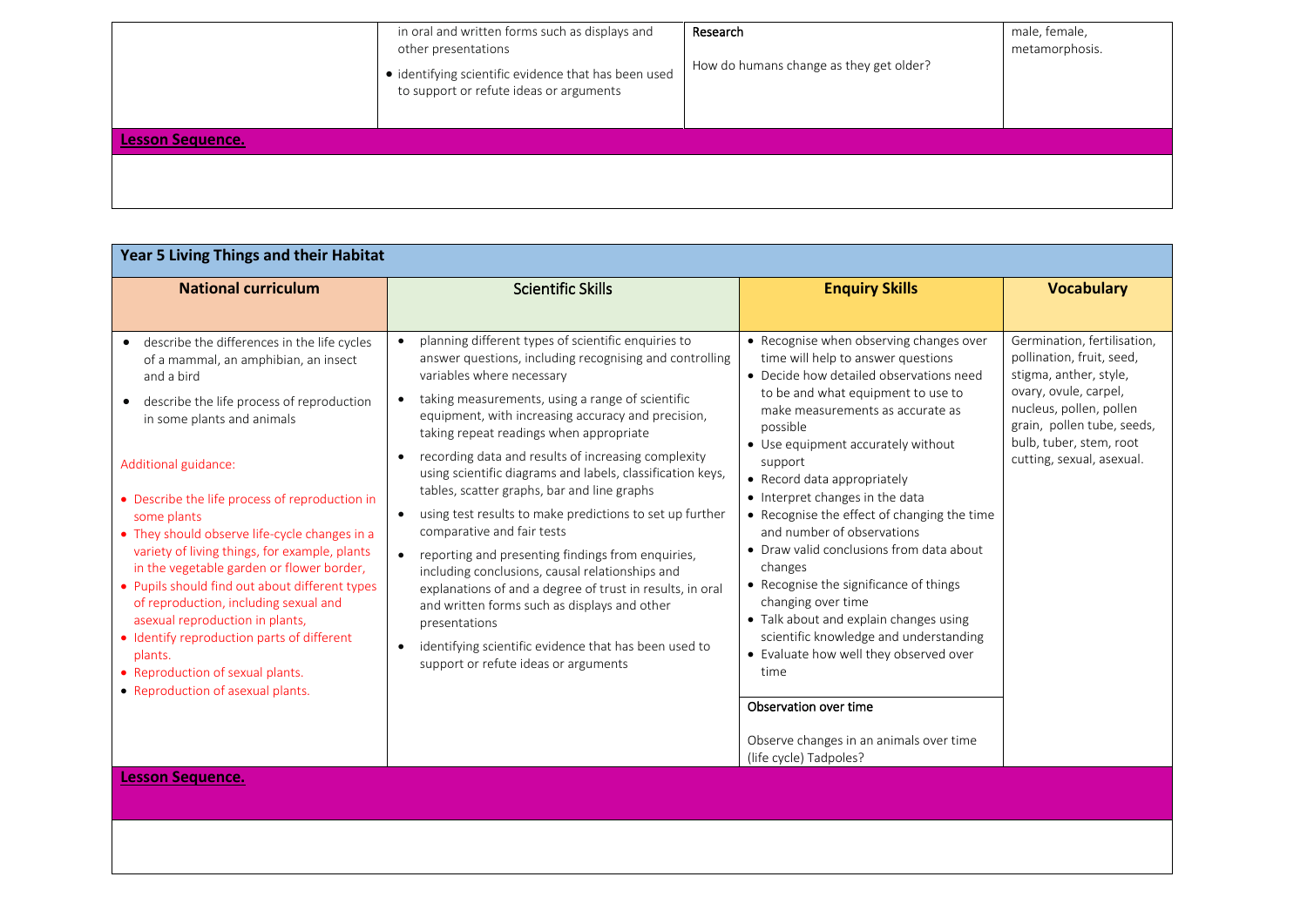|                         | in oral and written forms such as displays and<br>other presentations<br>· identifying scientific evidence that has been used<br>to support or refute ideas or arguments | Research<br>How do humans change as they get older? | male, female,<br>metamorphosis. |
|-------------------------|--------------------------------------------------------------------------------------------------------------------------------------------------------------------------|-----------------------------------------------------|---------------------------------|
| <b>Lesson Sequence.</b> |                                                                                                                                                                          |                                                     |                                 |
|                         |                                                                                                                                                                          |                                                     |                                 |

| Year 5 Living Things and their Habitat                                                                                                                                                                                                                                                                                                                                                           |                                                                                                                                                                                                                                                                                                                                                                                                                                                                                                                                                                                                                                          |                                                                                                                                                                                                                                                                                                                                                                                                                     |                                                                                                                                        |
|--------------------------------------------------------------------------------------------------------------------------------------------------------------------------------------------------------------------------------------------------------------------------------------------------------------------------------------------------------------------------------------------------|------------------------------------------------------------------------------------------------------------------------------------------------------------------------------------------------------------------------------------------------------------------------------------------------------------------------------------------------------------------------------------------------------------------------------------------------------------------------------------------------------------------------------------------------------------------------------------------------------------------------------------------|---------------------------------------------------------------------------------------------------------------------------------------------------------------------------------------------------------------------------------------------------------------------------------------------------------------------------------------------------------------------------------------------------------------------|----------------------------------------------------------------------------------------------------------------------------------------|
| <b>National curriculum</b>                                                                                                                                                                                                                                                                                                                                                                       | <b>Scientific Skills</b>                                                                                                                                                                                                                                                                                                                                                                                                                                                                                                                                                                                                                 | <b>Enquiry Skills</b>                                                                                                                                                                                                                                                                                                                                                                                               | <b>Vocabulary</b>                                                                                                                      |
| describe the differences in the life cycles<br>$\bullet$<br>of a mammal, an amphibian, an insect<br>and a bird<br>describe the life process of reproduction<br>$\bullet$                                                                                                                                                                                                                         | planning different types of scientific enquiries to<br>answer questions, including recognising and controlling<br>variables where necessary<br>taking measurements, using a range of scientific<br>$\bullet$                                                                                                                                                                                                                                                                                                                                                                                                                             | • Recognise when observing changes over<br>time will help to answer questions<br>• Decide how detailed observations need<br>to be and what equipment to use to<br>make measurements as accurate as                                                                                                                                                                                                                  | Germination, fertilisation,<br>pollination, fruit, seed,<br>stigma, anther, style,<br>ovary, ovule, carpel,<br>nucleus, pollen, pollen |
| in some plants and animals<br>Additional guidance:<br>• Describe the life process of reproduction in<br>some plants<br>• They should observe life-cycle changes in a<br>variety of living things, for example, plants<br>in the vegetable garden or flower border,<br>• Pupils should find out about different types<br>of reproduction, including sexual and<br>asexual reproduction in plants, | equipment, with increasing accuracy and precision,<br>taking repeat readings when appropriate<br>recording data and results of increasing complexity<br>$\bullet$<br>using scientific diagrams and labels, classification keys,<br>tables, scatter graphs, bar and line graphs<br>using test results to make predictions to set up further<br>$\bullet$<br>comparative and fair tests<br>reporting and presenting findings from enquiries,<br>$\bullet$<br>including conclusions, causal relationships and<br>explanations of and a degree of trust in results, in oral<br>and written forms such as displays and other<br>presentations | possible<br>• Use equipment accurately without<br>support<br>• Record data appropriately<br>• Interpret changes in the data<br>• Recognise the effect of changing the time<br>and number of observations<br>• Draw valid conclusions from data about<br>changes<br>• Recognise the significance of things<br>changing over time<br>• Talk about and explain changes using<br>scientific knowledge and understanding | grain, pollen tube, seeds,<br>bulb, tuber, stem, root<br>cutting, sexual, asexual.                                                     |
| • Identify reproduction parts of different<br>plants.<br>• Reproduction of sexual plants.<br>• Reproduction of asexual plants.<br><b>Lesson Sequence.</b>                                                                                                                                                                                                                                        | identifying scientific evidence that has been used to<br>support or refute ideas or arguments                                                                                                                                                                                                                                                                                                                                                                                                                                                                                                                                            | • Evaluate how well they observed over<br>time<br>Observation over time<br>Observe changes in an animals over time<br>(life cycle) Tadpoles?                                                                                                                                                                                                                                                                        |                                                                                                                                        |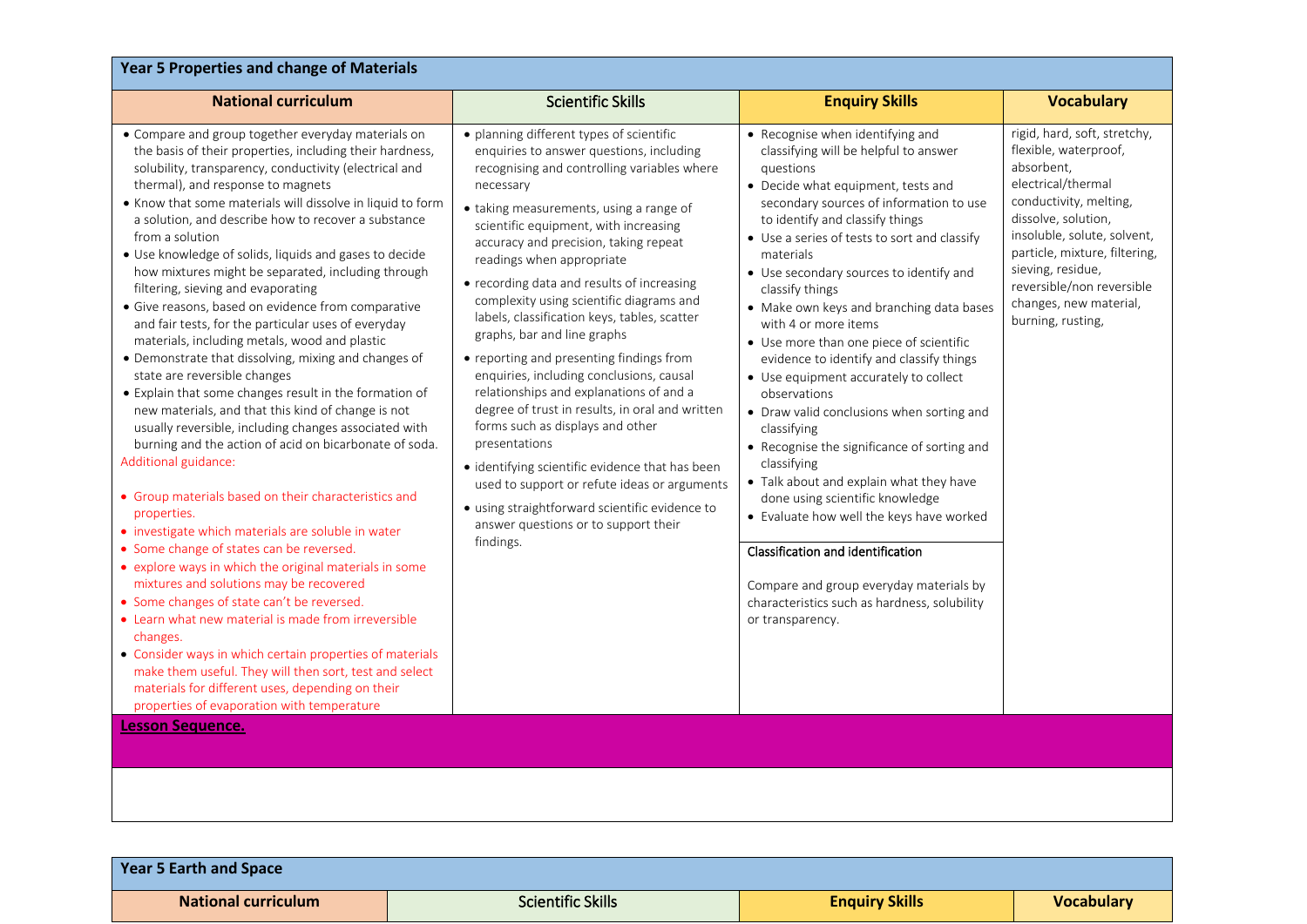| <b>Year 5 Properties and change of Materials</b>                                                                                                                                                                                                                                                                                                                                                                                                                                                                                                                                                                                                                                                                                                                                                                                                                                                                                                                                                                                                                                                                                                                                                                                                                                                                                                                                                                                                                                                                                                                                                                                                                               |                                                                                                                                                                                                                                                                                                                                                                                                                                                                                                                                                                                                                                                                                                                                                                                                                                                                                                                                          |                                                                                                                                                                                                                                                                                                                                                                                                                                                                                                                                                                                                                                                                                                                                                                                                                                                                                                                                                                   |                                                                                                                                                                                                                                                                                                             |  |
|--------------------------------------------------------------------------------------------------------------------------------------------------------------------------------------------------------------------------------------------------------------------------------------------------------------------------------------------------------------------------------------------------------------------------------------------------------------------------------------------------------------------------------------------------------------------------------------------------------------------------------------------------------------------------------------------------------------------------------------------------------------------------------------------------------------------------------------------------------------------------------------------------------------------------------------------------------------------------------------------------------------------------------------------------------------------------------------------------------------------------------------------------------------------------------------------------------------------------------------------------------------------------------------------------------------------------------------------------------------------------------------------------------------------------------------------------------------------------------------------------------------------------------------------------------------------------------------------------------------------------------------------------------------------------------|------------------------------------------------------------------------------------------------------------------------------------------------------------------------------------------------------------------------------------------------------------------------------------------------------------------------------------------------------------------------------------------------------------------------------------------------------------------------------------------------------------------------------------------------------------------------------------------------------------------------------------------------------------------------------------------------------------------------------------------------------------------------------------------------------------------------------------------------------------------------------------------------------------------------------------------|-------------------------------------------------------------------------------------------------------------------------------------------------------------------------------------------------------------------------------------------------------------------------------------------------------------------------------------------------------------------------------------------------------------------------------------------------------------------------------------------------------------------------------------------------------------------------------------------------------------------------------------------------------------------------------------------------------------------------------------------------------------------------------------------------------------------------------------------------------------------------------------------------------------------------------------------------------------------|-------------------------------------------------------------------------------------------------------------------------------------------------------------------------------------------------------------------------------------------------------------------------------------------------------------|--|
| <b>National curriculum</b>                                                                                                                                                                                                                                                                                                                                                                                                                                                                                                                                                                                                                                                                                                                                                                                                                                                                                                                                                                                                                                                                                                                                                                                                                                                                                                                                                                                                                                                                                                                                                                                                                                                     | <b>Scientific Skills</b>                                                                                                                                                                                                                                                                                                                                                                                                                                                                                                                                                                                                                                                                                                                                                                                                                                                                                                                 | <b>Enquiry Skills</b>                                                                                                                                                                                                                                                                                                                                                                                                                                                                                                                                                                                                                                                                                                                                                                                                                                                                                                                                             | <b>Vocabulary</b>                                                                                                                                                                                                                                                                                           |  |
| • Compare and group together everyday materials on<br>the basis of their properties, including their hardness,<br>solubility, transparency, conductivity (electrical and<br>thermal), and response to magnets<br>• Know that some materials will dissolve in liquid to form<br>a solution, and describe how to recover a substance<br>from a solution<br>• Use knowledge of solids, liquids and gases to decide<br>how mixtures might be separated, including through<br>filtering, sieving and evaporating<br>· Give reasons, based on evidence from comparative<br>and fair tests, for the particular uses of everyday<br>materials, including metals, wood and plastic<br>• Demonstrate that dissolving, mixing and changes of<br>state are reversible changes<br>• Explain that some changes result in the formation of<br>new materials, and that this kind of change is not<br>usually reversible, including changes associated with<br>burning and the action of acid on bicarbonate of soda.<br>Additional guidance:<br>• Group materials based on their characteristics and<br>properties.<br>• investigate which materials are soluble in water<br>• Some change of states can be reversed.<br>• explore ways in which the original materials in some<br>mixtures and solutions may be recovered<br>• Some changes of state can't be reversed.<br>• Learn what new material is made from irreversible<br>changes.<br>• Consider ways in which certain properties of materials<br>make them useful. They will then sort, test and select<br>materials for different uses, depending on their<br>properties of evaporation with temperature<br><b>Lesson Sequence.</b> | • planning different types of scientific<br>enquiries to answer questions, including<br>recognising and controlling variables where<br>necessary<br>• taking measurements, using a range of<br>scientific equipment, with increasing<br>accuracy and precision, taking repeat<br>readings when appropriate<br>• recording data and results of increasing<br>complexity using scientific diagrams and<br>labels, classification keys, tables, scatter<br>graphs, bar and line graphs<br>• reporting and presenting findings from<br>enquiries, including conclusions, causal<br>relationships and explanations of and a<br>degree of trust in results, in oral and written<br>forms such as displays and other<br>presentations<br>· identifying scientific evidence that has been<br>used to support or refute ideas or arguments<br>• using straightforward scientific evidence to<br>answer questions or to support their<br>findings. | • Recognise when identifying and<br>classifying will be helpful to answer<br>questions<br>• Decide what equipment, tests and<br>secondary sources of information to use<br>to identify and classify things<br>• Use a series of tests to sort and classify<br>materials<br>• Use secondary sources to identify and<br>classify things<br>• Make own keys and branching data bases<br>with 4 or more items<br>• Use more than one piece of scientific<br>evidence to identify and classify things<br>• Use equipment accurately to collect<br>observations<br>• Draw valid conclusions when sorting and<br>classifying<br>• Recognise the significance of sorting and<br>classifying<br>• Talk about and explain what they have<br>done using scientific knowledge<br>• Evaluate how well the keys have worked<br>Classification and identification<br>Compare and group everyday materials by<br>characteristics such as hardness, solubility<br>or transparency. | rigid, hard, soft, stretchy,<br>flexible, waterproof,<br>absorbent,<br>electrical/thermal<br>conductivity, melting,<br>dissolve, solution,<br>insoluble, solute, solvent,<br>particle, mixture, filtering,<br>sieving, residue,<br>reversible/non reversible<br>changes, new material,<br>burning, rusting, |  |
|                                                                                                                                                                                                                                                                                                                                                                                                                                                                                                                                                                                                                                                                                                                                                                                                                                                                                                                                                                                                                                                                                                                                                                                                                                                                                                                                                                                                                                                                                                                                                                                                                                                                                |                                                                                                                                                                                                                                                                                                                                                                                                                                                                                                                                                                                                                                                                                                                                                                                                                                                                                                                                          |                                                                                                                                                                                                                                                                                                                                                                                                                                                                                                                                                                                                                                                                                                                                                                                                                                                                                                                                                                   |                                                                                                                                                                                                                                                                                                             |  |

| <b>Year 5 Earth and Space</b> |                          |                       |                   |
|-------------------------------|--------------------------|-----------------------|-------------------|
| <b>National curriculum</b>    | <b>Scientific Skills</b> | <b>Enquiry Skills</b> | <b>Vocabulary</b> |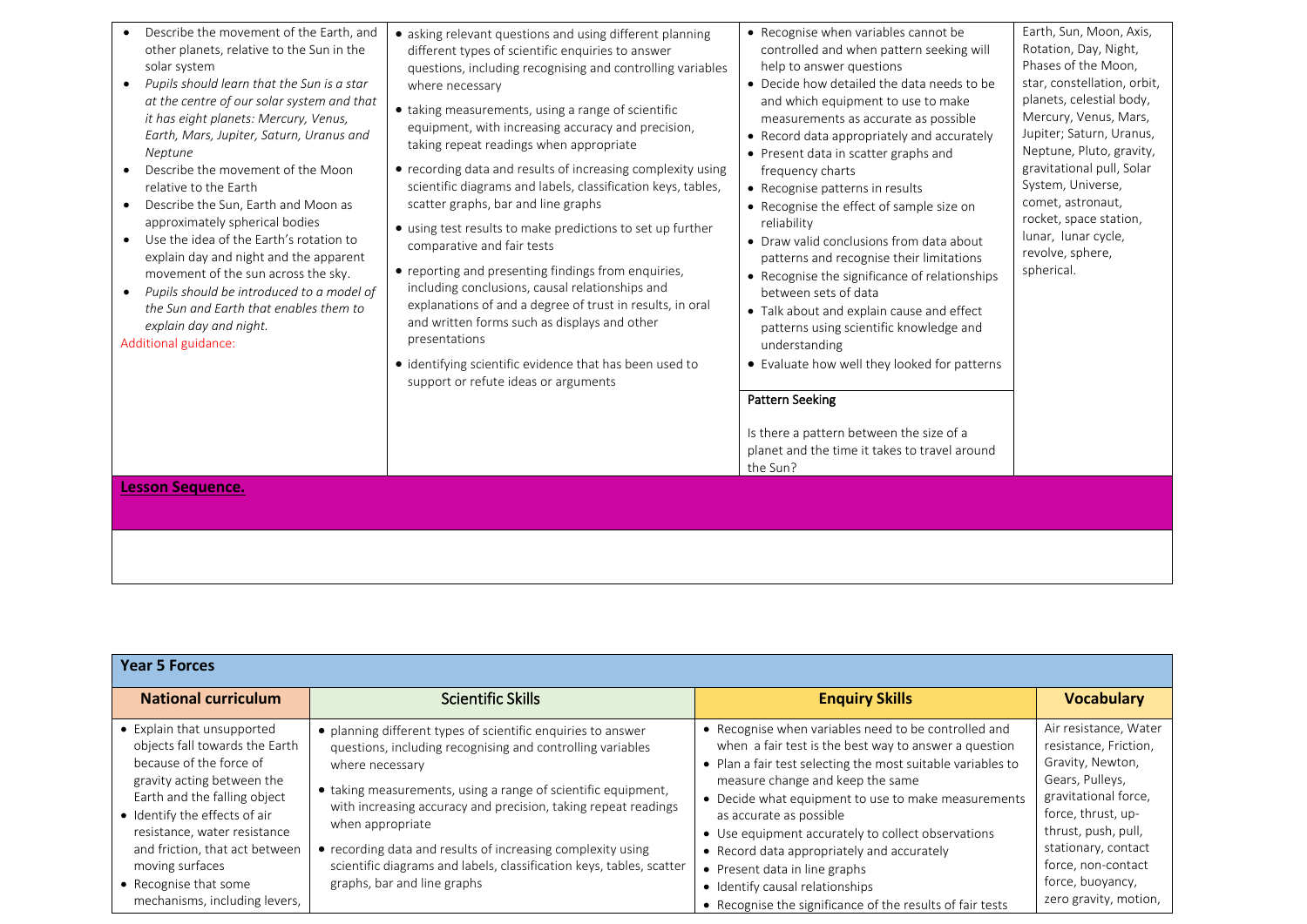| Describe the movement of the Earth, and<br>other planets, relative to the Sun in the<br>solar system<br>Pupils should learn that the Sun is a star<br>$\bullet$<br>at the centre of our solar system and that<br>it has eight planets: Mercury, Venus,<br>Earth, Mars, Jupiter, Saturn, Uranus and<br>Neptune<br>Describe the movement of the Moon<br>$\bullet$<br>relative to the Earth<br>Describe the Sun, Earth and Moon as<br>$\bullet$<br>approximately spherical bodies<br>Use the idea of the Earth's rotation to<br>$\bullet$<br>explain day and night and the apparent<br>movement of the sun across the sky.<br>Pupils should be introduced to a model of<br>$\bullet$<br>the Sun and Earth that enables them to<br>explain day and night.<br>Additional guidance: | • asking relevant questions and using different planning<br>different types of scientific enquiries to answer<br>questions, including recognising and controlling variables<br>where necessary<br>• taking measurements, using a range of scientific<br>equipment, with increasing accuracy and precision,<br>taking repeat readings when appropriate<br>• recording data and results of increasing complexity using<br>scientific diagrams and labels, classification keys, tables,<br>scatter graphs, bar and line graphs<br>• using test results to make predictions to set up further<br>comparative and fair tests<br>• reporting and presenting findings from enquiries,<br>including conclusions, causal relationships and<br>explanations of and a degree of trust in results, in oral<br>and written forms such as displays and other<br>presentations<br>• identifying scientific evidence that has been used to<br>support or refute ideas or arguments | • Recognise when variables cannot be<br>controlled and when pattern seeking will<br>help to answer questions<br>• Decide how detailed the data needs to be<br>and which equipment to use to make<br>measurements as accurate as possible<br>• Record data appropriately and accurately<br>• Present data in scatter graphs and<br>frequency charts<br>• Recognise patterns in results<br>• Recognise the effect of sample size on<br>reliability<br>• Draw valid conclusions from data about<br>patterns and recognise their limitations<br>• Recognise the significance of relationships<br>between sets of data<br>• Talk about and explain cause and effect<br>patterns using scientific knowledge and<br>understanding<br>• Evaluate how well they looked for patterns<br><b>Pattern Seeking</b><br>Is there a pattern between the size of a<br>planet and the time it takes to travel around<br>the Sun? | Earth, Sun, Moon, Axis,<br>Rotation, Day, Night,<br>Phases of the Moon,<br>star, constellation, orbit,<br>planets, celestial body,<br>Mercury, Venus, Mars,<br>Jupiter; Saturn, Uranus,<br>Neptune, Pluto, gravity,<br>gravitational pull, Solar<br>System, Universe,<br>comet, astronaut,<br>rocket, space station,<br>lunar, lunar cycle,<br>revolve, sphere,<br>spherical. |
|-------------------------------------------------------------------------------------------------------------------------------------------------------------------------------------------------------------------------------------------------------------------------------------------------------------------------------------------------------------------------------------------------------------------------------------------------------------------------------------------------------------------------------------------------------------------------------------------------------------------------------------------------------------------------------------------------------------------------------------------------------------------------------|--------------------------------------------------------------------------------------------------------------------------------------------------------------------------------------------------------------------------------------------------------------------------------------------------------------------------------------------------------------------------------------------------------------------------------------------------------------------------------------------------------------------------------------------------------------------------------------------------------------------------------------------------------------------------------------------------------------------------------------------------------------------------------------------------------------------------------------------------------------------------------------------------------------------------------------------------------------------|---------------------------------------------------------------------------------------------------------------------------------------------------------------------------------------------------------------------------------------------------------------------------------------------------------------------------------------------------------------------------------------------------------------------------------------------------------------------------------------------------------------------------------------------------------------------------------------------------------------------------------------------------------------------------------------------------------------------------------------------------------------------------------------------------------------------------------------------------------------------------------------------------------------|-------------------------------------------------------------------------------------------------------------------------------------------------------------------------------------------------------------------------------------------------------------------------------------------------------------------------------------------------------------------------------|
| <b>Lesson Sequence.</b>                                                                                                                                                                                                                                                                                                                                                                                                                                                                                                                                                                                                                                                                                                                                                       |                                                                                                                                                                                                                                                                                                                                                                                                                                                                                                                                                                                                                                                                                                                                                                                                                                                                                                                                                                    |                                                                                                                                                                                                                                                                                                                                                                                                                                                                                                                                                                                                                                                                                                                                                                                                                                                                                                               |                                                                                                                                                                                                                                                                                                                                                                               |

| <b>Year 5 Forces</b>                                                                                                                                                                                                                                                                                                                  |                                                                                                                                                                                                                                                                                                                                                                                                                                                                            |                                                                                                                                                                                                                                                                                                                                                                                                                                                                                                                                         |                                                                                                                                                                                                                                                      |
|---------------------------------------------------------------------------------------------------------------------------------------------------------------------------------------------------------------------------------------------------------------------------------------------------------------------------------------|----------------------------------------------------------------------------------------------------------------------------------------------------------------------------------------------------------------------------------------------------------------------------------------------------------------------------------------------------------------------------------------------------------------------------------------------------------------------------|-----------------------------------------------------------------------------------------------------------------------------------------------------------------------------------------------------------------------------------------------------------------------------------------------------------------------------------------------------------------------------------------------------------------------------------------------------------------------------------------------------------------------------------------|------------------------------------------------------------------------------------------------------------------------------------------------------------------------------------------------------------------------------------------------------|
| <b>National curriculum</b>                                                                                                                                                                                                                                                                                                            | <b>Scientific Skills</b>                                                                                                                                                                                                                                                                                                                                                                                                                                                   | <b>Enquiry Skills</b>                                                                                                                                                                                                                                                                                                                                                                                                                                                                                                                   | <b>Vocabulary</b>                                                                                                                                                                                                                                    |
| • Explain that unsupported<br>objects fall towards the Earth<br>because of the force of<br>gravity acting between the<br>Earth and the falling object<br>• Identify the effects of air<br>resistance, water resistance<br>and friction, that act between<br>moving surfaces<br>• Recognise that some<br>mechanisms, including levers, | • planning different types of scientific enquiries to answer<br>questions, including recognising and controlling variables<br>where necessary<br>• taking measurements, using a range of scientific equipment,<br>with increasing accuracy and precision, taking repeat readings<br>when appropriate<br>• recording data and results of increasing complexity using<br>scientific diagrams and labels, classification keys, tables, scatter<br>graphs, bar and line graphs | • Recognise when variables need to be controlled and<br>when a fair test is the best way to answer a question<br>• Plan a fair test selecting the most suitable variables to<br>measure change and keep the same<br>• Decide what equipment to use to make measurements<br>as accurate as possible<br>• Use equipment accurately to collect observations<br>• Record data appropriately and accurately<br>• Present data in line graphs<br>• Identify causal relationships<br>• Recognise the significance of the results of fair tests | Air resistance, Water<br>resistance, Friction,<br>Gravity, Newton,<br>Gears, Pulleys,<br>gravitational force,<br>force, thrust, up-<br>thrust, push, pull,<br>stationary, contact<br>force, non-contact<br>force, buoyancy,<br>zero gravity, motion, |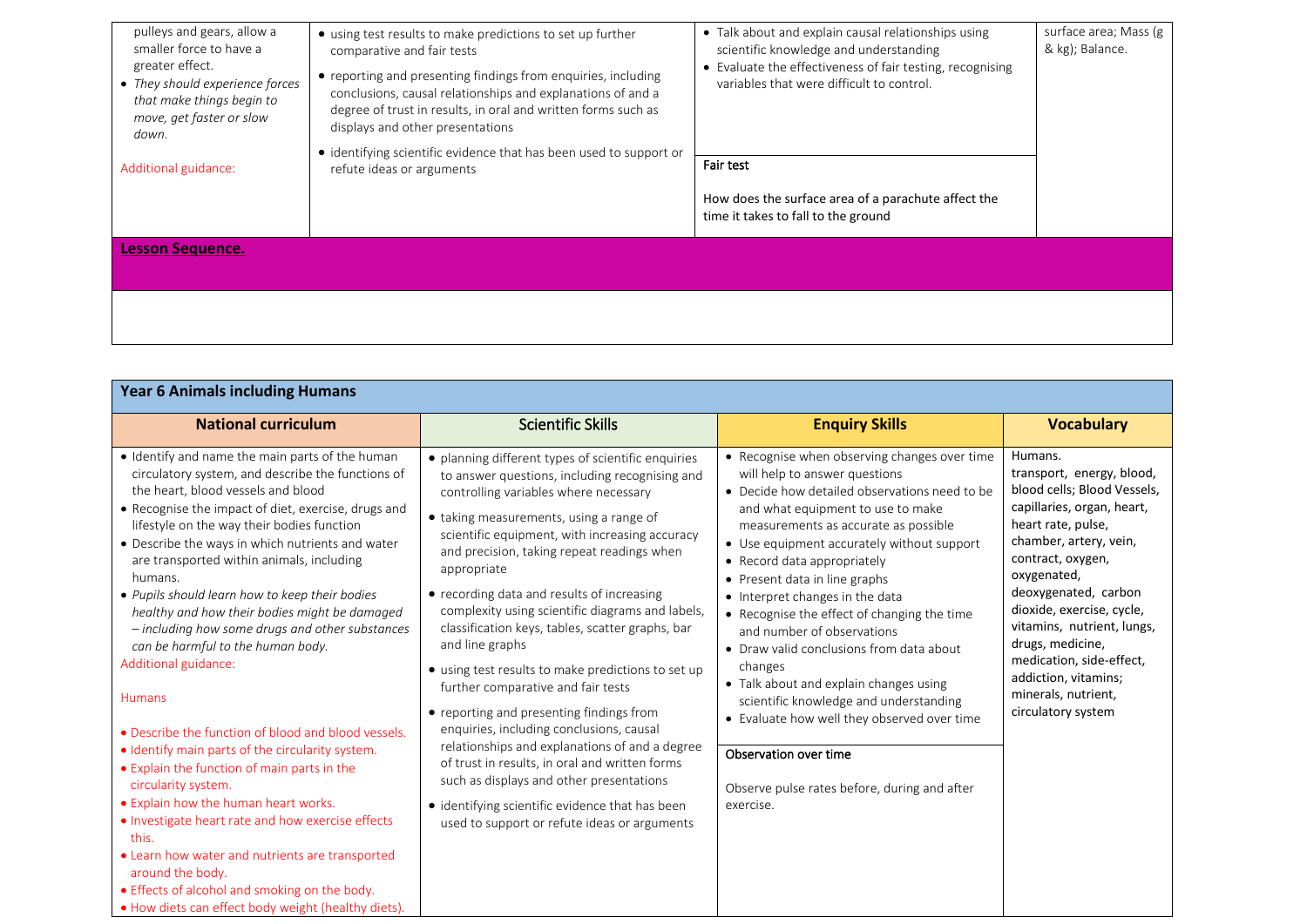| pulleys and gears, allow a<br>smaller force to have a<br>greater effect.<br>• They should experience forces<br>that make things begin to<br>move, get faster or slow<br>down.<br>Additional guidance: | • using test results to make predictions to set up further<br>comparative and fair tests<br>• reporting and presenting findings from enquiries, including<br>conclusions, causal relationships and explanations of and a<br>degree of trust in results, in oral and written forms such as<br>displays and other presentations<br>• identifying scientific evidence that has been used to support or<br>refute ideas or arguments | • Talk about and explain causal relationships using<br>scientific knowledge and understanding<br>• Evaluate the effectiveness of fair testing, recognising<br>variables that were difficult to control.<br><b>Fair test</b> | surface area; Mass (g<br>& kg); Balance. |
|-------------------------------------------------------------------------------------------------------------------------------------------------------------------------------------------------------|----------------------------------------------------------------------------------------------------------------------------------------------------------------------------------------------------------------------------------------------------------------------------------------------------------------------------------------------------------------------------------------------------------------------------------|-----------------------------------------------------------------------------------------------------------------------------------------------------------------------------------------------------------------------------|------------------------------------------|
|                                                                                                                                                                                                       |                                                                                                                                                                                                                                                                                                                                                                                                                                  |                                                                                                                                                                                                                             |                                          |
|                                                                                                                                                                                                       |                                                                                                                                                                                                                                                                                                                                                                                                                                  | How does the surface area of a parachute affect the<br>time it takes to fall to the ground                                                                                                                                  |                                          |
| <b>Lesson Sequence.</b>                                                                                                                                                                               |                                                                                                                                                                                                                                                                                                                                                                                                                                  |                                                                                                                                                                                                                             |                                          |
|                                                                                                                                                                                                       |                                                                                                                                                                                                                                                                                                                                                                                                                                  |                                                                                                                                                                                                                             |                                          |
|                                                                                                                                                                                                       |                                                                                                                                                                                                                                                                                                                                                                                                                                  |                                                                                                                                                                                                                             |                                          |
|                                                                                                                                                                                                       |                                                                                                                                                                                                                                                                                                                                                                                                                                  |                                                                                                                                                                                                                             |                                          |

| <b>Year 6 Animals including Humans</b>                                                                                                                                                                                                                                                                                                                                                                                                                                                                                                                                                                                                                                                                                                                                                                                                                                                                                                                                                                                                                                |                                                                                                                                                                                                                                                                                                                                                                                                                                                                                                                                                                                                                                                                                                                                                                                                                                                                                                                         |                                                                                                                                                                                                                                                                                                                                                                                                                                                                                                                                                                                                                                                                                                                                      |                                                                                                                                                                                                                                                                                                                                                                                               |
|-----------------------------------------------------------------------------------------------------------------------------------------------------------------------------------------------------------------------------------------------------------------------------------------------------------------------------------------------------------------------------------------------------------------------------------------------------------------------------------------------------------------------------------------------------------------------------------------------------------------------------------------------------------------------------------------------------------------------------------------------------------------------------------------------------------------------------------------------------------------------------------------------------------------------------------------------------------------------------------------------------------------------------------------------------------------------|-------------------------------------------------------------------------------------------------------------------------------------------------------------------------------------------------------------------------------------------------------------------------------------------------------------------------------------------------------------------------------------------------------------------------------------------------------------------------------------------------------------------------------------------------------------------------------------------------------------------------------------------------------------------------------------------------------------------------------------------------------------------------------------------------------------------------------------------------------------------------------------------------------------------------|--------------------------------------------------------------------------------------------------------------------------------------------------------------------------------------------------------------------------------------------------------------------------------------------------------------------------------------------------------------------------------------------------------------------------------------------------------------------------------------------------------------------------------------------------------------------------------------------------------------------------------------------------------------------------------------------------------------------------------------|-----------------------------------------------------------------------------------------------------------------------------------------------------------------------------------------------------------------------------------------------------------------------------------------------------------------------------------------------------------------------------------------------|
| <b>National curriculum</b>                                                                                                                                                                                                                                                                                                                                                                                                                                                                                                                                                                                                                                                                                                                                                                                                                                                                                                                                                                                                                                            | <b>Scientific Skills</b>                                                                                                                                                                                                                                                                                                                                                                                                                                                                                                                                                                                                                                                                                                                                                                                                                                                                                                | <b>Enquiry Skills</b>                                                                                                                                                                                                                                                                                                                                                                                                                                                                                                                                                                                                                                                                                                                | <b>Vocabulary</b>                                                                                                                                                                                                                                                                                                                                                                             |
| • Identify and name the main parts of the human<br>circulatory system, and describe the functions of<br>the heart, blood vessels and blood<br>• Recognise the impact of diet, exercise, drugs and<br>lifestyle on the way their bodies function<br>• Describe the ways in which nutrients and water<br>are transported within animals, including<br>humans.<br>• Pupils should learn how to keep their bodies<br>healthy and how their bodies might be damaged<br>- including how some drugs and other substances<br>can be harmful to the human body.<br>Additional guidance:<br><b>Humans</b><br>• Describe the function of blood and blood vessels.<br>• Identify main parts of the circularity system.<br>• Explain the function of main parts in the<br>circularity system.<br>• Explain how the human heart works.<br>. Investigate heart rate and how exercise effects<br>this.<br>• Learn how water and nutrients are transported<br>around the body.<br>• Effects of alcohol and smoking on the body.<br>. How diets can effect body weight (healthy diets). | • planning different types of scientific enquiries<br>to answer questions, including recognising and<br>controlling variables where necessary<br>• taking measurements, using a range of<br>scientific equipment, with increasing accuracy<br>and precision, taking repeat readings when<br>appropriate<br>• recording data and results of increasing<br>complexity using scientific diagrams and labels,<br>classification keys, tables, scatter graphs, bar<br>and line graphs<br>• using test results to make predictions to set up<br>further comparative and fair tests<br>• reporting and presenting findings from<br>enquiries, including conclusions, causal<br>relationships and explanations of and a degree<br>of trust in results, in oral and written forms<br>such as displays and other presentations<br>• identifying scientific evidence that has been<br>used to support or refute ideas or arguments | • Recognise when observing changes over time<br>will help to answer questions<br>• Decide how detailed observations need to be<br>and what equipment to use to make<br>measurements as accurate as possible<br>• Use equipment accurately without support<br>• Record data appropriately<br>Present data in line graphs<br>$\bullet$<br>• Interpret changes in the data<br>• Recognise the effect of changing the time<br>and number of observations<br>• Draw valid conclusions from data about<br>changes<br>• Talk about and explain changes using<br>scientific knowledge and understanding<br>• Evaluate how well they observed over time<br>Observation over time<br>Observe pulse rates before, during and after<br>exercise. | Humans.<br>transport, energy, blood,<br>blood cells; Blood Vessels,<br>capillaries, organ, heart,<br>heart rate, pulse,<br>chamber, artery, vein,<br>contract, oxygen,<br>oxygenated,<br>deoxygenated, carbon<br>dioxide, exercise, cycle,<br>vitamins, nutrient, lungs,<br>drugs, medicine,<br>medication, side-effect,<br>addiction, vitamins;<br>minerals, nutrient,<br>circulatory system |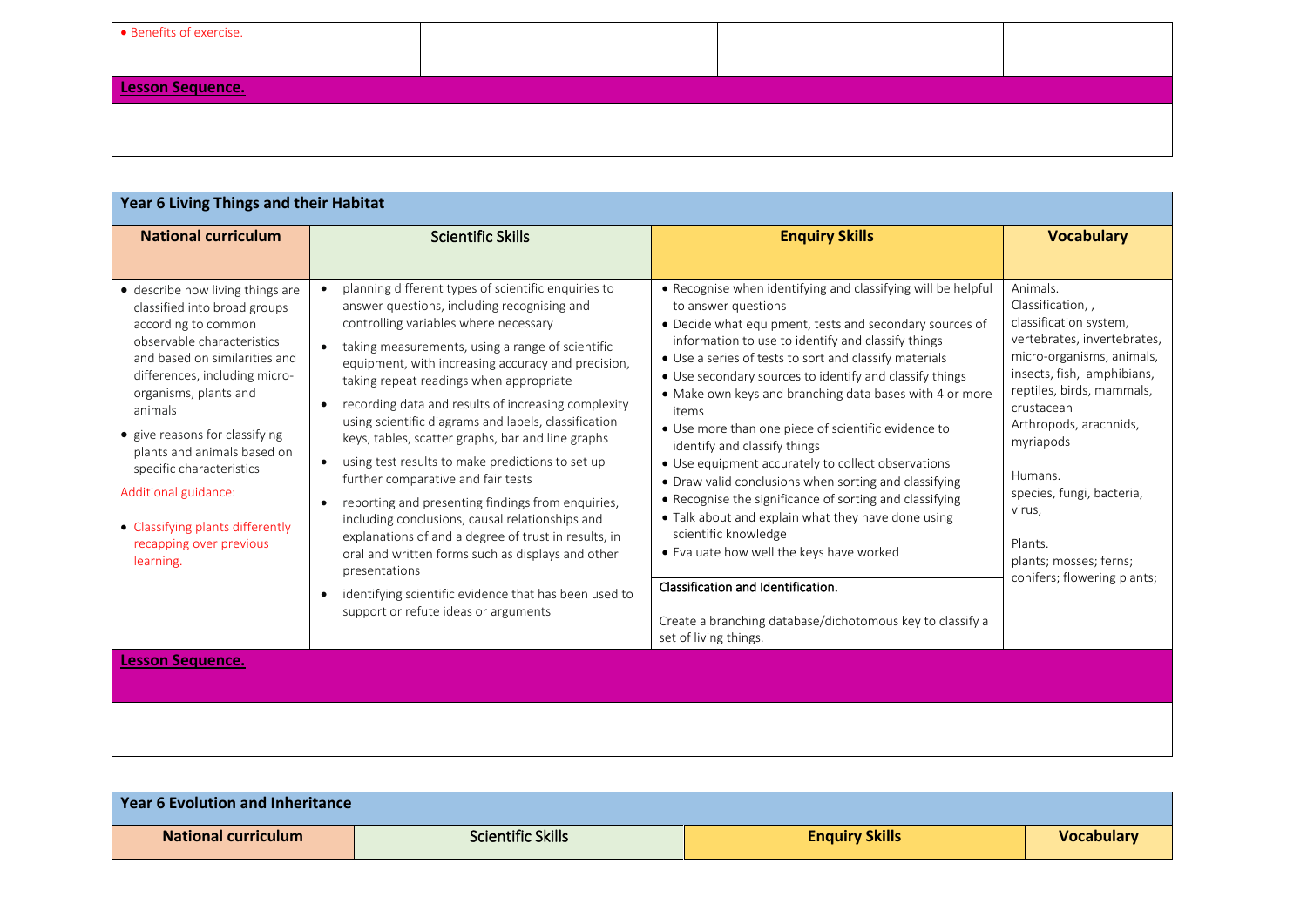| • Benefits of exercise. |  |  |  |  |  |
|-------------------------|--|--|--|--|--|
|                         |  |  |  |  |  |
| Lesson Sequence.        |  |  |  |  |  |
|                         |  |  |  |  |  |
|                         |  |  |  |  |  |

| Year 6 Living Things and their Habitat                                                                                                                                                                                                                                                                                                                                                                                       |                                                                                                                                                                                                                                                                                                                                                                                                                                                                                                                                                                                                                                                                                                                                                                                                                                                                                                                                                                        |                                                                                                                                                                                                                                                                                                                                                                                                                                                                                                                                                                                                                                                                                                                                                                                                                                                                                                                      |                                                                                                                                                                                                                                                                                                                                                           |
|------------------------------------------------------------------------------------------------------------------------------------------------------------------------------------------------------------------------------------------------------------------------------------------------------------------------------------------------------------------------------------------------------------------------------|------------------------------------------------------------------------------------------------------------------------------------------------------------------------------------------------------------------------------------------------------------------------------------------------------------------------------------------------------------------------------------------------------------------------------------------------------------------------------------------------------------------------------------------------------------------------------------------------------------------------------------------------------------------------------------------------------------------------------------------------------------------------------------------------------------------------------------------------------------------------------------------------------------------------------------------------------------------------|----------------------------------------------------------------------------------------------------------------------------------------------------------------------------------------------------------------------------------------------------------------------------------------------------------------------------------------------------------------------------------------------------------------------------------------------------------------------------------------------------------------------------------------------------------------------------------------------------------------------------------------------------------------------------------------------------------------------------------------------------------------------------------------------------------------------------------------------------------------------------------------------------------------------|-----------------------------------------------------------------------------------------------------------------------------------------------------------------------------------------------------------------------------------------------------------------------------------------------------------------------------------------------------------|
| <b>National curriculum</b>                                                                                                                                                                                                                                                                                                                                                                                                   | <b>Scientific Skills</b>                                                                                                                                                                                                                                                                                                                                                                                                                                                                                                                                                                                                                                                                                                                                                                                                                                                                                                                                               | <b>Enquiry Skills</b>                                                                                                                                                                                                                                                                                                                                                                                                                                                                                                                                                                                                                                                                                                                                                                                                                                                                                                | <b>Vocabulary</b>                                                                                                                                                                                                                                                                                                                                         |
| • describe how living things are<br>classified into broad groups<br>according to common<br>observable characteristics<br>and based on similarities and<br>differences, including micro-<br>organisms, plants and<br>animals<br>• give reasons for classifying<br>plants and animals based on<br>specific characteristics<br>Additional guidance:<br>• Classifying plants differently<br>recapping over previous<br>learning. | planning different types of scientific enquiries to<br>answer questions, including recognising and<br>controlling variables where necessary<br>taking measurements, using a range of scientific<br>$\bullet$<br>equipment, with increasing accuracy and precision,<br>taking repeat readings when appropriate<br>recording data and results of increasing complexity<br>$\bullet$<br>using scientific diagrams and labels, classification<br>keys, tables, scatter graphs, bar and line graphs<br>using test results to make predictions to set up<br>$\bullet$<br>further comparative and fair tests<br>reporting and presenting findings from enquiries,<br>$\bullet$<br>including conclusions, causal relationships and<br>explanations of and a degree of trust in results, in<br>oral and written forms such as displays and other<br>presentations<br>identifying scientific evidence that has been used to<br>$\bullet$<br>support or refute ideas or arguments | • Recognise when identifying and classifying will be helpful<br>to answer questions<br>• Decide what equipment, tests and secondary sources of<br>information to use to identify and classify things<br>• Use a series of tests to sort and classify materials<br>• Use secondary sources to identify and classify things<br>• Make own keys and branching data bases with 4 or more<br>items<br>• Use more than one piece of scientific evidence to<br>identify and classify things<br>• Use equipment accurately to collect observations<br>• Draw valid conclusions when sorting and classifying<br>• Recognise the significance of sorting and classifying<br>• Talk about and explain what they have done using<br>scientific knowledge<br>• Evaluate how well the keys have worked<br>Classification and Identification.<br>Create a branching database/dichotomous key to classify a<br>set of living things. | Animals.<br>Classification, ,<br>classification system,<br>vertebrates, invertebrates,<br>micro-organisms, animals,<br>insects, fish, amphibians,<br>reptiles, birds, mammals,<br>crustacean<br>Arthropods, arachnids,<br>myriapods<br>Humans.<br>species, fungi, bacteria,<br>virus,<br>Plants.<br>plants; mosses; ferns;<br>conifers; flowering plants; |
| <b>Lesson Sequence.</b>                                                                                                                                                                                                                                                                                                                                                                                                      |                                                                                                                                                                                                                                                                                                                                                                                                                                                                                                                                                                                                                                                                                                                                                                                                                                                                                                                                                                        |                                                                                                                                                                                                                                                                                                                                                                                                                                                                                                                                                                                                                                                                                                                                                                                                                                                                                                                      |                                                                                                                                                                                                                                                                                                                                                           |
|                                                                                                                                                                                                                                                                                                                                                                                                                              |                                                                                                                                                                                                                                                                                                                                                                                                                                                                                                                                                                                                                                                                                                                                                                                                                                                                                                                                                                        |                                                                                                                                                                                                                                                                                                                                                                                                                                                                                                                                                                                                                                                                                                                                                                                                                                                                                                                      |                                                                                                                                                                                                                                                                                                                                                           |

| Year 6 Evolution and Inheritance |                          |                       |                   |
|----------------------------------|--------------------------|-----------------------|-------------------|
| <b>National curriculum</b>       | <b>Scientific Skills</b> | <b>Enquiry Skills</b> | <b>Vocabulary</b> |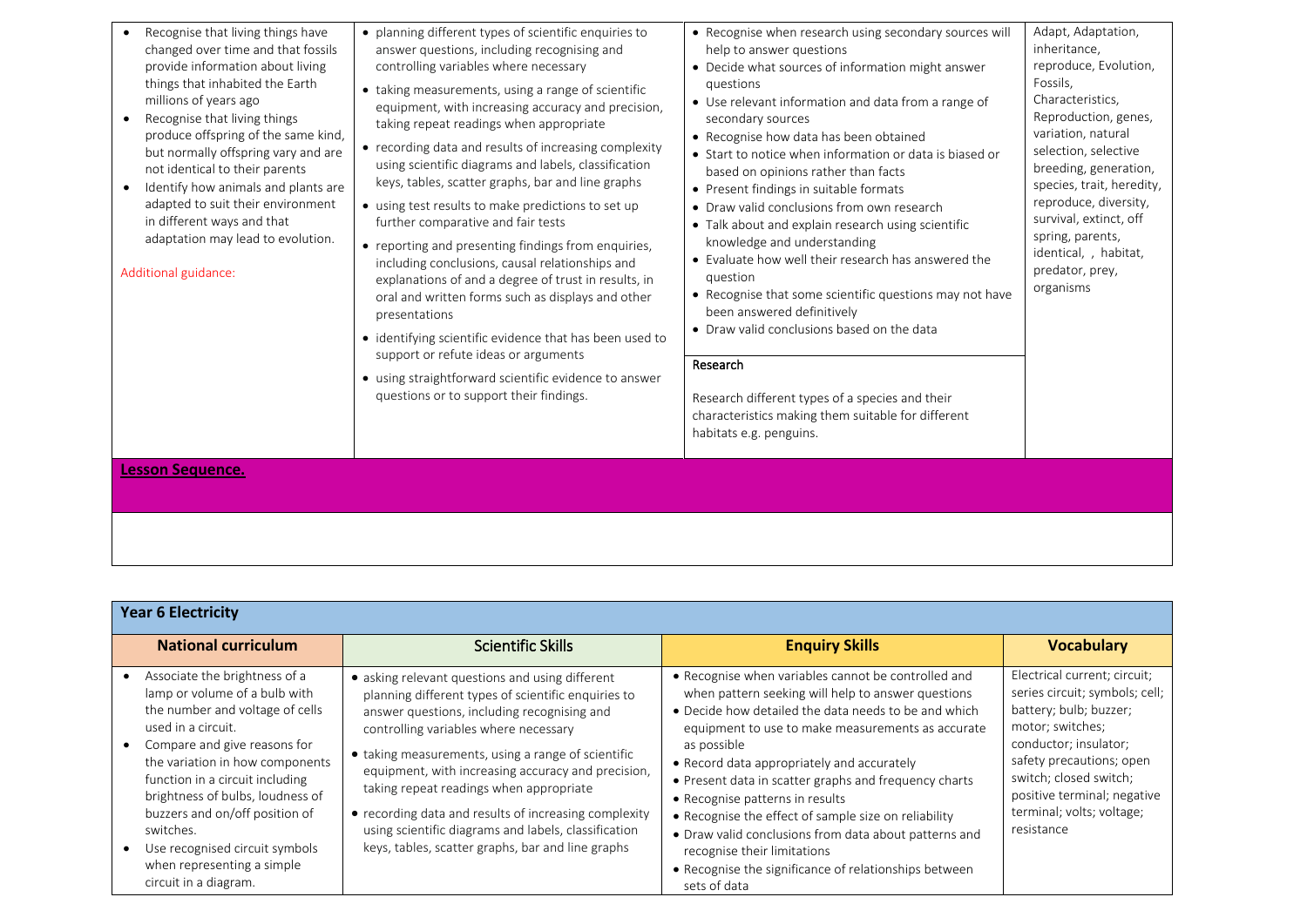| Recognise that living things have<br>changed over time and that fossils<br>provide information about living<br>things that inhabited the Earth<br>millions of years ago<br>Recognise that living things<br>produce offspring of the same kind,<br>but normally offspring vary and are<br>not identical to their parents<br>Identify how animals and plants are<br>adapted to suit their environment<br>in different ways and that<br>adaptation may lead to evolution.<br>Additional guidance: | • planning different types of scientific enquiries to<br>answer questions, including recognising and<br>controlling variables where necessary<br>• taking measurements, using a range of scientific<br>equipment, with increasing accuracy and precision,<br>taking repeat readings when appropriate<br>• recording data and results of increasing complexity<br>using scientific diagrams and labels, classification<br>keys, tables, scatter graphs, bar and line graphs<br>• using test results to make predictions to set up<br>further comparative and fair tests<br>• reporting and presenting findings from enquiries,<br>including conclusions, causal relationships and<br>explanations of and a degree of trust in results, in<br>oral and written forms such as displays and other<br>presentations<br>• identifying scientific evidence that has been used to<br>support or refute ideas or arguments<br>• using straightforward scientific evidence to answer<br>questions or to support their findings. | • Recognise when research using secondary sources will<br>help to answer questions<br>• Decide what sources of information might answer<br>questions<br>• Use relevant information and data from a range of<br>secondary sources<br>• Recognise how data has been obtained<br>• Start to notice when information or data is biased or<br>based on opinions rather than facts<br>• Present findings in suitable formats<br>• Draw valid conclusions from own research<br>• Talk about and explain research using scientific<br>knowledge and understanding<br>• Evaluate how well their research has answered the<br>question<br>• Recognise that some scientific questions may not have<br>been answered definitively<br>• Draw valid conclusions based on the data<br>Research<br>Research different types of a species and their<br>characteristics making them suitable for different<br>habitats e.g. penguins. | Adapt, Adaptation,<br>inheritance,<br>reproduce, Evolution,<br>Fossils,<br>Characteristics,<br>Reproduction, genes,<br>variation, natural<br>selection, selective<br>breeding, generation,<br>species, trait, heredity,<br>reproduce, diversity,<br>survival, extinct, off<br>spring, parents,<br>identical, , habitat,<br>predator, prey,<br>organisms |
|------------------------------------------------------------------------------------------------------------------------------------------------------------------------------------------------------------------------------------------------------------------------------------------------------------------------------------------------------------------------------------------------------------------------------------------------------------------------------------------------|-----------------------------------------------------------------------------------------------------------------------------------------------------------------------------------------------------------------------------------------------------------------------------------------------------------------------------------------------------------------------------------------------------------------------------------------------------------------------------------------------------------------------------------------------------------------------------------------------------------------------------------------------------------------------------------------------------------------------------------------------------------------------------------------------------------------------------------------------------------------------------------------------------------------------------------------------------------------------------------------------------------------------|---------------------------------------------------------------------------------------------------------------------------------------------------------------------------------------------------------------------------------------------------------------------------------------------------------------------------------------------------------------------------------------------------------------------------------------------------------------------------------------------------------------------------------------------------------------------------------------------------------------------------------------------------------------------------------------------------------------------------------------------------------------------------------------------------------------------------------------------------------------------------------------------------------------------|---------------------------------------------------------------------------------------------------------------------------------------------------------------------------------------------------------------------------------------------------------------------------------------------------------------------------------------------------------|
| <b>Lesson Sequence.</b>                                                                                                                                                                                                                                                                                                                                                                                                                                                                        |                                                                                                                                                                                                                                                                                                                                                                                                                                                                                                                                                                                                                                                                                                                                                                                                                                                                                                                                                                                                                       |                                                                                                                                                                                                                                                                                                                                                                                                                                                                                                                                                                                                                                                                                                                                                                                                                                                                                                                     |                                                                                                                                                                                                                                                                                                                                                         |

| <b>Year 6 Electricity</b>                                                                                                                                                                                                                                                                                                                                                                                 |                                                                                                                                                                                                                                                                                                                                                                                                                                                                                                                             |                                                                                                                                                                                                                                                                                                                                                                                                                                                                                                                                                                                                          |                                                                                                                                                                                                                                                                       |
|-----------------------------------------------------------------------------------------------------------------------------------------------------------------------------------------------------------------------------------------------------------------------------------------------------------------------------------------------------------------------------------------------------------|-----------------------------------------------------------------------------------------------------------------------------------------------------------------------------------------------------------------------------------------------------------------------------------------------------------------------------------------------------------------------------------------------------------------------------------------------------------------------------------------------------------------------------|----------------------------------------------------------------------------------------------------------------------------------------------------------------------------------------------------------------------------------------------------------------------------------------------------------------------------------------------------------------------------------------------------------------------------------------------------------------------------------------------------------------------------------------------------------------------------------------------------------|-----------------------------------------------------------------------------------------------------------------------------------------------------------------------------------------------------------------------------------------------------------------------|
| <b>National curriculum</b>                                                                                                                                                                                                                                                                                                                                                                                | <b>Scientific Skills</b>                                                                                                                                                                                                                                                                                                                                                                                                                                                                                                    | <b>Enquiry Skills</b>                                                                                                                                                                                                                                                                                                                                                                                                                                                                                                                                                                                    | <b>Vocabulary</b>                                                                                                                                                                                                                                                     |
| Associate the brightness of a<br>lamp or volume of a bulb with<br>the number and voltage of cells<br>used in a circuit.<br>Compare and give reasons for<br>the variation in how components<br>function in a circuit including<br>brightness of bulbs, loudness of<br>buzzers and on/off position of<br>switches.<br>Use recognised circuit symbols<br>when representing a simple<br>circuit in a diagram. | • asking relevant questions and using different<br>planning different types of scientific enquiries to<br>answer questions, including recognising and<br>controlling variables where necessary<br>• taking measurements, using a range of scientific<br>equipment, with increasing accuracy and precision,<br>taking repeat readings when appropriate<br>• recording data and results of increasing complexity<br>using scientific diagrams and labels, classification<br>keys, tables, scatter graphs, bar and line graphs | • Recognise when variables cannot be controlled and<br>when pattern seeking will help to answer questions<br>• Decide how detailed the data needs to be and which<br>equipment to use to make measurements as accurate<br>as possible<br>• Record data appropriately and accurately<br>• Present data in scatter graphs and frequency charts<br>• Recognise patterns in results<br>• Recognise the effect of sample size on reliability<br>• Draw valid conclusions from data about patterns and<br>recognise their limitations<br>• Recognise the significance of relationships between<br>sets of data | Electrical current; circuit;<br>series circuit; symbols; cell;<br>battery; bulb; buzzer;<br>motor; switches;<br>conductor; insulator;<br>safety precautions; open<br>switch; closed switch;<br>positive terminal; negative<br>terminal; volts; voltage;<br>resistance |